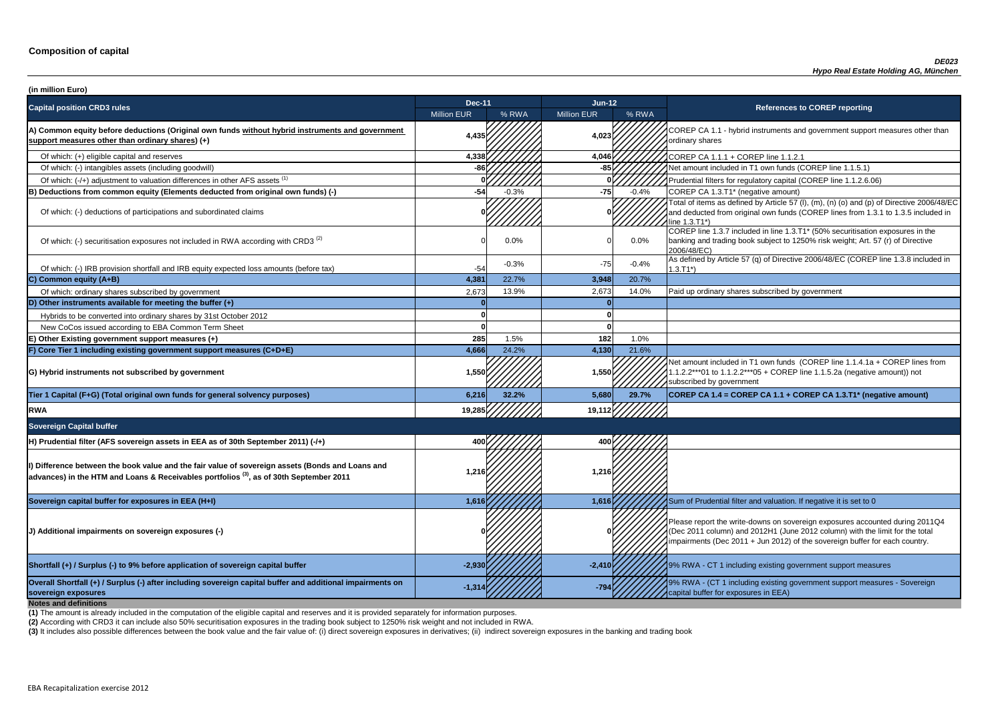**P CA 1.1 - hybrid instruments and government support measures other than** ry shares

of tial filters for regulatory capital (COREP line 1.1.2.6.06)

of items as defined by Article 57 (I), (m), (n) (o) and (p) of Directive 2006/48/EC educted from original own funds (COREP lines from 1.3.1 to 1.3.5 included in  $3.71^*$ 

 $\frac{1}{10}$  line 1.3.7 included in line 1.3.T1\* (50% securitisation exposures in the g and trading book subject to 1250% risk weight; Art. 57 (r) of Directive  $8/EC$ )

of which: IRB provided and IRB provided in and IRB equity expected and IRB equity expected and the tax and the<br>IRB equity Article 57 (q) of Directive 2006/48/EC (COREP line 1.3.8 included in

nount included in T1 own funds (COREP line 1.1.4.1a + COREP lines from  $2***01$  to 1.1.2.2\*\*\*05 + COREP line 1.1.5.2a (negative amount)) not ibed by government

| (in million Euro)                                                                                                                                                                                      |                    |         |                    |         |                                                                                                                                                                                   |
|--------------------------------------------------------------------------------------------------------------------------------------------------------------------------------------------------------|--------------------|---------|--------------------|---------|-----------------------------------------------------------------------------------------------------------------------------------------------------------------------------------|
| <b>Capital position CRD3 rules</b>                                                                                                                                                                     | <b>Dec-11</b>      |         | Jun-12             |         | <b>References to COREP reporting</b>                                                                                                                                              |
|                                                                                                                                                                                                        | <b>Million EUR</b> | % RWA   | <b>Million EUR</b> | % RWA   |                                                                                                                                                                                   |
| A) Common equity before deductions (Original own funds without hybrid instruments and government<br>support measures other than ordinary shares) (+)                                                   | 4,435              |         | 4,023              |         | COREP CA 1.1 - hybrid instruments and government suppo<br>ordinary shares                                                                                                         |
| Of which: (+) eligible capital and reserves                                                                                                                                                            | 4,338              |         | 4,046              |         | COREP CA 1.1.1 + COREP line 1.1.2.1                                                                                                                                               |
| Of which: (-) intangibles assets (including goodwill)                                                                                                                                                  |                    |         |                    |         | Net amount included in T1 own funds (COREP line 1.1.5.1)                                                                                                                          |
| Of which: (-/+) adjustment to valuation differences in other AFS assets <sup>(1)</sup>                                                                                                                 |                    |         |                    |         | Prudential filters for regulatory capital (COREP line 1.1.2.6.                                                                                                                    |
| B) Deductions from common equity (Elements deducted from original own funds) (-)                                                                                                                       | $-54$              | $-0.3%$ | $-75$              | $-0.4%$ | COREP CA 1.3.T1* (negative amount)                                                                                                                                                |
| Of which: (-) deductions of participations and subordinated claims                                                                                                                                     |                    |         |                    |         | Total of items as defined by Article 57 (I), (m), (n) (o) and (p<br>and deducted from original own funds (COREP lines from 1<br>line 1.3.T1*)                                     |
| Of which: (-) securitisation exposures not included in RWA according with CRD3 <sup>(2)</sup>                                                                                                          |                    | 0.0%    |                    | $0.0\%$ | COREP line 1.3.7 included in line 1.3.T1* (50% securitisation<br>banking and trading book subject to 1250% risk weight; Art.<br>2006/48/EC)                                       |
| Of which: (-) IRB provision shortfall and IRB equity expected loss amounts (before tax)                                                                                                                | $-54$              | $-0.3%$ | $-75$              | $-0.4%$ | As defined by Article 57 (q) of Directive 2006/48/EC (CORE<br>$1.3.T1*)$                                                                                                          |
| C) Common equity (A+B)                                                                                                                                                                                 | 4,381              | 22.7%   | 3,948              | 20.7%   |                                                                                                                                                                                   |
| Of which: ordinary shares subscribed by government                                                                                                                                                     | 2,673              | 13.9%   | 2,673              | 14.0%   | Paid up ordinary shares subscribed by government                                                                                                                                  |
| D) Other instruments available for meeting the buffer $(+)$                                                                                                                                            |                    |         |                    |         |                                                                                                                                                                                   |
| Hybrids to be converted into ordinary shares by 31st October 2012                                                                                                                                      |                    |         |                    |         |                                                                                                                                                                                   |
| New CoCos issued according to EBA Common Term Sheet                                                                                                                                                    |                    |         |                    |         |                                                                                                                                                                                   |
| E) Other Existing government support measures (+)                                                                                                                                                      | 285                | 1.5%    | 182                | 1.0%    |                                                                                                                                                                                   |
| F) Core Tier 1 including existing government support measures (C+D+E)                                                                                                                                  | 4,666              | 24.2%   | 4,130              | 21.6%   |                                                                                                                                                                                   |
| G) Hybrid instruments not subscribed by government                                                                                                                                                     | 1,550              |         | 1,550              |         | Net amount included in T1 own funds (COREP line 1.1.4.1a<br>1.1.2.2***01 to 1.1.2.2***05 + COREP line 1.1.5.2a (negativ<br>subscribed by government                               |
| Tier 1 Capital (F+G) (Total original own funds for general solvency purposes)                                                                                                                          | 6,216              | 32.2%   | 5,680              | 29.7%   | COREP CA 1.4 = COREP CA 1.1 + COREP CA 1.3.T1* (ne                                                                                                                                |
| <b>RWA</b>                                                                                                                                                                                             | 19,285             |         | 19,112             |         |                                                                                                                                                                                   |
| <b>Sovereign Capital buffer</b>                                                                                                                                                                        |                    |         |                    |         |                                                                                                                                                                                   |
| H) Prudential filter (AFS sovereign assets in EEA as of 30th September 2011) (-/+)                                                                                                                     | 400                |         |                    |         |                                                                                                                                                                                   |
| I) Difference between the book value and the fair value of sovereign assets (Bonds and Loans and<br>advances) in the HTM and Loans & Receivables portfolios <sup>(3)</sup> , as of 30th September 2011 | 1,216              |         | 1,216              |         |                                                                                                                                                                                   |
| Sovereign capital buffer for exposures in EEA (H+I)                                                                                                                                                    | 1,616              |         | 1,616              |         | Sum of Prudential filter and valuation. If negative it is set to                                                                                                                  |
| (J) Additional impairments on sovereign exposures (-)                                                                                                                                                  |                    |         |                    |         | Please report the write-downs on sovereign exposures acco<br>(Dec 2011 column) and 2012H1 (June 2012 column) with th<br>impairments (Dec 2011 + Jun 2012) of the sovereign buffer |
| Shortfall (+) / Surplus (-) to 9% before application of sovereign capital buffer                                                                                                                       | $-2,930$           |         | $-2,410$           |         | 19% RWA - CT 1 including existing government support mea                                                                                                                          |
| Overall Shortfall (+) / Surplus (-) after including sovereign capital buffer and additional impairments on<br>sovereign exposures<br><b>Notes and definitions</b>                                      | $-1,31$            |         | $-794$             |         | 9% RWA - (CT 1 including existing government support mea<br>capital buffer for exposures in EEA)                                                                                  |

**Tier 1 Capital (F+G) (Total original own funds for general solvency purposes) 6,216 32.2% 5,680 29.7% COREP CA 1.4 = COREP CA 1.1 + COREP CA 1.3.T1\* (negative amount)**

report the write-downs on sovereign exposures accounted during 2011Q4 (011 column) and 2012H1 (June 2012 column) with the limit for the total ments (Dec 2011 + Jun 2012) of the sovereign buffer for each country.

**A** - CT 1 including existing government support measures

**A** - (CT 1 including existing government support measures - Sovereign buffer for exposures in EEA)

**(2)** According with CRD3 it can include also 50% securitisation exposures in the trading book subject to 1250% risk weight and not included in RWA.

(3) It includes also possible differences between the book value and the fair value of: (i) direct sovereign exposures in derivatives; (ii) indirect sovereign exposures in the banking and trading book

**(1)** The amount is already included in the computation of the eligible capital and reserves and it is provided separately for information purposes.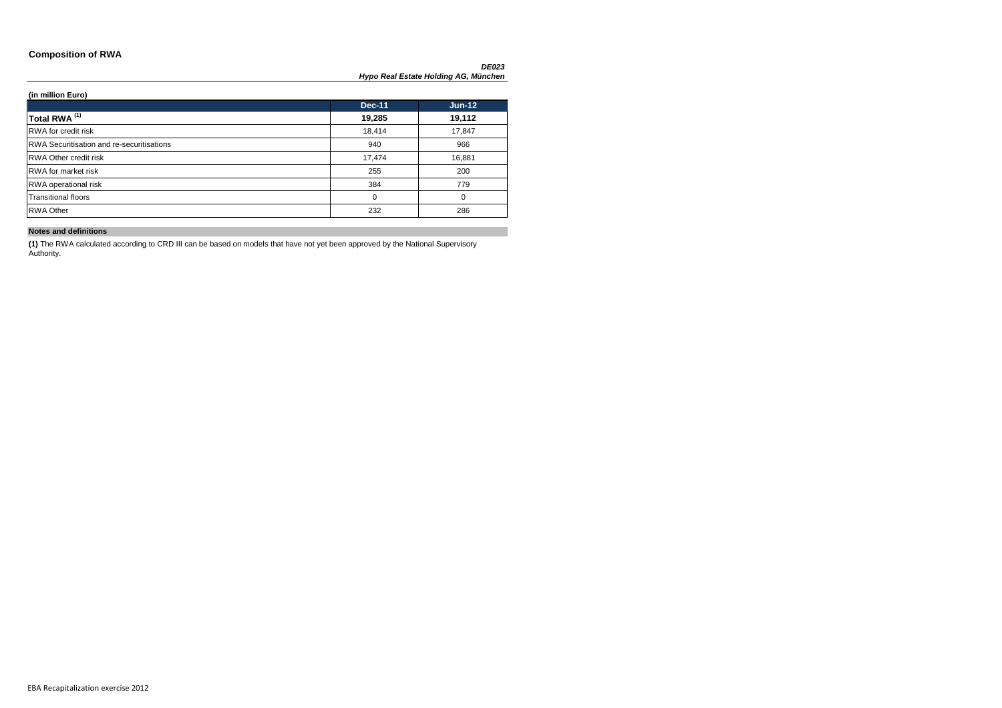### **Composition of RWA**

 $\overline{\phantom{0}}$ 

| (in million Euro)                         |               |               |
|-------------------------------------------|---------------|---------------|
|                                           | <b>Dec-11</b> | <b>Jun-12</b> |
| Total RWA <sup>(1)</sup>                  | 19,285        | 19,112        |
| RWA for credit risk                       | 18,414        | 17,847        |
| RWA Securitisation and re-securitisations | 940           | 966           |
| RWA Other credit risk                     | 17,474        | 16,881        |
| RWA for market risk                       | 255           | 200           |
| RWA operational risk                      | 384           | 779           |
| <b>Transitional floors</b>                | 0             | 0             |
| <b>RWA Other</b>                          | 232           | 286           |

### **Notes and definitions**

**(1)** The RWA calculated according to CRD III can be based on models that have not yet been approved by the National Supervisory Authority.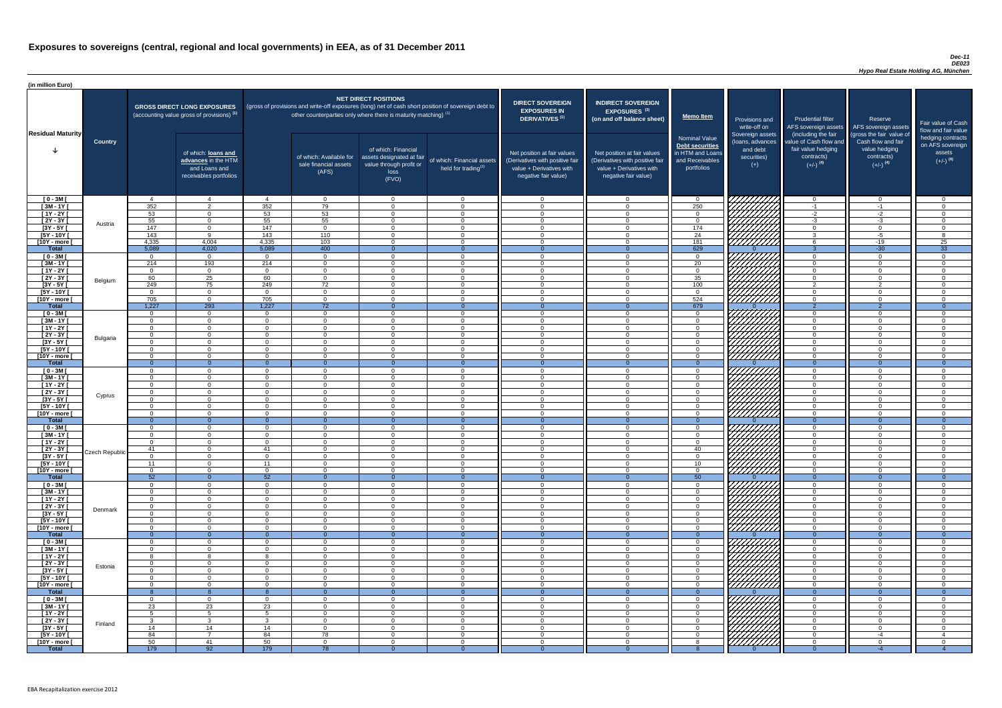### *Dec-11 DE023 Hypo Real Estate Holding AG, München*

| (in million Euro)             |                 |                            |                                                                                             |                            |                                                                            |                                                                                              |                                                                                                     |                                                                                                                    |                                                                                                                    |                                                                                              |                                                                                                                                                                                                                                  |                                                                                                             |                                                                                                         |                                                                           |
|-------------------------------|-----------------|----------------------------|---------------------------------------------------------------------------------------------|----------------------------|----------------------------------------------------------------------------|----------------------------------------------------------------------------------------------|-----------------------------------------------------------------------------------------------------|--------------------------------------------------------------------------------------------------------------------|--------------------------------------------------------------------------------------------------------------------|----------------------------------------------------------------------------------------------|----------------------------------------------------------------------------------------------------------------------------------------------------------------------------------------------------------------------------------|-------------------------------------------------------------------------------------------------------------|---------------------------------------------------------------------------------------------------------|---------------------------------------------------------------------------|
| <b>Residual Maturity</b>      |                 |                            | <b>GROSS DIRECT LONG EXPOSURES</b><br>(accounting value gross of provisions) <sup>(1)</sup> |                            | other counterparties only where there is maturity matching) <sup>(1)</sup> | <b>NET DIRECT POSITIONS</b>                                                                  | (gross of provisions and write-off exposures (long) net of cash short position of sovereign debt to | <b>DIRECT SOVEREIGN</b><br><b>EXPOSURES IN</b><br><b>DERIVATIVES (1)</b>                                           | <b>INDIRECT SOVEREIGN</b><br>EXPOSURES <sup>(3)</sup><br>(on and off balance sheet)                                | Memo Item                                                                                    | Provisions and<br>write-off on                                                                                                                                                                                                   | <b>Prudential filter</b>                                                                                    | Reserve<br>AFS sovereign assets AFS sovereign assets                                                    | Fair value of Cash<br>flow and fair value                                 |
|                               | <b>Country</b>  |                            | of which: loans and<br>advances in the HTM<br>and Loans and<br>receivables portfolios       |                            | of which: Available for<br>sale financial assets<br>(AFS)                  | of which: Financial<br>assets designated at fair<br>value through profit or<br>loss<br>(FVO) | of which: Financial assets<br>held for trading $(2)$                                                | Net position at fair values<br>(Derivatives with positive fair<br>value + Derivatives with<br>negative fair value) | Net position at fair values<br>(Derivatives with positive fair<br>value + Derivatives with<br>negative fair value) | <b>Nominal Value</b><br>Debt securities<br>in HTM and Loans<br>and Receivables<br>portfolios | Sovereign assets<br>(loans, advances<br>and debt<br>securities)<br>$(+)$                                                                                                                                                         | (including the fair<br>value of Cash flow and<br>fair value hedging<br>contracts)<br>$(+/-)$ <sup>(4)</sup> | (gross the fair value of<br>Cash flow and fair<br>value hedging<br>contracts)<br>$(+/-)$ <sup>(4)</sup> | hedging contracts<br>on AFS sovereign<br>assets<br>$(+/-)$ <sup>(4)</sup> |
| $[0 - 3M]$                    |                 | $\overline{4}$             | $\overline{4}$                                                                              |                            | $\Omega$                                                                   | $\Omega$                                                                                     | $\overline{0}$                                                                                      | - റ<br>$\cap$                                                                                                      | $\cap$                                                                                                             | $\Omega$                                                                                     | 777777777                                                                                                                                                                                                                        | $\overline{0}$                                                                                              | $\Omega$                                                                                                | റ<br>$\Omega$                                                             |
| $[3M - 1Y]$<br>$[1Y - 2Y]$    |                 | 352<br>53                  | $\overline{2}$<br>$\overline{0}$                                                            | 352<br>53                  | 79<br>53                                                                   | $\Omega$<br>$\Omega$                                                                         | $\Omega$<br>$\Omega$                                                                                | - 0                                                                                                                | $\cap$                                                                                                             | 250<br>$\Omega$                                                                              |                                                                                                                                                                                                                                  | $-1$<br>$-2$                                                                                                | $-1$<br>$-2$                                                                                            | $\Omega$                                                                  |
| $[2Y - 3Y]$                   |                 | 55                         | $\Omega$                                                                                    | 55                         | 55                                                                         | $\Omega$                                                                                     | $\overline{0}$                                                                                      | $\Omega$                                                                                                           | $\Omega$                                                                                                           | $\Omega$                                                                                     |                                                                                                                                                                                                                                  | $-3$                                                                                                        | $-3$                                                                                                    | $\Omega$                                                                  |
| $[3Y - 5Y]$                   | Austria         | 147                        | $\Omega$                                                                                    | 147                        | $\Omega$                                                                   | $\Omega$                                                                                     | $\overline{0}$                                                                                      | $\overline{0}$                                                                                                     | $\Omega$                                                                                                           | 174                                                                                          | 77777777                                                                                                                                                                                                                         | $\overline{0}$                                                                                              | $\Omega$                                                                                                | $\Omega$                                                                  |
| $[5Y - 10Y]$                  |                 | 143                        | $\mathsf{Q}$                                                                                | 143                        | 110                                                                        | $\Omega$                                                                                     | $\Omega$                                                                                            | $\Omega$                                                                                                           | $\cap$                                                                                                             | 24                                                                                           | VIIIIIII                                                                                                                                                                                                                         | $\mathbf{3}$                                                                                                | $-5$                                                                                                    | - 8                                                                       |
| [10Y - more [<br><b>Total</b> |                 | 4,335<br>5,089             | 4,004<br>4,020                                                                              | 4,335<br>5,089             | 103<br>400                                                                 | $\cap$                                                                                       | $\Omega$                                                                                            | $\cap$                                                                                                             | $\Omega$                                                                                                           | 181<br>629                                                                                   | <u>VIIIIIII</u>                                                                                                                                                                                                                  | <b>6</b>                                                                                                    | $-19$<br>$-30$                                                                                          | 25<br>$\overline{33}$                                                     |
| $[0 - 3M]$                    |                 | $\Omega$                   | $\overline{0}$                                                                              | $\Omega$                   | $\overline{0}$                                                             | $\Omega$                                                                                     | $\Omega$                                                                                            | . വ                                                                                                                | $\cap$                                                                                                             | $\Omega$                                                                                     |                                                                                                                                                                                                                                  | $\Omega$                                                                                                    | $\Omega$                                                                                                | _റ                                                                        |
| $[3M - 1Y]$                   |                 | 214                        | 193                                                                                         | 214                        | $\overline{0}$                                                             | $\Omega$                                                                                     | $\Omega$                                                                                            | $\cap$                                                                                                             | $\Omega$                                                                                                           | 20                                                                                           | <b>FATALA</b><br>VAHAHA                                                                                                                                                                                                          | $\Omega$                                                                                                    | $\Omega$                                                                                                | $\Omega$                                                                  |
| $[1Y - 2Y]$                   |                 | $\Omega$                   | $\overline{0}$                                                                              | $\Omega$                   | $\overline{0}$                                                             | $\Omega$                                                                                     | $\overline{0}$                                                                                      | $\Omega$                                                                                                           | $\Omega$                                                                                                           | $\overline{0}$                                                                               |                                                                                                                                                                                                                                  | $\overline{0}$                                                                                              | $\overline{0}$                                                                                          | $\Omega$                                                                  |
| $[2Y - 3Y]$                   | Belgium         | 60                         | 25                                                                                          | 60                         | $\Omega$                                                                   | $\Omega$                                                                                     | $\overline{0}$                                                                                      | $\cap$                                                                                                             | $\Omega$                                                                                                           | $\overline{35}$                                                                              |                                                                                                                                                                                                                                  | $\Omega$                                                                                                    | $\Omega$                                                                                                | $\Omega$                                                                  |
| $[3Y - 5Y]$<br>$[5Y - 10Y]$   |                 | 249<br>$\Omega$            | 75<br>$\overline{0}$                                                                        | 249<br>$\Omega$            | 72<br>$\Omega$                                                             | $\Omega$<br>$\Omega$                                                                         | $\overline{0}$<br>$\overline{0}$                                                                    | $\cap$<br>$\cap$                                                                                                   |                                                                                                                    | 100<br>$\overline{0}$                                                                        | . <i>\/////////</i> /                                                                                                                                                                                                            | $\overline{2}$<br>$\Omega$                                                                                  | $\mathcal{D}$<br>$\Omega$                                                                               | $\Omega$<br>$\cap$                                                        |
| [10Y - more [                 |                 | 705                        | $\overline{0}$                                                                              | 705                        | $\Omega$                                                                   | $\Omega$                                                                                     | $\Omega$                                                                                            | $\cap$                                                                                                             |                                                                                                                    | 524                                                                                          | <u>VIIIIIII</u> I                                                                                                                                                                                                                | $\Omega$                                                                                                    | $\Omega$                                                                                                | $\Omega$                                                                  |
| <b>Total</b>                  |                 | 1,227                      | 293                                                                                         | 1,227                      | $\overline{72}$                                                            | $\Omega$                                                                                     | $\Omega$                                                                                            | - 0                                                                                                                |                                                                                                                    | 679                                                                                          |                                                                                                                                                                                                                                  | $\overline{2}$                                                                                              | $\overline{2}$                                                                                          | $\overline{0}$                                                            |
| $[0 - 3M]$                    |                 | $\Omega$                   | $\Omega$                                                                                    | $\Omega$                   | $\Omega$                                                                   | $\Omega$                                                                                     | $\Omega$                                                                                            | റ                                                                                                                  |                                                                                                                    | $\Omega$                                                                                     |                                                                                                                                                                                                                                  | $\Omega$                                                                                                    | $\Omega$                                                                                                | $\cap$                                                                    |
| $[3M - 1Y]$                   |                 | $\Omega$<br>$\Omega$       | $\Omega$<br>$\Omega$                                                                        | $\Omega$<br>$\Omega$       | $\Omega$                                                                   | $\Omega$<br>$\Omega$                                                                         | $\Omega$<br>$\Omega$                                                                                | $\cap$<br>$\cap$                                                                                                   |                                                                                                                    | $\Omega$<br>$\Omega$                                                                         |                                                                                                                                                                                                                                  | $\Omega$<br>$\Omega$                                                                                        | $\Omega$<br>$\Omega$                                                                                    | $\cap$<br>$\cap$                                                          |
| $[1Y - 2Y]$<br>[2Y - 3Y [     |                 | $\Omega$                   | $\Omega$                                                                                    | $\Omega$                   | $\Omega$<br>$\Omega$                                                       | $\Omega$                                                                                     | $\Omega$                                                                                            | $\cap$                                                                                                             | $\Omega$                                                                                                           | $\Omega$                                                                                     |                                                                                                                                                                                                                                  | $\Omega$                                                                                                    | $\Omega$                                                                                                | $\cap$                                                                    |
| <u>[3Y - 5Y  </u>             | <b>Bulgaria</b> |                            |                                                                                             |                            |                                                                            |                                                                                              | 0                                                                                                   |                                                                                                                    |                                                                                                                    |                                                                                              |                                                                                                                                                                                                                                  |                                                                                                             |                                                                                                         |                                                                           |
| $[5Y - 10Y]$                  |                 | $\Omega$                   | $\Omega$                                                                                    | $\Omega$                   | $\Omega$                                                                   | $\Omega$                                                                                     | $\Omega$                                                                                            | $\Omega$                                                                                                           |                                                                                                                    | $\Omega$                                                                                     | HAHAS SAHARA SERANG DENGAN DENGAN DENGAN DENGAN DENGAN DENGAN DENGAN DENGAN DENGAN DENGAN DENGAN DENGAN DENGA<br>DENGAN DENGAN DENGAN DENGAN DENGAN DENGAN DENGAN DENGAN DENGAN DENGAN DENGAN DENGAN DENGAN DENGAN DENGAN DENGA  | $\overline{0}$                                                                                              | $\Omega$                                                                                                |                                                                           |
| [10Y - more [                 |                 | $\Omega$                   | $\Omega$                                                                                    | $\Omega$                   | $\Omega$                                                                   | $\Omega$                                                                                     | $\Omega$                                                                                            | $\cap$<br>$\Omega$                                                                                                 | $\Omega$                                                                                                           | $\Omega$<br>$\Omega$                                                                         |                                                                                                                                                                                                                                  | $\overline{0}$<br>$\Omega$                                                                                  | $\Omega$<br>$\Omega$                                                                                    | $\Omega$<br>$\Omega$                                                      |
| <b>Total</b><br>$[0 - 3M]$    |                 | - 0<br>$\Omega$            | $\overline{0}$<br>$\Omega$                                                                  | $\Omega$<br>$\Omega$       | $\Omega$<br>$\Omega$                                                       | $\Omega$<br>$\Omega$                                                                         | $\overline{0}$<br>$\overline{0}$                                                                    | $\cap$                                                                                                             | $\Omega$<br>$\Omega$                                                                                               | $\Omega$                                                                                     |                                                                                                                                                                                                                                  | $\overline{0}$                                                                                              | $\Omega$                                                                                                | $\Omega$                                                                  |
| $[3M - 1Y]$                   |                 | $\Omega$                   | $\overline{0}$                                                                              | $\Omega$                   | $\Omega$                                                                   | $\Omega$                                                                                     | $\overline{0}$                                                                                      | $\cap$                                                                                                             |                                                                                                                    | $\overline{0}$                                                                               | HHHHH                                                                                                                                                                                                                            | $\overline{0}$                                                                                              | $\Omega$                                                                                                |                                                                           |
| $[1Y - 2Y]$                   |                 | $\overline{0}$             | $\Omega$                                                                                    | $\Omega$                   | $\Omega$                                                                   | $\Omega$                                                                                     | $\mathbf{0}$                                                                                        | $\Omega$                                                                                                           |                                                                                                                    | $\Omega$                                                                                     | <u>777777777</u>                                                                                                                                                                                                                 | $\overline{0}$                                                                                              | $\Omega$                                                                                                |                                                                           |
| $[2Y - 3Y]$                   | Cyprus          | $\overline{0}$             | $\overline{0}$                                                                              | $\Omega$                   | $\Omega$                                                                   | $\Omega$                                                                                     | $\mathbf{0}$                                                                                        | $\Omega$                                                                                                           |                                                                                                                    | $\Omega$                                                                                     | <i>VIIIIIII</i>                                                                                                                                                                                                                  | $\overline{0}$                                                                                              | $\Omega$                                                                                                |                                                                           |
| $[3Y - 5Y]$<br>$[5Y - 10Y]$   |                 | 0<br>- 0                   | $\Omega$<br>$\Omega$                                                                        | $\Omega$<br>$\Omega$       | $\Omega$<br>$\Omega$                                                       | $\Omega$<br>$\Omega$                                                                         | $\overline{0}$<br>$\overline{0}$                                                                    | - ೧<br>- റ                                                                                                         | $\cap$                                                                                                             | $\Omega$<br>$\Omega$                                                                         | V <i>IIIIIIII</i>                                                                                                                                                                                                                | $\overline{0}$<br>$\overline{0}$                                                                            | $\Omega$<br>$\Omega$                                                                                    | ി                                                                         |
| [10Y - more [                 |                 | $\Omega$                   | $\Omega$                                                                                    | $\Omega$                   | $\cap$                                                                     | $\Omega$                                                                                     | $\Omega$                                                                                            | $\cap$                                                                                                             | $\Omega$                                                                                                           | $\Omega$                                                                                     | <u>77777777</u>                                                                                                                                                                                                                  | $\Omega$                                                                                                    | $\Omega$                                                                                                | $\Omega$                                                                  |
| <b>Total</b>                  |                 | $\Omega$                   | $\Omega$                                                                                    |                            |                                                                            |                                                                                              |                                                                                                     |                                                                                                                    |                                                                                                                    | $\Omega$                                                                                     |                                                                                                                                                                                                                                  | $\Omega$                                                                                                    |                                                                                                         |                                                                           |
| $[0 - 3M]$                    |                 | $\Omega$                   | $\Omega$                                                                                    | $\Omega$                   | $\Omega$                                                                   | $\Omega$                                                                                     | $\overline{0}$                                                                                      | $\Omega$                                                                                                           | $\cap$                                                                                                             | $\Omega$                                                                                     |                                                                                                                                                                                                                                  | $\overline{0}$                                                                                              | $\Omega$                                                                                                | $\Omega$                                                                  |
| $[3M - 1Y]$<br>$[1Y - 2Y]$    |                 | $\Omega$<br>$\overline{0}$ | $\overline{0}$<br>$\overline{0}$                                                            | $\Omega$<br>$\overline{0}$ | $\overline{0}$<br>$\overline{0}$                                           | $\Omega$<br>$\Omega$                                                                         | $\overline{0}$<br>$\overline{0}$                                                                    | $\Omega$<br>$\Omega$                                                                                               | $\Omega$<br>$\Omega$                                                                                               | $\overline{0}$<br>$\Omega$                                                                   |                                                                                                                                                                                                                                  | $\overline{0}$<br>$\overline{0}$                                                                            | $\Omega$<br>$\Omega$                                                                                    | - 0<br>- 0                                                                |
| $[2Y - 3Y]$                   |                 | 41                         | $\overline{0}$                                                                              | 41                         | $\overline{0}$                                                             | $\Omega$                                                                                     | $\overline{0}$                                                                                      | - 0                                                                                                                | $\Omega$                                                                                                           | 40                                                                                           | HAHAHA KATALANG KATALANG KATALANG KATALANG KATALANG KATALANG KATALANG KATALANG KATALANG KATALANG KATALANG KATA<br>KATALANG KATALANG KATALANG KATALANG KATALANG KATALANG KATALANG KATALANG KATALANG KATALANG KATALANG KATALANG KA | $\overline{0}$                                                                                              | $\Omega$                                                                                                | - 0                                                                       |
| $[3Y - 5Y]$                   | Czech Republic  | $\Omega$                   | $\overline{0}$                                                                              | $\overline{0}$             | $\overline{0}$                                                             | $\Omega$                                                                                     | $\overline{0}$                                                                                      | $\Omega$                                                                                                           | $\Omega$                                                                                                           | $\overline{0}$                                                                               |                                                                                                                                                                                                                                  | $\overline{0}$                                                                                              | $\Omega$                                                                                                | $\Omega$                                                                  |
| $[5Y - 10Y]$                  |                 | 11                         | $\overline{0}$                                                                              | 11                         | $\Omega$                                                                   | $\Omega$                                                                                     | $\overline{0}$                                                                                      | $\Omega$                                                                                                           | $\cap$                                                                                                             | 10 <sup>°</sup>                                                                              |                                                                                                                                                                                                                                  | $\overline{0}$                                                                                              | $\Omega$                                                                                                | $\Omega$<br>$\cap$                                                        |
| [10Y - more [<br><b>Total</b> |                 | $\Omega$<br>52             | $\Omega$<br>$\overline{0}$                                                                  | $\Omega$<br>52             | $\Omega$<br>$\Omega$                                                       | $\Omega$<br>$\Omega$                                                                         | $\Omega$<br>$\overline{0}$                                                                          | - വ<br>$\Omega$                                                                                                    |                                                                                                                    | $\Omega$<br>50                                                                               | <u>77777777</u>                                                                                                                                                                                                                  | $\Omega$<br>$\overline{0}$                                                                                  | $\Omega$<br>$\Omega$                                                                                    | $\Omega$                                                                  |
| $[0 - 3M]$                    |                 | $\Omega$                   | $\Omega$                                                                                    | $\Omega$                   | $\Omega$                                                                   | $\Omega$                                                                                     | $\overline{0}$                                                                                      | $\cap$                                                                                                             |                                                                                                                    | $\Omega$                                                                                     | THIMA<br>HIMA                                                                                                                                                                                                                    | $\overline{0}$                                                                                              | $\Omega$                                                                                                | $\cap$                                                                    |
| $[3M - 1Y]$                   |                 | $\Omega$                   | $\Omega$                                                                                    | $\Omega$                   | $\Omega$                                                                   | $\Omega$                                                                                     | $\overline{0}$                                                                                      | $\cap$                                                                                                             |                                                                                                                    | $\Omega$                                                                                     |                                                                                                                                                                                                                                  | $\overline{0}$                                                                                              | $\Omega$                                                                                                | $\cap$                                                                    |
| $[1Y - 2Y]$                   |                 | $\Omega$<br>$\Omega$       | $\overline{0}$<br>$\Omega$                                                                  | $\Omega$<br>$\Omega$       | $\Omega$<br>$\Omega$                                                       | $\Omega$<br>$\Omega$                                                                         | $\overline{0}$<br>$\overline{0}$                                                                    | $\cap$<br>$\cap$                                                                                                   | $\cap$<br>$\cap$                                                                                                   | $\Omega$<br>$\Omega$                                                                         |                                                                                                                                                                                                                                  | $\overline{0}$<br>$\Omega$                                                                                  | $\Omega$<br>$\Omega$                                                                                    | $\cap$<br>$\cap$                                                          |
| $[2Y - 3Y]$<br>$[3Y - 5Y]$    | Denmark         | $\Omega$                   | $\Omega$                                                                                    | $\Omega$                   | $\Omega$                                                                   | $\Omega$                                                                                     | $\Omega$                                                                                            | $\Omega$                                                                                                           |                                                                                                                    | $\Omega$                                                                                     |                                                                                                                                                                                                                                  | $\Omega$                                                                                                    | $\Omega$                                                                                                | $\cap$                                                                    |
| $[5Y - 10Y]$                  |                 | $\Omega$                   | $\Omega$                                                                                    | $\Omega$                   | $\Omega$                                                                   | $\Omega$                                                                                     | $\Omega$                                                                                            | $\cap$                                                                                                             | $\Omega$                                                                                                           | $\Omega$                                                                                     |                                                                                                                                                                                                                                  | $\overline{0}$                                                                                              | $\Omega$                                                                                                | $\Omega$                                                                  |
| [10Y - more [                 |                 | $\Omega$                   | $\Omega$                                                                                    | $\Omega$                   | $\Omega$                                                                   | $\Omega$                                                                                     | $\Omega$                                                                                            | $\Omega$                                                                                                           | $\Omega$                                                                                                           | $\Omega$                                                                                     |                                                                                                                                                                                                                                  | $\overline{0}$                                                                                              | $\Omega$                                                                                                | $\cap$                                                                    |
| <b>Total</b>                  |                 | - റ<br>$\Omega$            | $\overline{0}$<br>$\Omega$                                                                  | $\Omega$<br>$\Omega$       | $\Omega$<br>$\Omega$                                                       | $\Omega$<br>$\Omega$                                                                         | $\Omega$<br>$\Omega$                                                                                | $\Omega$<br>$\cap$                                                                                                 | $\Omega$<br>$\Omega$                                                                                               | $\Omega$<br>$\Omega$                                                                         |                                                                                                                                                                                                                                  | $\overline{0}$<br>$\overline{0}$                                                                            | $\Omega$<br>$\Omega$                                                                                    | $\Omega$<br>$\Omega$                                                      |
| $[0 - 3M]$<br>$[3M - 1Y]$     |                 | $\Omega$                   | $\Omega$                                                                                    | $\Omega$                   | $\Omega$                                                                   | $\Omega$                                                                                     | $\Omega$                                                                                            | $\Omega$                                                                                                           |                                                                                                                    | $\Omega$                                                                                     |                                                                                                                                                                                                                                  | $\Omega$                                                                                                    | $\Omega$                                                                                                | $\cap$                                                                    |
| $[1Y - 2Y]$                   |                 |                            |                                                                                             |                            | $\Omega$                                                                   | $\Omega$                                                                                     | $\Omega$                                                                                            | $\Omega$                                                                                                           |                                                                                                                    | $\Omega$                                                                                     |                                                                                                                                                                                                                                  | $\Omega$                                                                                                    | $\Omega$                                                                                                | $\Omega$                                                                  |
| $[2Y - 3Y]$                   | Estonia         | $\Omega$                   | $\Omega$                                                                                    | $\Omega$                   | $\Omega$                                                                   | $\Omega$                                                                                     | $\mathbf 0$                                                                                         | $\Omega$                                                                                                           |                                                                                                                    | $\Omega$                                                                                     |                                                                                                                                                                                                                                  | $\overline{0}$                                                                                              |                                                                                                         |                                                                           |
| $[3Y - 5Y]$<br>$[5Y - 10Y]$   |                 | - 0<br>റ                   | $\Omega$                                                                                    | $\Omega$<br>$\Omega$       | - ೧<br>$\Omega$                                                            | $\Omega$<br>$\Omega$                                                                         | $\Omega$<br>$\Omega$                                                                                | - വ<br>- വ                                                                                                         |                                                                                                                    | $\Omega$<br>$\Omega$                                                                         | s <i>VIIIIIII</i>                                                                                                                                                                                                                | $\Omega$<br>$\Omega$                                                                                        | $\Omega$                                                                                                |                                                                           |
| [10Y - more [                 |                 | - 0                        | $\Omega$                                                                                    | $\Omega$                   | $\Omega$                                                                   | $\Omega$                                                                                     | $\Omega$                                                                                            | $\cap$                                                                                                             | $\cap$                                                                                                             | $\Omega$                                                                                     | 777777777                                                                                                                                                                                                                        | $\overline{0}$                                                                                              | $\Omega$                                                                                                | $\cap$                                                                    |
| <b>Total</b>                  |                 |                            |                                                                                             |                            | - 0                                                                        |                                                                                              | $\Omega$                                                                                            |                                                                                                                    |                                                                                                                    | $\Omega$                                                                                     |                                                                                                                                                                                                                                  | $\Omega$                                                                                                    |                                                                                                         | $\Omega$                                                                  |
| $[0 - 3M]$                    |                 | $\Omega$                   | $\cap$                                                                                      | $\Omega$                   | $\Omega$                                                                   | $\cap$                                                                                       | $\Omega$                                                                                            | $\cap$                                                                                                             | $\cap$                                                                                                             | $\Omega$                                                                                     | 777777777                                                                                                                                                                                                                        | $\Omega$                                                                                                    | $\Omega$                                                                                                |                                                                           |
| $[3M - 1Y]$                   |                 | 23                         | 23                                                                                          | 23                         | $\overline{0}$                                                             | $\Omega$                                                                                     | $\overline{0}$                                                                                      | $\overline{0}$                                                                                                     | $\overline{0}$                                                                                                     | $\overline{0}$                                                                               |                                                                                                                                                                                                                                  | $\overline{0}$                                                                                              | $\mathbf{0}$                                                                                            |                                                                           |
| $[1Y - 2Y]$<br>$[2Y - 3Y]$    |                 | -5<br>$\mathbf{3}$         | -5<br>3 <sup>5</sup>                                                                        | -5<br>$\mathbf{3}$         | $\overline{0}$<br>$\overline{0}$                                           | $\overline{0}$<br>$\overline{0}$                                                             | $\overline{0}$<br>$\overline{0}$                                                                    | $\overline{0}$<br>$\Omega$                                                                                         | $\Omega$<br>$\Omega$                                                                                               | $\overline{0}$<br>$\overline{0}$                                                             | SANARA SANARA                                                                                                                                                                                                                    | $\overline{0}$<br>$\overline{0}$                                                                            | $\overline{0}$<br>$\Omega$                                                                              | - 0<br>$\Omega$                                                           |
| $[3Y - 5Y]$                   | Finland         | 14                         | 14                                                                                          | 14                         | $\overline{0}$                                                             | $\overline{0}$                                                                               | $\overline{0}$                                                                                      | $\overline{0}$                                                                                                     | $\Omega$                                                                                                           | $\overline{0}$                                                                               |                                                                                                                                                                                                                                  | $\overline{0}$                                                                                              | $\overline{0}$                                                                                          | $\overline{0}$                                                            |
| $[5Y - 10Y]$                  |                 | 84                         | $\overline{7}$                                                                              | 84                         | 78                                                                         | $\overline{0}$                                                                               | $\overline{0}$                                                                                      | $\overline{0}$                                                                                                     | $\Omega$                                                                                                           | $\overline{0}$                                                                               |                                                                                                                                                                                                                                  | $\overline{0}$                                                                                              | -4                                                                                                      | -4                                                                        |
| [10Y - more [                 |                 | 50                         | 41<br>92                                                                                    | 50                         | $\Omega$                                                                   | $\Omega$                                                                                     | $\Omega$                                                                                            | - വ                                                                                                                | $\cap$                                                                                                             | -8                                                                                           |                                                                                                                                                                                                                                  | $\overline{0}$<br>- റ                                                                                       | $\Omega$<br>$-4$                                                                                        | $\Omega$                                                                  |
| <b>Total</b>                  |                 | 179                        |                                                                                             | 179                        | 78                                                                         |                                                                                              |                                                                                                     |                                                                                                                    |                                                                                                                    |                                                                                              |                                                                                                                                                                                                                                  |                                                                                                             |                                                                                                         |                                                                           |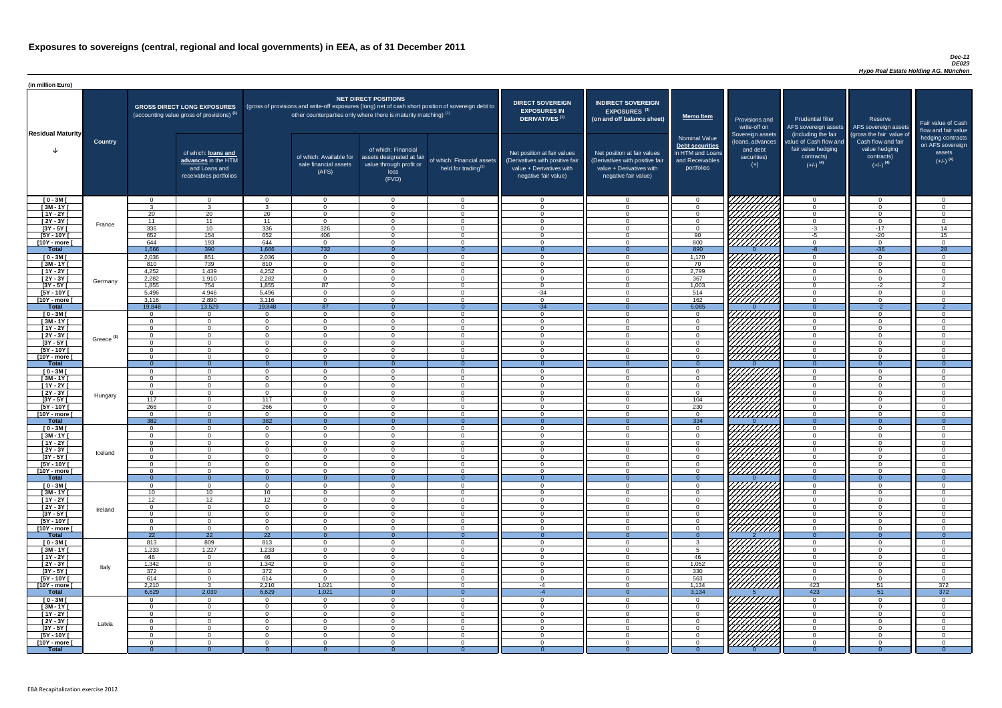### *Dec-11 DE023 Hypo Real Estate Holding AG, München*

| (in million Euro)             |                       |                                  |                                                                                             |                            |                                                                                                                                                                                   |                                                                                              |                                                      |                                                                                                                    |                                                                                                                    |                                                                                              |                                                                          |                                                                                                             |                                                                                                         |                                                                           |
|-------------------------------|-----------------------|----------------------------------|---------------------------------------------------------------------------------------------|----------------------------|-----------------------------------------------------------------------------------------------------------------------------------------------------------------------------------|----------------------------------------------------------------------------------------------|------------------------------------------------------|--------------------------------------------------------------------------------------------------------------------|--------------------------------------------------------------------------------------------------------------------|----------------------------------------------------------------------------------------------|--------------------------------------------------------------------------|-------------------------------------------------------------------------------------------------------------|---------------------------------------------------------------------------------------------------------|---------------------------------------------------------------------------|
| <b>Residual Maturity</b>      |                       |                                  | <b>GROSS DIRECT LONG EXPOSURES</b><br>(accounting value gross of provisions) <sup>(1)</sup> |                            | (gross of provisions and write-off exposures (long) net of cash short position of sovereign debt to<br>other counterparties only where there is maturity matching) <sup>(1)</sup> | <b>NET DIRECT POSITIONS</b>                                                                  |                                                      | <b>DIRECT SOVEREIGN</b><br><b>EXPOSURES IN</b><br>DERIVATIVES <sup>(1)</sup>                                       | <b>INDIRECT SOVEREIGN</b><br><b>EXPOSURES<sup>(3)</sup></b><br>(on and off balance sheet)                          | <b>Memo Item</b>                                                                             | Provisions and<br>write-off on                                           | <b>Prudential filter</b>                                                                                    | Reserve<br>AFS sovereign assets AFS sovereign assets                                                    | Fair value of Cash<br>flow and fair value                                 |
|                               | <b>Country</b>        |                                  | of which: loans and<br>advances in the HTM<br>and Loans and<br>receivables portfolios       |                            | of which: Available for<br>sale financial assets<br>(AFS)                                                                                                                         | of which: Financial<br>assets designated at fair<br>value through profit or<br>loss<br>(FVO) | of which: Financial assets<br>held for trading $(2)$ | Net position at fair values<br>(Derivatives with positive fair<br>value + Derivatives with<br>negative fair value) | Net position at fair values<br>(Derivatives with positive fair<br>value + Derivatives with<br>negative fair value) | <b>Nominal Value</b><br>Debt securities<br>in HTM and Loans<br>and Receivables<br>portfolios | Sovereign assets<br>(loans, advances<br>and debt<br>securities)<br>$(+)$ | (including the fair<br>value of Cash flow and<br>fair value hedging<br>contracts)<br>$(+/-)$ <sup>(4)</sup> | (gross the fair value of<br>Cash flow and fair<br>value hedging<br>contracts)<br>$(+/-)$ <sup>(4)</sup> | hedging contracts<br>on AFS sovereign<br>assets<br>$(+/-)$ <sup>(4)</sup> |
| $[0 - 3M]$                    |                       | $\Omega$                         | $\overline{0}$                                                                              | $\Omega$                   | $\overline{0}$                                                                                                                                                                    | $\Omega$                                                                                     | $\overline{0}$                                       | $\Omega$                                                                                                           | $\Omega$                                                                                                           | $\overline{0}$                                                                               | 7777777777                                                               | $\overline{0}$                                                                                              | $\Omega$                                                                                                | $\overline{0}$                                                            |
| $[3M - 1Y]$<br>$[1Y - 2Y]$    |                       | ્વ<br>20                         | $\mathbf{R}$<br>20                                                                          | 20                         | $\Omega$<br>$\Omega$                                                                                                                                                              | $\Omega$<br>$\Omega$                                                                         | $\Omega$<br>$\overline{0}$                           | $\cap$<br>$\cap$                                                                                                   | $\Omega$<br>$\Omega$                                                                                               | $\Omega$<br>$\Omega$                                                                         |                                                                          | $\Omega$<br>$\overline{0}$                                                                                  | $\Omega$<br>$\Omega$                                                                                    | $\cap$<br>$\Omega$                                                        |
| $[2Y - 3Y]$                   |                       | 11                               | 11                                                                                          | 11                         | $\overline{0}$                                                                                                                                                                    | $\Omega$                                                                                     | $\overline{0}$                                       | $\overline{0}$                                                                                                     | $\Omega$                                                                                                           | $\overline{0}$                                                                               |                                                                          | $\overline{0}$                                                                                              | $\Omega$                                                                                                | $\overline{0}$                                                            |
| $[3Y - 5Y]$                   | France                | 336                              | 10 <sup>1</sup>                                                                             | 336                        | 326                                                                                                                                                                               | $\Omega$                                                                                     | $\Omega$                                             | $\Omega$                                                                                                           | $\cap$                                                                                                             | $\Omega$                                                                                     | HAAAN<br>HAAAN                                                           | $-3$                                                                                                        | $-17$                                                                                                   | 14                                                                        |
| $[5Y - 10Y]$                  |                       | 652                              | 154                                                                                         | 652                        | 406                                                                                                                                                                               | $\Omega$                                                                                     | $\overline{0}$                                       | $\Omega$                                                                                                           | $\cap$                                                                                                             | 90                                                                                           |                                                                          | $-5$                                                                                                        | $-20$                                                                                                   | 15                                                                        |
| [10Y - more [<br><b>Total</b> |                       | 644<br>1,666                     | 193<br>390                                                                                  | 644<br>1,666               | $\overline{0}$<br>732                                                                                                                                                             | $\Omega$                                                                                     | $\overline{0}$<br>$\Omega$                           | 0<br>- 0                                                                                                           | $\Omega$                                                                                                           | 800<br>890                                                                                   |                                                                          | $\overline{0}$<br>$-8$                                                                                      | $\Omega$<br>$-36$                                                                                       | $\overline{0}$<br>$\overline{28}$                                         |
| $[0 - 3M]$                    |                       | 2,036                            | 851                                                                                         | 2,036                      | $\overline{0}$                                                                                                                                                                    | $\Omega$                                                                                     | $\overline{0}$                                       | $\cap$                                                                                                             |                                                                                                                    | 1,170                                                                                        |                                                                          | $\overline{0}$                                                                                              | $\Omega$                                                                                                | $\cap$                                                                    |
| $[3M - 1Y]$                   |                       | 810                              | 739                                                                                         | 810                        | $\overline{0}$                                                                                                                                                                    | $\Omega$                                                                                     | $\overline{0}$                                       | - 0                                                                                                                | $\cap$                                                                                                             | 70                                                                                           |                                                                          | $\overline{0}$                                                                                              | $\Omega$                                                                                                | $\Omega$                                                                  |
| $[1Y - 2Y]$                   |                       | 4,252                            | 1,439                                                                                       | 4,252                      | $\overline{0}$                                                                                                                                                                    | $\Omega$                                                                                     | $\overline{0}$                                       | $\Omega$                                                                                                           |                                                                                                                    | 2,799                                                                                        |                                                                          | $\overline{0}$                                                                                              | $\Omega$                                                                                                | $\Omega$                                                                  |
| [2Y - 3Y [                    | Germany               | 2,282                            | 1,910                                                                                       | 2,282                      | $\Omega$                                                                                                                                                                          | $\Omega$                                                                                     | $\Omega$                                             | $\cap$                                                                                                             |                                                                                                                    | 367                                                                                          |                                                                          | $\Omega$                                                                                                    | $\Omega$                                                                                                | $\cap$                                                                    |
| $[3Y - 5Y]$<br>$[5Y - 10Y]$   |                       | 1,855<br>5,496                   | 754<br>4,946                                                                                | 1,855<br>5,496             | 87<br>$\Omega$                                                                                                                                                                    | $\Omega$<br>$\Omega$                                                                         | $\overline{0}$<br>$\Omega$                           | $\Omega$<br>$-34$                                                                                                  |                                                                                                                    | 1,003<br>514                                                                                 |                                                                          | $\Omega$<br>$\Omega$                                                                                        | $-2$<br>$\Omega$                                                                                        | $\overline{2}$<br>$\cap$                                                  |
| [10Y - more [                 |                       | 3,116                            | 2,890                                                                                       | 3,116                      | $\Omega$                                                                                                                                                                          | $\cap$                                                                                       | $\Omega$                                             | $\sqrt{ }$                                                                                                         |                                                                                                                    | $162$                                                                                        |                                                                          | $\Omega$                                                                                                    | $\cap$                                                                                                  | $\Omega$                                                                  |
| <b>Total</b>                  |                       | 19,848                           | 13,529                                                                                      | 19,848                     | 87                                                                                                                                                                                |                                                                                              | $\Omega$                                             | $-34$                                                                                                              |                                                                                                                    | 6,085                                                                                        |                                                                          | $\overline{0}$                                                                                              | $-2$                                                                                                    | $\overline{2}$                                                            |
| $[0 - 3M]$                    |                       | $\Omega$                         | $\overline{0}$                                                                              | $\Omega$                   | $\Omega$                                                                                                                                                                          | $\Omega$                                                                                     | $\Omega$                                             | $\cap$                                                                                                             |                                                                                                                    | $\Omega$                                                                                     |                                                                          | $\Omega$                                                                                                    | $\Omega$                                                                                                | $\cap$                                                                    |
| $[3M - 1Y]$                   |                       | $\Omega$<br>$\Omega$             | $\overline{0}$<br>$\Omega$                                                                  | $\Omega$<br>$\Omega$       | $\Omega$                                                                                                                                                                          | $\Omega$<br>$\Omega$                                                                         | $\Omega$<br>$\Omega$                                 | $\cap$<br>$\cap$                                                                                                   |                                                                                                                    | $\Omega$<br>$\Omega$                                                                         |                                                                          | $\Omega$<br>$\Omega$                                                                                        | $\Omega$<br>$\Omega$                                                                                    | $\Omega$<br>$\Omega$                                                      |
| $[1Y - 2Y]$<br>$[2Y - 3Y]$    |                       | $\Omega$                         | $\Omega$                                                                                    | $\Omega$                   | $\Omega$<br>$\Omega$                                                                                                                                                              | $\Omega$                                                                                     | $\Omega$                                             |                                                                                                                    |                                                                                                                    | $\Omega$                                                                                     | <i>ШША</i>                                                               | $\Omega$                                                                                                    |                                                                                                         |                                                                           |
| $[3Y - 5Y]$                   | Greece <sup>(5)</sup> |                                  |                                                                                             |                            |                                                                                                                                                                                   |                                                                                              |                                                      |                                                                                                                    |                                                                                                                    |                                                                                              |                                                                          |                                                                                                             |                                                                                                         |                                                                           |
| $[5Y - 10Y]$                  |                       | - 0                              | $\Omega$                                                                                    | $\Omega$                   | $\Omega$                                                                                                                                                                          | $\Omega$                                                                                     | $\Omega$                                             |                                                                                                                    |                                                                                                                    | $\Omega$                                                                                     | HHHA                                                                     | $\Omega$                                                                                                    |                                                                                                         |                                                                           |
| [10Y - more [                 |                       | റ                                | $\cap$                                                                                      | $\Omega$                   | - ೧                                                                                                                                                                               | $\Omega$                                                                                     | $\Omega$                                             |                                                                                                                    |                                                                                                                    | $\Omega$                                                                                     | 7777777777                                                               | $\Omega$                                                                                                    |                                                                                                         |                                                                           |
| <b>Total</b><br>$[0 - 3M]$    |                       | $\Omega$<br>- 0                  | $\Omega$<br>$\Omega$                                                                        | $\Omega$<br>$\Omega$       | $\Omega$<br>$\Omega$                                                                                                                                                              | $\Omega$                                                                                     | $\Omega$<br>$\Omega$                                 | $\cap$                                                                                                             | $\cap$                                                                                                             | $\Omega$<br>$\Omega$                                                                         |                                                                          | $\Omega$<br>$\overline{0}$                                                                                  | $\Omega$<br>$\Omega$                                                                                    | $\Omega$                                                                  |
| $[3M - 1Y]$                   |                       | - റ                              | $\Omega$                                                                                    | $\Omega$                   | $\Omega$                                                                                                                                                                          | $\Omega$                                                                                     | $\Omega$                                             | $\cap$                                                                                                             | $\cap$                                                                                                             | $\Omega$                                                                                     |                                                                          | $\Omega$                                                                                                    | $\Omega$                                                                                                | ി                                                                         |
| $[1Y - 2Y]$                   |                       | $\Omega$                         | $\Omega$                                                                                    | $\Omega$                   | $\Omega$                                                                                                                                                                          | $\Omega$                                                                                     | $\Omega$                                             | $\Omega$                                                                                                           | $\Omega$                                                                                                           | $\Omega$                                                                                     | William                                                                  | $\overline{0}$                                                                                              | $\Omega$                                                                                                | $\Omega$                                                                  |
| $[2Y - 3Y]$                   | Hungary               | $\Omega$                         | $\Omega$                                                                                    | $\Omega$                   | $\Omega$                                                                                                                                                                          | $\Omega$                                                                                     | $\Omega$                                             | $\cap$                                                                                                             | $\Omega$                                                                                                           | $\Omega$                                                                                     |                                                                          | $\overline{0}$                                                                                              | $\Omega$                                                                                                | $\cap$                                                                    |
| $[3Y - 5Y]$<br>$[5Y - 10Y]$   |                       | 117<br>266                       | $\overline{0}$<br>$\overline{0}$                                                            | 117<br>266                 | $\Omega$<br>$\overline{0}$                                                                                                                                                        | $\Omega$<br>$\Omega$                                                                         | $\Omega$<br>$\Omega$                                 | $\Omega$<br>$\Omega$                                                                                               | $\Omega$<br>$\Omega$                                                                                               | 104<br>230                                                                                   |                                                                          | $\overline{0}$<br>$\overline{0}$                                                                            | $\Omega$<br>$\Omega$                                                                                    | $\Omega$<br>$\Omega$                                                      |
| [10Y - more [                 |                       | - 0                              | $\overline{0}$                                                                              | $\overline{0}$             | $\Omega$                                                                                                                                                                          | $\Omega$                                                                                     | $\overline{0}$                                       | - 0                                                                                                                | $\Omega$                                                                                                           | $\Omega$                                                                                     | <u>77777777</u>                                                          | $\overline{0}$                                                                                              | $\Omega$                                                                                                | - 0                                                                       |
| <b>Total</b>                  |                       | 382                              | $\overline{0}$                                                                              | 382                        | $\Omega$                                                                                                                                                                          |                                                                                              | $\Omega$                                             | $\Omega$                                                                                                           |                                                                                                                    | $\boxed{334}$                                                                                |                                                                          | $\overline{0}$                                                                                              | $\Omega$                                                                                                | $\Omega$                                                                  |
| $[0 - 3M]$                    |                       | $\overline{0}$                   | $\overline{0}$                                                                              | $\overline{0}$             | $\Omega$                                                                                                                                                                          | $\overline{0}$                                                                               | $\overline{0}$                                       | $\overline{0}$                                                                                                     | $\Omega$                                                                                                           | $\overline{0}$                                                                               |                                                                          | $\overline{0}$                                                                                              | $\mathbf{0}$                                                                                            | $\Omega$                                                                  |
| $1$ 3M - 1Y<br>$[1Y - 2Y]$    |                       | $\Omega$<br>$\Omega$             | $\overline{0}$<br>$\Omega$                                                                  | $\Omega$<br>$\Omega$       | $\Omega$<br>$\Omega$                                                                                                                                                              | $\Omega$<br>$\Omega$                                                                         | $\overline{0}$<br>$\Omega$                           | - 0<br>- 0                                                                                                         | $\cap$                                                                                                             | $\overline{0}$<br>$\Omega$                                                                   |                                                                          | $\overline{0}$<br>$\overline{0}$                                                                            | $\Omega$<br>$\Omega$                                                                                    | $\cap$<br>$\cap$                                                          |
| $[2Y - 3Y]$                   |                       | $\overline{0}$                   | $\overline{0}$                                                                              | $\overline{0}$             | $\Omega$                                                                                                                                                                          | $\Omega$                                                                                     | $\overline{0}$                                       | - 0                                                                                                                | $\Omega$                                                                                                           | $\Omega$                                                                                     |                                                                          | $\overline{0}$                                                                                              | $\Omega$                                                                                                | - 0                                                                       |
| $[3Y - 5Y]$                   | Iceland               | $\Omega$                         | $\Omega$                                                                                    | $\Omega$                   | $\Omega$                                                                                                                                                                          | $\Omega$                                                                                     | $\overline{0}$                                       | - റ                                                                                                                | $\cap$                                                                                                             | $\Omega$                                                                                     |                                                                          | $\overline{0}$                                                                                              | $\Omega$                                                                                                | - 0                                                                       |
| $[5Y - 10Y]$                  |                       | $\Omega$                         | $\Omega$                                                                                    | $\Omega$                   | $\Omega$                                                                                                                                                                          | $\Omega$                                                                                     | $\overline{0}$                                       | റ                                                                                                                  | ∩                                                                                                                  | $\Omega$                                                                                     | 777777777                                                                | $\overline{0}$                                                                                              | $\Omega$                                                                                                | $\cap$                                                                    |
| [10Y - more [<br><b>Total</b> |                       | $\Omega$<br>- റ                  | $\Omega$<br>$\overline{0}$                                                                  | $\Omega$<br>$\Omega$       | $\Omega$<br>$\Omega$                                                                                                                                                              | $\Omega$                                                                                     | $\Omega$<br>$\Omega$                                 | $\cap$<br>- ೧                                                                                                      | $\cap$                                                                                                             | $\Omega$<br>$\Omega$                                                                         | <u>VIIIIIII</u>                                                          | $\overline{0}$<br>$\overline{0}$                                                                            | $\cap$<br>$\overline{0}$                                                                                | റ<br>$\Omega$                                                             |
| $[0 - 3M]$                    |                       | $\Omega$                         | $\Omega$                                                                                    | $\Omega$                   | $\Omega$                                                                                                                                                                          | $\Omega$                                                                                     | $\Omega$                                             | $\Omega$                                                                                                           |                                                                                                                    | $\Omega$                                                                                     |                                                                          | $\Omega$                                                                                                    | $\cap$                                                                                                  | $\Omega$                                                                  |
| $[3M - 1Y]$                   |                       | 10                               | 10 <sup>°</sup>                                                                             | 10                         | $\overline{0}$                                                                                                                                                                    | $\Omega$                                                                                     | $\overline{0}$                                       | $\Omega$                                                                                                           | $\cap$                                                                                                             | $\Omega$                                                                                     | HAAAA<br>HAAAAA                                                          | $\overline{0}$                                                                                              | $\Omega$                                                                                                | $\cap$                                                                    |
| $[1Y - 2Y]$                   |                       | 12                               | 12                                                                                          | 12                         | $\Omega$                                                                                                                                                                          | $\Omega$                                                                                     | $\Omega$                                             | $\Omega$                                                                                                           | $\Omega$                                                                                                           | $\Omega$                                                                                     |                                                                          | $\Omega$                                                                                                    | $\Omega$                                                                                                | $\cap$                                                                    |
| $[2Y - 3Y]$<br>$[3Y - 5Y]$    | Ireland               | $\Omega$<br>$\Omega$             | $\Omega$<br>$\Omega$                                                                        | $\Omega$<br>$\Omega$       | $\Omega$<br>$\Omega$                                                                                                                                                              | $\Omega$<br>$\Omega$                                                                         | $\Omega$<br>$\Omega$                                 |                                                                                                                    |                                                                                                                    | $\Omega$<br>$\Omega$                                                                         |                                                                          | $\Omega$<br>$\Omega$                                                                                        | $\Omega$<br>$\Omega$                                                                                    |                                                                           |
| $[5Y - 10Y]$                  |                       | $\Omega$                         | $\Omega$                                                                                    | $\Omega$                   | $\Omega$                                                                                                                                                                          | $\Omega$                                                                                     | $\Omega$                                             |                                                                                                                    |                                                                                                                    | $\Omega$                                                                                     | HHHA<br>HHHA                                                             | $\Omega$                                                                                                    | $\Omega$                                                                                                |                                                                           |
| [10Y - more [                 |                       | $\Omega$                         | $\Omega$                                                                                    | $\Omega$                   | $\Omega$                                                                                                                                                                          | $\cap$                                                                                       | $\Omega$                                             |                                                                                                                    |                                                                                                                    | $\cap$                                                                                       |                                                                          | $\Omega$                                                                                                    | $\Omega$                                                                                                |                                                                           |
| <b>Total</b>                  |                       | 22                               | $\overline{22}$<br>809                                                                      | $\overline{22}$            | $\Omega$<br>$\Omega$                                                                                                                                                              | $\Omega$<br>$\Omega$                                                                         | $\Omega$<br>$\Omega$                                 |                                                                                                                    |                                                                                                                    | $\Omega$<br>ົ                                                                                |                                                                          | $\Omega$<br>$\Omega$                                                                                        | $\Omega$                                                                                                | $\Omega$                                                                  |
| $[0 - 3M]$<br>$[3M - 1Y]$     |                       | 813<br>1,233                     | 1,227                                                                                       | 813<br>1,233               | $\Omega$                                                                                                                                                                          | $\Omega$                                                                                     | $\Omega$                                             | $\cap$                                                                                                             | $\Omega$                                                                                                           |                                                                                              |                                                                          | $\overline{0}$                                                                                              | $\Omega$                                                                                                | $\cap$                                                                    |
| $[1Y - 2Y]$                   |                       | 46                               | $\overline{0}$                                                                              | 46                         | $\overline{0}$                                                                                                                                                                    | $\Omega$                                                                                     | $\Omega$                                             | $\cap$                                                                                                             |                                                                                                                    | 46                                                                                           | UMMA                                                                     | $\overline{0}$                                                                                              | $\Omega$                                                                                                | $\Omega$                                                                  |
| $[2Y - 3Y]$                   | Italy                 | 1,342                            | $\overline{0}$                                                                              | 1,342                      | $\overline{0}$                                                                                                                                                                    | $\Omega$                                                                                     | $\Omega$                                             | $\cap$                                                                                                             | $\Omega$                                                                                                           | 1,052                                                                                        | UIII III                                                                 | $\overline{0}$                                                                                              | $\Omega$                                                                                                | $\cap$                                                                    |
| $[3Y - 5Y]$                   |                       | 372                              | $\overline{0}$                                                                              | 372                        | $\overline{0}$                                                                                                                                                                    | $\Omega$                                                                                     | $\overline{0}$                                       | $\Omega$                                                                                                           | $\Omega$                                                                                                           | 330                                                                                          |                                                                          | $\overline{0}$                                                                                              | $\Omega$                                                                                                | $\Omega$                                                                  |
| $[5Y - 10Y]$<br>[10Y - more [ |                       | 614<br>2,210                     | $\overline{0}$<br>$\mathcal{R}$                                                             | 614<br>2,210               | $\overline{0}$<br>1,021                                                                                                                                                           | $\Omega$<br>$\Omega$                                                                         | $\Omega$<br>$\Omega$                                 | $\Omega$<br>$-4$                                                                                                   | $\Omega$<br>$\Omega$                                                                                               | 563<br>1,134                                                                                 | 777777777<br><u>///////////</u>                                          | $\overline{0}$<br>423                                                                                       | $\Omega$<br>51                                                                                          | $\Omega$<br>372                                                           |
| <b>Total</b>                  |                       | 6,629                            | 2,039                                                                                       | 6,629                      | 1,021                                                                                                                                                                             | $\Omega$                                                                                     | $\overline{0}$                                       | -4                                                                                                                 |                                                                                                                    | 3,134                                                                                        |                                                                          | 423                                                                                                         | 51                                                                                                      | $\frac{1}{372}$                                                           |
| $[0 - 3M]$                    |                       | $\Omega$                         | $\overline{0}$                                                                              | $\Omega$                   | $\Omega$                                                                                                                                                                          | $\Omega$                                                                                     | $\Omega$                                             | $\Omega$                                                                                                           |                                                                                                                    | $\overline{0}$                                                                               | 1 <i>77777777</i> 71                                                     | $\Omega$                                                                                                    | $\Omega$                                                                                                |                                                                           |
| $[3M-1Y]$                     |                       | $\overline{0}$                   | $\overline{0}$                                                                              | $\Omega$                   | $\Omega$                                                                                                                                                                          | $\Omega$                                                                                     | $\overline{0}$                                       | - 0                                                                                                                | $\Omega$                                                                                                           | $\Omega$                                                                                     |                                                                          | $\overline{0}$                                                                                              | $\Omega$                                                                                                | $\cap$                                                                    |
| $[1Y - 2Y]$<br>[2Y - 3Y [     |                       | $\overline{0}$<br>$\overline{0}$ | $\Omega$<br>$\overline{0}$                                                                  | $\Omega$<br>$\overline{0}$ | $\Omega$<br>$\Omega$                                                                                                                                                              | $\Omega$<br>$\overline{0}$                                                                   | $\overline{0}$<br>$\overline{0}$                     | $\Omega$<br>$\overline{\mathbf{0}}$                                                                                | $\Omega$<br>$\Omega$                                                                                               | $\overline{0}$<br>$\overline{0}$                                                             |                                                                          | $\overline{0}$<br>$\overline{0}$                                                                            | $\Omega$<br>$\Omega$                                                                                    | $\Omega$<br>- 0                                                           |
| $[3Y - 5Y]$                   | Latvia                | $\Omega$                         | $\overline{0}$                                                                              | $\overline{0}$             | $\Omega$                                                                                                                                                                          | $\overline{0}$                                                                               | $\overline{0}$                                       | $\overline{0}$                                                                                                     | $\Omega$                                                                                                           | $\Omega$                                                                                     |                                                                          | $\overline{0}$                                                                                              | - 0                                                                                                     | - 0                                                                       |
| $[5Y - 10Y]$                  |                       | $\Omega$                         | $\overline{0}$                                                                              | $\Omega$                   | $\Omega$                                                                                                                                                                          | $\overline{0}$                                                                               | $\overline{0}$                                       | - 0                                                                                                                | $\cap$                                                                                                             | $\Omega$                                                                                     | <b>Chillips</b>                                                          | $\overline{0}$                                                                                              | $\Omega$                                                                                                | $\Omega$                                                                  |
| [10Y - more [                 |                       | $\Omega$                         | $\overline{0}$                                                                              | $\overline{0}$             | $\Omega$                                                                                                                                                                          | $\overline{0}$                                                                               | $\overline{0}$                                       | - റ                                                                                                                | $\cap$                                                                                                             | $\Omega$                                                                                     |                                                                          | $\Omega$                                                                                                    | $\Omega$                                                                                                | $\Omega$                                                                  |
| <b>Total</b>                  |                       |                                  | $\Omega$                                                                                    |                            |                                                                                                                                                                                   |                                                                                              |                                                      |                                                                                                                    |                                                                                                                    |                                                                                              |                                                                          |                                                                                                             |                                                                                                         |                                                                           |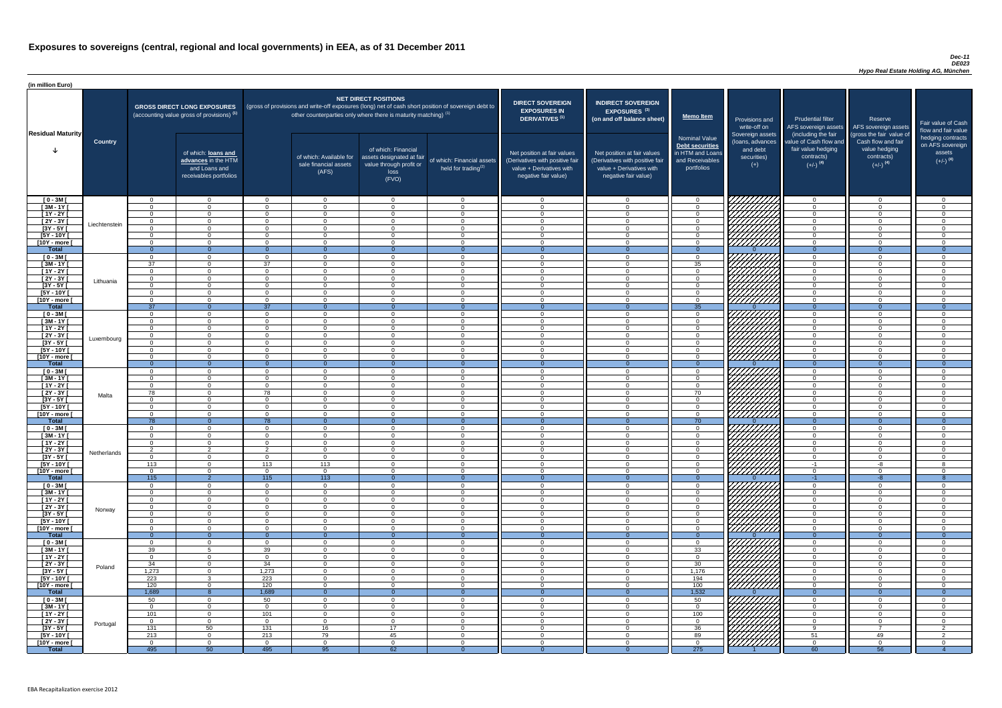### *Dec-11 DE023 Hypo Real Estate Holding AG, München*

| <b>DIRECT SOVEREIGN</b><br><b>EXPOSURES IN</b><br><b>DERIVATIVES<sup>(1)</sup></b><br>Net position at fair values<br>(Derivatives with positive fair<br>value + Derivatives with<br>negative fair value) | <b>INDIRECT SOVEREIGN</b><br>EXPOSURES <sup>(3)</sup><br>(on and off balance sheet)<br>Net position at fair values<br>(Derivatives with positive fair<br>value + Derivatives with<br>negative fair value) | <b>Memo Item</b><br><b>Nominal Value</b><br><b>Debt securities</b><br>in HTM and Loans<br>and Receivables<br>portfolios | Provisions and<br>write-off on<br>Sovereign assets<br>(loans, advances<br>and debt<br>securities)<br>$(+)$ | <b>Prudential filter</b><br>AFS sovereign assets<br>(including the fair<br>value of Cash flow and<br>fair value hedging<br>contracts)<br>$(+/-)$ <sup>(4)</sup> | Reserve<br>AFS sovereign assets<br>(gross the fair value of<br>Cash flow and fair<br>value hedging<br>contracts)<br>$(+/-)$ <sup>(4)</sup> | Fair value of Cash<br>flow and fair value<br>hedging contracts<br>on AFS sovereign<br>assets<br>$(+/-)$ <sup>(4)</sup> |
|----------------------------------------------------------------------------------------------------------------------------------------------------------------------------------------------------------|-----------------------------------------------------------------------------------------------------------------------------------------------------------------------------------------------------------|-------------------------------------------------------------------------------------------------------------------------|------------------------------------------------------------------------------------------------------------|-----------------------------------------------------------------------------------------------------------------------------------------------------------------|--------------------------------------------------------------------------------------------------------------------------------------------|------------------------------------------------------------------------------------------------------------------------|
| 0                                                                                                                                                                                                        | $\mathbf 0$                                                                                                                                                                                               | $\overline{0}$                                                                                                          |                                                                                                            | $\overline{0}$                                                                                                                                                  | $\overline{0}$                                                                                                                             | 0                                                                                                                      |
| $\mathbf 0$                                                                                                                                                                                              | $\mathbf 0$                                                                                                                                                                                               | $\mathbf 0$                                                                                                             |                                                                                                            | $\mathbf 0$                                                                                                                                                     | $\mathbf 0$                                                                                                                                | 0                                                                                                                      |
| $\mathbf 0$                                                                                                                                                                                              | $\mathbf 0$                                                                                                                                                                                               | $\mathbf 0$                                                                                                             |                                                                                                            | $\mathbf 0$                                                                                                                                                     | $\mathbf 0$                                                                                                                                | 0                                                                                                                      |
| $\mathbf 0$                                                                                                                                                                                              | $\mathbf 0$                                                                                                                                                                                               | $\mathbf 0$                                                                                                             |                                                                                                            | $\mathbf 0$                                                                                                                                                     | 0                                                                                                                                          | 0                                                                                                                      |
| $\mathbf 0$                                                                                                                                                                                              | $\mathbf 0$                                                                                                                                                                                               | $\mathsf{O}\xspace$                                                                                                     |                                                                                                            | $\pmb{0}$                                                                                                                                                       | $\mathbf 0$                                                                                                                                | 0                                                                                                                      |
| $\mathbf 0$                                                                                                                                                                                              | $\mathbf 0$                                                                                                                                                                                               | $\mathbf 0$                                                                                                             |                                                                                                            | $\mathbf 0$                                                                                                                                                     | $\mathbf 0$                                                                                                                                | 0                                                                                                                      |
| $\mathbf 0$<br>$\overline{0}$                                                                                                                                                                            | $\mathbf 0$<br>$\overline{0}$                                                                                                                                                                             | $\mathbf 0$<br>$\overline{0}$                                                                                           | $\Omega$                                                                                                   | $\pmb{0}$<br>$\overline{0}$                                                                                                                                     | $\mathbf 0$<br>$\overline{0}$                                                                                                              | 0<br>$\overline{0}$                                                                                                    |
| $\mathbf 0$                                                                                                                                                                                              | $\mathbf 0$                                                                                                                                                                                               | $\mathbf 0$                                                                                                             |                                                                                                            | $\mathbf 0$                                                                                                                                                     | $\mathbf 0$                                                                                                                                | $\mathbf 0$                                                                                                            |
| $\mathbf 0$                                                                                                                                                                                              | $\mathbf 0$                                                                                                                                                                                               | 35                                                                                                                      |                                                                                                            | $\mathbf 0$                                                                                                                                                     | $\mathbf 0$                                                                                                                                | 0                                                                                                                      |
| $\mathbf 0$                                                                                                                                                                                              | $\mathbf 0$                                                                                                                                                                                               | $\mathbf 0$                                                                                                             |                                                                                                            | $\mathbf 0$                                                                                                                                                     | $\mathbf 0$                                                                                                                                | 0                                                                                                                      |
| $\mathbf 0$                                                                                                                                                                                              | $\mathbf 0$                                                                                                                                                                                               | $\mathbf 0$                                                                                                             |                                                                                                            | $\mathbf 0$                                                                                                                                                     | $\mathbf 0$                                                                                                                                | 0                                                                                                                      |
| $\mathbf 0$                                                                                                                                                                                              | $\mathbf 0$                                                                                                                                                                                               | $\mathbf 0$                                                                                                             |                                                                                                            | $\mathbf 0$                                                                                                                                                     | $\mathbf 0$                                                                                                                                | 0                                                                                                                      |
| $\mathbf 0$                                                                                                                                                                                              | $\mathbf 0$                                                                                                                                                                                               | $\mathbf 0$                                                                                                             |                                                                                                            | $\mathbf 0$                                                                                                                                                     | $\mathbf 0$                                                                                                                                | 0                                                                                                                      |
| $\mathbf 0$                                                                                                                                                                                              | $\mathbf 0$                                                                                                                                                                                               | $\mathbf 0$                                                                                                             |                                                                                                            | 0                                                                                                                                                               | $\mathbf 0$                                                                                                                                | 0                                                                                                                      |
| $\mathbf{0}$                                                                                                                                                                                             | $\overline{0}$                                                                                                                                                                                            | 35                                                                                                                      | $\Omega$                                                                                                   | $\overline{0}$                                                                                                                                                  | $\overline{0}$                                                                                                                             | $\overline{0}$                                                                                                         |
| $\mathbf 0$                                                                                                                                                                                              | $\mathbf 0$                                                                                                                                                                                               | $\mathbf 0$                                                                                                             |                                                                                                            | $\mathbf 0$                                                                                                                                                     | $\mathbf 0$                                                                                                                                | 0                                                                                                                      |
| $\pmb{0}$<br>$\pmb{0}$                                                                                                                                                                                   | $\mathbf 0$<br>$\mathbf 0$                                                                                                                                                                                | $\mathbf 0$<br>$\mathbf 0$                                                                                              |                                                                                                            | $\mathbf 0$<br>$\mathbf 0$                                                                                                                                      | $\mathbf 0$<br>$\mathbf 0$                                                                                                                 | 0<br>0                                                                                                                 |
| $\mathbf 0$                                                                                                                                                                                              | $\mathbf 0$                                                                                                                                                                                               | $\mathbf 0$                                                                                                             |                                                                                                            | $\mathbf 0$                                                                                                                                                     | $\mathbf 0$                                                                                                                                | 0                                                                                                                      |
| $\mathbf 0$                                                                                                                                                                                              | $\mathbf 0$                                                                                                                                                                                               | $\mathbf 0$                                                                                                             |                                                                                                            | $\mathbf 0$                                                                                                                                                     | $\overline{0}$                                                                                                                             | 0                                                                                                                      |
| 0                                                                                                                                                                                                        | 0                                                                                                                                                                                                         | 0                                                                                                                       |                                                                                                            | 0                                                                                                                                                               | 0                                                                                                                                          | 0                                                                                                                      |
| $\boldsymbol{0}$                                                                                                                                                                                         | $\mathbf 0$                                                                                                                                                                                               | $\mathbf 0$                                                                                                             |                                                                                                            | $\mathbf 0$                                                                                                                                                     | $\mathbf 0$                                                                                                                                | 0                                                                                                                      |
| $\mathbf{0}$                                                                                                                                                                                             | $\overline{0}$                                                                                                                                                                                            | $\overline{0}$                                                                                                          | $\overline{0}$                                                                                             | $\overline{0}$                                                                                                                                                  | $\overline{0}$                                                                                                                             | $\overline{0}$                                                                                                         |
| $\boldsymbol{0}$                                                                                                                                                                                         | $\boldsymbol{0}$                                                                                                                                                                                          | $\mathbf 0$                                                                                                             |                                                                                                            | $\mathbf 0$                                                                                                                                                     | $\mathbf 0$                                                                                                                                | 0                                                                                                                      |
| $\mathbf 0$                                                                                                                                                                                              | $\mathbf 0$                                                                                                                                                                                               | $\mathbf 0$                                                                                                             |                                                                                                            | $\mathbf 0$                                                                                                                                                     | $\mathbf 0$                                                                                                                                | 0                                                                                                                      |
| $\mathbf 0$                                                                                                                                                                                              | 0                                                                                                                                                                                                         | $\mathbf 0$                                                                                                             |                                                                                                            | $\mathbf 0$                                                                                                                                                     | $\mathbf 0$                                                                                                                                | 0                                                                                                                      |
| $\mathbf 0$<br>$\mathbf 0$                                                                                                                                                                               | 0                                                                                                                                                                                                         | $\overline{70}$                                                                                                         |                                                                                                            | 0                                                                                                                                                               | $\Omega$<br>$\mathbf 0$                                                                                                                    | 0<br>0                                                                                                                 |
| $\mathbf 0$                                                                                                                                                                                              | $\mathbf 0$<br>$\mathbf 0$                                                                                                                                                                                | $\pmb{0}$<br>$\boldsymbol{0}$                                                                                           |                                                                                                            | 0<br>$\mathbf 0$                                                                                                                                                | $\mathbf 0$                                                                                                                                | 0                                                                                                                      |
| $\mathbf 0$                                                                                                                                                                                              | $\mathbf 0$                                                                                                                                                                                               | $\overline{0}$                                                                                                          |                                                                                                            | $\mathbf 0$                                                                                                                                                     | $\mathbf 0$                                                                                                                                | 0                                                                                                                      |
| $\mathbf{0}$                                                                                                                                                                                             | $\overline{0}$                                                                                                                                                                                            | $\overline{70}$                                                                                                         | $\overline{0}$                                                                                             | $\overline{0}$                                                                                                                                                  | $\overline{0}$                                                                                                                             | $\mathbf 0$                                                                                                            |
| $\mathbf 0$                                                                                                                                                                                              | $\mathbf 0$                                                                                                                                                                                               | $\mathbf 0$                                                                                                             |                                                                                                            | $\mathbf 0$                                                                                                                                                     | 0                                                                                                                                          | 0                                                                                                                      |
| $\mathbf 0$                                                                                                                                                                                              | 0                                                                                                                                                                                                         | $\mathbf 0$                                                                                                             |                                                                                                            | $\mathbf 0$                                                                                                                                                     | 0                                                                                                                                          | 0                                                                                                                      |
| $\mathbf 0$                                                                                                                                                                                              | $\mathbf 0$                                                                                                                                                                                               | $\mathsf 0$                                                                                                             |                                                                                                            | $\mathbf 0$                                                                                                                                                     | $\mathbf 0$                                                                                                                                | 0                                                                                                                      |
| $\mathbf 0$                                                                                                                                                                                              | $\mathbf 0$                                                                                                                                                                                               | $\mathbf 0$                                                                                                             |                                                                                                            | $\mathbf 0$                                                                                                                                                     | $\mathbf 0$                                                                                                                                | 0                                                                                                                      |
| $\mathbf 0$                                                                                                                                                                                              | 0                                                                                                                                                                                                         | $\mathbf 0$                                                                                                             |                                                                                                            | $\mathbf 0$                                                                                                                                                     | 0<br>-8                                                                                                                                    | 0<br>8                                                                                                                 |
| $\mathbf 0$<br>$\mathbf 0$                                                                                                                                                                               | 0<br>0                                                                                                                                                                                                    | $\mathbf 0$<br>$\mathbf 0$                                                                                              |                                                                                                            | $-1$<br>$\mathbf 0$                                                                                                                                             | $\mathbf 0$                                                                                                                                | 0                                                                                                                      |
| $\mathbf{0}$                                                                                                                                                                                             | $\overline{0}$                                                                                                                                                                                            | $\mathbf{0}$                                                                                                            | $\overline{0}$                                                                                             | $-1$                                                                                                                                                            | $-\frac{8}{3}$                                                                                                                             | $\overline{8}$                                                                                                         |
| $\mathbf 0$                                                                                                                                                                                              | 0                                                                                                                                                                                                         | $\mathbf 0$                                                                                                             |                                                                                                            | $\mathbf 0$                                                                                                                                                     | 0                                                                                                                                          | 0                                                                                                                      |
| $\mathbf 0$                                                                                                                                                                                              | $\mathbf 0$                                                                                                                                                                                               | $\mathbf 0$                                                                                                             |                                                                                                            | $\mathbf 0$                                                                                                                                                     | $\mathbf 0$                                                                                                                                | 0                                                                                                                      |
| $\pmb{0}$                                                                                                                                                                                                | $\mathbf 0$                                                                                                                                                                                               | $\mathbf 0$                                                                                                             |                                                                                                            | $\mathbf 0$                                                                                                                                                     | $\mathbf 0$                                                                                                                                | 0                                                                                                                      |
| $\mathbf 0$                                                                                                                                                                                              | $\mathbf 0$                                                                                                                                                                                               | $\mathbf 0$                                                                                                             |                                                                                                            | $\mathbf 0$                                                                                                                                                     | $\mathbf 0$                                                                                                                                | 0                                                                                                                      |
| $\mathbf 0$                                                                                                                                                                                              | $\mathbf 0$                                                                                                                                                                                               | $\mathbf 0$                                                                                                             |                                                                                                            | $\mathbf 0$                                                                                                                                                     | $\mathbf 0$                                                                                                                                | 0                                                                                                                      |
| $\mathbf 0$                                                                                                                                                                                              | 0                                                                                                                                                                                                         | $\mathbf 0$                                                                                                             |                                                                                                            | $\mathbf 0$                                                                                                                                                     | $\mathbf 0$                                                                                                                                | 0                                                                                                                      |
| $\mathbf 0$<br>$\mathbf{0}$                                                                                                                                                                              | $\mathbf 0$<br>$\overline{0}$                                                                                                                                                                             | $\mathbf 0$<br>$\overline{0}$                                                                                           | $\overline{0}$                                                                                             | $\mathbf 0$<br>$\overline{0}$                                                                                                                                   | $\mathbf 0$<br>$\overline{0}$                                                                                                              | 0<br>$\overline{0}$                                                                                                    |
| $\mathbf 0$                                                                                                                                                                                              | $\mathbf 0$                                                                                                                                                                                               | $\mathbf 0$                                                                                                             |                                                                                                            | $\mathbf 0$                                                                                                                                                     | $\mathbf 0$                                                                                                                                | 0                                                                                                                      |
| $\mathbf 0$                                                                                                                                                                                              | $\mathbf 0$                                                                                                                                                                                               | 33                                                                                                                      |                                                                                                            | $\mathbf 0$                                                                                                                                                     | $\mathbf 0$                                                                                                                                | 0                                                                                                                      |
| $\mathbf 0$                                                                                                                                                                                              | $\mathbf 0$                                                                                                                                                                                               | $\mathbf 0$                                                                                                             |                                                                                                            | $\mathbf 0$                                                                                                                                                     | $\mathbf 0$                                                                                                                                | 0                                                                                                                      |
| $\mathbf 0$                                                                                                                                                                                              | 0                                                                                                                                                                                                         | 30                                                                                                                      |                                                                                                            | 0                                                                                                                                                               | 0                                                                                                                                          | 0                                                                                                                      |
| $\mathbf 0$                                                                                                                                                                                              | $\pmb{0}$                                                                                                                                                                                                 | 1,176                                                                                                                   |                                                                                                            | 0                                                                                                                                                               | $\pmb{0}$                                                                                                                                  | 0                                                                                                                      |
| $\mathbf 0$                                                                                                                                                                                              | $\mathbf 0$                                                                                                                                                                                               | 194                                                                                                                     |                                                                                                            | $\mathbf 0$                                                                                                                                                     | $\mathbf 0$                                                                                                                                | 0                                                                                                                      |
| $\mathbf 0$                                                                                                                                                                                              | $\mathbf 0$                                                                                                                                                                                               | 100                                                                                                                     |                                                                                                            | 0                                                                                                                                                               | $\mathbf 0$                                                                                                                                | 0                                                                                                                      |
| $\mathbf 0$                                                                                                                                                                                              | $\overline{0}$<br>$\mathbf 0$                                                                                                                                                                             | 1,532                                                                                                                   | $\overline{0}$                                                                                             | $\overline{0}$                                                                                                                                                  | $\overline{0}$<br>$\mathbf 0$                                                                                                              | $\overline{0}$                                                                                                         |
| 0<br>0                                                                                                                                                                                                   | 0                                                                                                                                                                                                         | 50<br>$\boldsymbol{0}$                                                                                                  | ンノノ                                                                                                        | 0<br>$\mathbf 0$                                                                                                                                                | $\overline{0}$                                                                                                                             | 0<br>0                                                                                                                 |
| $\mathbf 0$                                                                                                                                                                                              | $\mathbf 0$                                                                                                                                                                                               | 100                                                                                                                     |                                                                                                            | $\mathbf 0$                                                                                                                                                     | $\mathbf 0$                                                                                                                                | 0                                                                                                                      |
| $\mathbf 0$                                                                                                                                                                                              | $\mathbf 0$                                                                                                                                                                                               | $\overline{0}$                                                                                                          |                                                                                                            | $\overline{0}$                                                                                                                                                  | $\overline{0}$                                                                                                                             | $\overline{0}$                                                                                                         |
| $\mathbf 0$                                                                                                                                                                                              | $\overline{0}$                                                                                                                                                                                            | 36                                                                                                                      |                                                                                                            | 9                                                                                                                                                               | $\overline{7}$                                                                                                                             | $\overline{c}$                                                                                                         |
| $\mathbf 0$                                                                                                                                                                                              | $\mathbf 0$                                                                                                                                                                                               | 89                                                                                                                      |                                                                                                            | 51                                                                                                                                                              | 49                                                                                                                                         | $\overline{2}$                                                                                                         |
| $\mathbf 0$                                                                                                                                                                                              | $\mathbf 0$                                                                                                                                                                                               | $\boldsymbol{0}$                                                                                                        |                                                                                                            | $\overline{0}$                                                                                                                                                  | $\overline{0}$                                                                                                                             | 0                                                                                                                      |
| $\overline{0}$                                                                                                                                                                                           | $\overline{0}$                                                                                                                                                                                            | 275                                                                                                                     |                                                                                                            | 60                                                                                                                                                              | 56                                                                                                                                         | $\overline{4}$                                                                                                         |

| (in million Euro)             |                |                            |                                                                                             |                      |                                                                            |                                                                                              |                                                                                                     |                                                                                                                    |                                                                                                                    |                                                                                       |                                                                          |                                                                                                             |                                                                                                         |                                                   |
|-------------------------------|----------------|----------------------------|---------------------------------------------------------------------------------------------|----------------------|----------------------------------------------------------------------------|----------------------------------------------------------------------------------------------|-----------------------------------------------------------------------------------------------------|--------------------------------------------------------------------------------------------------------------------|--------------------------------------------------------------------------------------------------------------------|---------------------------------------------------------------------------------------|--------------------------------------------------------------------------|-------------------------------------------------------------------------------------------------------------|---------------------------------------------------------------------------------------------------------|---------------------------------------------------|
| <b>Residual Maturity</b>      |                |                            | <b>GROSS DIRECT LONG EXPOSURES</b><br>(accounting value gross of provisions) <sup>(1)</sup> |                      | other counterparties only where there is maturity matching) <sup>(1)</sup> | <b>NET DIRECT POSITIONS</b>                                                                  | (gross of provisions and write-off exposures (long) net of cash short position of sovereign debt to | <b>DIRECT SOVEREIGN</b><br><b>EXPOSURES IN</b><br>DERIVATIVES <sup>(1)</sup>                                       | <b>INDIRECT SOVEREIGN</b><br><b>EXPOSURES<sup>(3)</sup></b><br>(on and off balance sheet)                          | <b>Memo Item</b>                                                                      | Provisions and<br>write-off on                                           | <b>Prudential filter</b><br>AFS sovereign assets                                                            | Reserve<br>AFS sovereign assets                                                                         | Fair value<br>flow and f                          |
|                               | <b>Country</b> |                            | of which: loans and<br>advances in the HTM<br>and Loans and<br>receivables portfolios       |                      | of which: Available for<br>sale financial assets<br>(AFS)                  | of which: Financial<br>assets designated at fair<br>value through profit or<br>loss<br>(FVO) | of which: Financial assets<br>held for trading <sup>(2)</sup>                                       | Net position at fair values<br>(Derivatives with positive fair<br>value + Derivatives with<br>negative fair value) | Net position at fair values<br>(Derivatives with positive fair<br>value + Derivatives with<br>negative fair value) | Nominal Value<br>Debt securities<br>in HTM and Loans<br>and Receivables<br>portfolios | Sovereign assets<br>(loans, advances<br>and debt<br>securities)<br>$(+)$ | (including the fair<br>value of Cash flow and<br>fair value hedging<br>contracts)<br>$(+/-)$ <sup>(4)</sup> | (gross the fair value of<br>Cash flow and fair<br>value hedging<br>contracts)<br>$(+/-)$ <sup>(4)</sup> | hedging o<br>on AFS <sub>s</sub><br>ass<br>$(+/-$ |
| $[0 - 3M]$                    |                | $\Omega$                   | $\Omega$                                                                                    | $\Omega$             | $\Omega$                                                                   | $\Omega$                                                                                     | $\cap$                                                                                              | $\cap$                                                                                                             | $\Omega$                                                                                                           | $\Omega$                                                                              | 777777777                                                                | $\Omega$                                                                                                    | $\Omega$                                                                                                |                                                   |
| $\sqrt{3M-1Y}$                |                | $\cap$<br>$\Omega$         | $\Omega$                                                                                    | $\Omega$             | $\Omega$                                                                   | $\Omega$                                                                                     | $\Omega$<br>$\Omega$                                                                                | $\Omega$                                                                                                           | $\Omega$<br>$\cap$                                                                                                 | $\Omega$<br>$\Omega$                                                                  |                                                                          | $\Omega$                                                                                                    | $\Omega$<br>$\Omega$                                                                                    |                                                   |
| $[1Y - 2Y]$<br>$[2Y - 3Y]$    |                | $\Omega$                   | $\Omega$<br>$\Omega$                                                                        | $\Omega$<br>$\Omega$ | $\Omega$<br>$\Omega$                                                       | $\Omega$<br>$\Omega$                                                                         | $\cap$                                                                                              | $\Omega$                                                                                                           | $\cap$                                                                                                             | $\Omega$                                                                              |                                                                          | $\overline{0}$<br>$\Omega$                                                                                  | $\Omega$                                                                                                |                                                   |
| $[3Y - 5Y]$                   | Liechtenstein  | $\Omega$                   | $\Omega$                                                                                    | $\Omega$             | $\Omega$                                                                   | $\Omega$                                                                                     | $\Omega$                                                                                            | $\Omega$                                                                                                           | $\cap$                                                                                                             | $\Omega$                                                                              | HAAA<br>HAAAA                                                            | $\Omega$                                                                                                    | $\Omega$                                                                                                |                                                   |
| $[5Y - 10Y]$                  |                | $\Omega$                   | $\Omega$                                                                                    | $\Omega$             | $\overline{0}$                                                             | $\Omega$                                                                                     | $\Omega$                                                                                            | $\Omega$                                                                                                           | $\Omega$                                                                                                           | $\Omega$                                                                              |                                                                          | $\Omega$                                                                                                    | $\Omega$                                                                                                |                                                   |
| [10Y - more [<br><b>Total</b> |                | $\Omega$<br>$\overline{0}$ | $\Omega$<br>$\Omega$                                                                        | $\Omega$<br>- 0      | $\overline{0}$<br>$\Omega$                                                 | $\Omega$<br>$\Omega$                                                                         | $\Omega$<br>$\Omega$                                                                                | $\Omega$                                                                                                           | $\Omega$                                                                                                           | $\Omega$<br>$\Omega$                                                                  | /////////                                                                | $\overline{0}$<br>$\overline{0}$                                                                            | $\Omega$<br>$\Omega$                                                                                    |                                                   |
| $[0 - 3M]$                    |                | $\Omega$                   | $\Omega$                                                                                    | $\Omega$             | $\Omega$                                                                   | $\Omega$                                                                                     | $\Omega$                                                                                            | $\Omega$                                                                                                           | $\cap$                                                                                                             | $\overline{0}$                                                                        |                                                                          | $\Omega$                                                                                                    | $\Omega$                                                                                                |                                                   |
| $[3M - 1Y]$                   |                | $\overline{37}$            | $\Omega$                                                                                    | $\overline{37}$      | $\Omega$                                                                   | $\Omega$                                                                                     | $\Omega$                                                                                            | $\cap$                                                                                                             | $\cap$                                                                                                             | 35                                                                                    |                                                                          | $\Omega$                                                                                                    | $\Omega$                                                                                                |                                                   |
| $[1Y - 2Y]$                   |                | $\cap$                     | $\Omega$                                                                                    | $\Omega$             | $\Omega$                                                                   | $\Omega$                                                                                     |                                                                                                     |                                                                                                                    | $\Omega$                                                                                                           | $\Omega$                                                                              |                                                                          | $\Omega$                                                                                                    | $\Omega$                                                                                                |                                                   |
| $[2Y - 3Y]$<br>$[3Y - 5Y]$    | Lithuania      | $\Omega$<br>$\Omega$       | $\Omega$<br>$\Omega$                                                                        | $\Omega$<br>$\Omega$ | $\Omega$<br>$\Omega$                                                       | $\Omega$<br>$\Omega$                                                                         | $\cap$                                                                                              | $\cap$                                                                                                             | $\cap$<br>$\Omega$                                                                                                 | $\Omega$<br>$\Omega$                                                                  |                                                                          | $\Omega$<br>$\Omega$                                                                                        | $\Omega$<br>$\Omega$                                                                                    |                                                   |
| $[5Y - 10Y]$                  |                | $\cap$                     | $\Omega$                                                                                    | $\Omega$             | $\Omega$                                                                   | $\Omega$                                                                                     |                                                                                                     | $\Omega$                                                                                                           | റ                                                                                                                  | $\Omega$                                                                              |                                                                          | $\Omega$                                                                                                    | $\Omega$                                                                                                |                                                   |
| [10Y - more [                 |                | $\Omega$                   | $\Omega$                                                                                    | $\Omega$             | $\Omega$                                                                   | $\Omega$                                                                                     | $\Omega$                                                                                            | $\Omega$                                                                                                           | $\cap$                                                                                                             | $\Omega$                                                                              |                                                                          | $\overline{0}$                                                                                              | $\Omega$                                                                                                |                                                   |
| <b>Total</b>                  |                | 37                         | - റ                                                                                         | $\overline{37}$      | $\Omega$                                                                   | $\Omega$                                                                                     |                                                                                                     |                                                                                                                    |                                                                                                                    | 35                                                                                    | 77777777                                                                 | $\Omega$                                                                                                    | $\Omega$                                                                                                |                                                   |
| $[0 - 3M]$<br>$[3M - 1Y]$     |                | $\Omega$<br>$\Omega$       | $\Omega$<br>$\Omega$                                                                        | $\Omega$<br>$\Omega$ | $\Omega$<br>$\Omega$                                                       | $\Omega$<br>$\Omega$                                                                         | $\Omega$<br>$\Omega$                                                                                | $\Omega$<br>$\Omega$                                                                                               | $\Omega$<br>$\cap$                                                                                                 | . വ<br>$\Omega$                                                                       |                                                                          | $\Omega$<br>$\Omega$                                                                                        | $\Omega$<br>$\Omega$                                                                                    |                                                   |
| $[1Y - 2Y]$                   |                | $\Omega$                   | $\Omega$                                                                                    | $\Omega$             | $\overline{0}$                                                             | $\Omega$                                                                                     | $\cap$                                                                                              | $\Omega$                                                                                                           | $\Omega$                                                                                                           | $\Omega$                                                                              |                                                                          | $\Omega$                                                                                                    | $\overline{0}$                                                                                          |                                                   |
| $[2Y - 3Y]$                   | Luxembourg     | $\Omega$                   | $\cap$                                                                                      | $\Omega$             | $\Omega$                                                                   | $\Omega$                                                                                     |                                                                                                     |                                                                                                                    | $\cap$                                                                                                             | $\Omega$                                                                              | <i>VIIIII</i> IA                                                         | $\Omega$                                                                                                    | $\Omega$                                                                                                |                                                   |
| $[3Y - 5Y]$                   |                |                            |                                                                                             |                      |                                                                            |                                                                                              |                                                                                                     |                                                                                                                    |                                                                                                                    |                                                                                       | 1 <i>0000000</i>                                                         |                                                                                                             |                                                                                                         |                                                   |
| [5Y - 10Y [<br>[10Y - more [  |                | $\cap$                     | $\Omega$<br>$\Omega$                                                                        | - 0<br>$\Omega$      | $\overline{0}$<br>$\Omega$                                                 | $\overline{0}$<br>$\Omega$                                                                   |                                                                                                     |                                                                                                                    | $\Omega$<br>$\Omega$                                                                                               | $\Omega$<br>റ                                                                         | <u>777777777</u>                                                         | $\Omega$<br>$\Omega$                                                                                        | $\Omega$<br>$\Omega$                                                                                    |                                                   |
| <b>Total</b>                  |                | $\Omega$                   | $\Omega$                                                                                    | $\Omega$             | $\Omega$                                                                   | - 0                                                                                          | $\Omega$                                                                                            |                                                                                                                    | $\Omega$                                                                                                           | $\Omega$                                                                              |                                                                          | $\Omega$                                                                                                    | $\Omega$                                                                                                |                                                   |
| $[0 - 3M]$                    |                | $\Omega$                   | $\Omega$                                                                                    | $\Omega$             | $\overline{0}$                                                             | $\Omega$                                                                                     | $\Omega$                                                                                            | $\Omega$                                                                                                           | $\Omega$                                                                                                           | $\Omega$                                                                              |                                                                          | $\Omega$                                                                                                    | $\Omega$                                                                                                |                                                   |
| $[3M - 1Y]$                   |                | $\cap$                     | $\Omega$                                                                                    | $\Omega$             | $\Omega$                                                                   | $\Omega$                                                                                     | $\cap$                                                                                              | $\cap$                                                                                                             | $\Omega$                                                                                                           | $\Omega$                                                                              | Н                                                                        | $\Omega$                                                                                                    | $\Omega$                                                                                                |                                                   |
| $[1Y - 2Y]$<br>$[2Y - 3Y]$    |                | $\Omega$<br>78             | $\Omega$<br>$\Omega$                                                                        | $\Omega$<br>78       | $\overline{0}$<br>$\overline{0}$                                           | $\Omega$<br>$\Omega$                                                                         | $\Omega$<br>$\Omega$                                                                                | $\cap$<br>∩                                                                                                        | $\Omega$<br>$\Omega$                                                                                               | $\overline{0}$<br>70                                                                  | ビク                                                                       | $\overline{0}$<br>$\Omega$                                                                                  | $\Omega$<br>$\Omega$                                                                                    |                                                   |
| $[3Y - 5Y]$                   | Malta          | $\Omega$                   | $\Omega$                                                                                    | $\Omega$             | $\overline{0}$                                                             | $\Omega$                                                                                     | $\Omega$                                                                                            | $\Omega$                                                                                                           | $\Omega$                                                                                                           | $\Omega$                                                                              |                                                                          | $\overline{0}$                                                                                              | $\Omega$                                                                                                |                                                   |
| $[5Y - 10Y]$                  |                | $\Omega$                   | $\Omega$                                                                                    | $\Omega$             | $\overline{0}$                                                             | $\overline{0}$                                                                               | $\Omega$                                                                                            | $\Omega$                                                                                                           | $\Omega$                                                                                                           | $\Omega$                                                                              |                                                                          | $\overline{0}$                                                                                              | $\Omega$                                                                                                |                                                   |
| [10Y - more [                 |                | $\Omega$                   | $\Omega$                                                                                    | $\Omega$             | $\overline{0}$                                                             | $\Omega$                                                                                     | $\Omega$                                                                                            |                                                                                                                    | $\Omega$                                                                                                           | $\Omega$                                                                              | ////////////                                                             | $\Omega$<br>$\overline{0}$                                                                                  | $\Omega$                                                                                                |                                                   |
| <b>Total</b><br>$[0 - 3M]$    |                | 78<br>$\Omega$             | $\Omega$<br>$\Omega$                                                                        | 78<br>$\Omega$       | $\Omega$<br>$\overline{0}$                                                 | $\Omega$<br>$\Omega$                                                                         | $\overline{0}$<br>$\Omega$                                                                          | $\cap$                                                                                                             | $\Omega$<br>$\Omega$                                                                                               | $\overline{70}$<br>$\Omega$                                                           |                                                                          | $\Omega$                                                                                                    | $\Omega$<br>$\Omega$                                                                                    |                                                   |
| $[3M - 1Y]$                   |                |                            | $\Omega$                                                                                    | $\Omega$             | $\Omega$                                                                   | $\Omega$                                                                                     |                                                                                                     |                                                                                                                    |                                                                                                                    | $\Omega$                                                                              |                                                                          | $\Omega$                                                                                                    | $\Omega$                                                                                                |                                                   |
| $[1Y - 2Y]$                   |                |                            | $\Omega$                                                                                    | $\Omega$             | $\Omega$                                                                   | $\Omega$                                                                                     |                                                                                                     |                                                                                                                    | $\Omega$                                                                                                           | $\Omega$                                                                              |                                                                          | $\Omega$                                                                                                    | $\Omega$                                                                                                |                                                   |
| $[2Y - 3Y]$                   | Netherlands    | ົາ<br>$\cap$               | - 2                                                                                         | $\mathcal{P}$        | $\overline{0}$                                                             | $\Omega$                                                                                     |                                                                                                     |                                                                                                                    | $\Omega$<br>$\cap$                                                                                                 | റ                                                                                     |                                                                          | $\Omega$<br>$\Omega$                                                                                        | $\Omega$                                                                                                |                                                   |
| $[3Y - 5Y]$<br>$[5Y - 10Y]$   |                | 113                        | $\Omega$<br>$\Omega$                                                                        | $\Omega$<br>113      | $\Omega$<br>113                                                            | $\Omega$<br>$\Omega$                                                                         |                                                                                                     |                                                                                                                    | $\cap$                                                                                                             | $\Omega$<br>$\Omega$                                                                  |                                                                          | $-1$                                                                                                        | $\Omega$<br>-8                                                                                          |                                                   |
| [10Y - more [                 |                | $\Omega$                   | $\Omega$                                                                                    | $\Omega$             | $\Omega$                                                                   | $\Omega$                                                                                     | ∩                                                                                                   | $\cap$                                                                                                             | $\cap$                                                                                                             | $\Omega$                                                                              |                                                                          | $\overline{0}$                                                                                              | $\Omega$                                                                                                |                                                   |
| <b>Total</b>                  |                | 115                        | -2                                                                                          | 115                  | 113                                                                        | $\Omega$                                                                                     | - 0                                                                                                 |                                                                                                                    |                                                                                                                    | $\overline{0}$                                                                        |                                                                          | $-1$                                                                                                        | $-8$                                                                                                    |                                                   |
| $[0 - 3M]$                    |                | $\Omega$                   | $\Omega$                                                                                    | $\Omega$             | $\overline{0}$                                                             | $\Omega$                                                                                     | $\Omega$<br>$\Omega$                                                                                | ∩<br>$\Omega$                                                                                                      | $\cap$<br>$\Omega$                                                                                                 | $\Omega$                                                                              | 777777                                                                   | $\Omega$                                                                                                    | $\Omega$                                                                                                |                                                   |
| $[3M - 1Y]$<br>$[1Y - 2Y]$    |                | $\Omega$<br>$\Omega$       | $\Omega$<br>$\Omega$                                                                        | $\Omega$<br>$\Omega$ | $\overline{0}$<br>$\Omega$                                                 | $\Omega$<br>$\Omega$                                                                         | $\Omega$                                                                                            | $\Omega$                                                                                                           | $\Omega$                                                                                                           | $\Omega$<br>$\Omega$                                                                  |                                                                          | $\overline{0}$<br>$\Omega$                                                                                  | $\Omega$<br>$\Omega$                                                                                    |                                                   |
| $[2Y - 3Y]$                   | Norway         | $\cap$                     | $\Omega$                                                                                    | - റ                  | $\overline{0}$                                                             | $\Omega$                                                                                     |                                                                                                     |                                                                                                                    | ∩                                                                                                                  | $\overline{0}$                                                                        |                                                                          | $\Omega$                                                                                                    | $\Omega$                                                                                                |                                                   |
| $\overline{3Y - 5Y}$          |                | $\cap$                     | $\Omega$                                                                                    | - 0                  | $\Omega$                                                                   | $\Omega$                                                                                     |                                                                                                     |                                                                                                                    | $\Omega$                                                                                                           | $\Omega$                                                                              |                                                                          | $\Omega$                                                                                                    | $\Omega$                                                                                                |                                                   |
| $[5Y - 10Y]$<br>[10Y - more ] |                | $\Omega$<br>$\Omega$       | $\Omega$<br>$\Omega$                                                                        | $\Omega$<br>$\Omega$ | $\Omega$<br>$\Omega$                                                       | $\Omega$<br>$\Omega$                                                                         |                                                                                                     |                                                                                                                    | $\Omega$<br>$\Omega$                                                                                               | $\cap$<br>$\Omega$                                                                    | HHHA.                                                                    | $\Omega$<br>$\Omega$                                                                                        | $\Omega$<br>$\Omega$                                                                                    |                                                   |
| <b>Total</b>                  |                | $\Omega$                   |                                                                                             |                      | $\Omega$                                                                   |                                                                                              |                                                                                                     |                                                                                                                    |                                                                                                                    |                                                                                       |                                                                          | $\overline{0}$                                                                                              | -0                                                                                                      |                                                   |
| $[0 - 3M]$                    |                | $\cap$                     | $\Omega$                                                                                    | $\Omega$             | $\Omega$                                                                   | $\Omega$                                                                                     | $\cap$                                                                                              |                                                                                                                    | $\cap$                                                                                                             | $\cap$                                                                                | <b>VIIIIIII</b> III                                                      | $\Omega$                                                                                                    | $\Omega$                                                                                                |                                                   |
| $[3M - 1Y]$                   |                | 39                         |                                                                                             | 39                   | $\Omega$                                                                   | $\Omega$                                                                                     | $\cap$                                                                                              |                                                                                                                    | $\Omega$                                                                                                           | 33                                                                                    |                                                                          | $\Omega$                                                                                                    | $\Omega$                                                                                                |                                                   |
| $[1Y - 2Y]$<br>$[2Y - 3Y]$    |                | $\Omega$<br>34             | $\Omega$<br>$\Omega$                                                                        | $\Omega$<br>34       | $\overline{0}$<br>$\Omega$                                                 | $\Omega$<br>$\Omega$                                                                         | $\Omega$<br>$\cap$                                                                                  | ∩<br>$\cap$                                                                                                        | $\Omega$<br>$\Omega$                                                                                               | $\Omega$<br>30                                                                        | ⊬                                                                        | $\overline{0}$<br>$\overline{0}$                                                                            | $\Omega$<br>$\Omega$                                                                                    |                                                   |
| $[3Y - 5Y]$                   | Poland         | 1,273                      | $\Omega$                                                                                    | 1,273                | $\Omega$                                                                   | $\Omega$                                                                                     | $\Omega$                                                                                            |                                                                                                                    | $\Omega$                                                                                                           | 1,176                                                                                 | UMAN.                                                                    | $\Omega$                                                                                                    | $\Omega$                                                                                                |                                                   |
| $[5Y - 10Y]$                  |                | 223                        | -3                                                                                          | 223                  | $\overline{0}$                                                             | $\Omega$                                                                                     | $\Omega$                                                                                            | ∩                                                                                                                  | $\Omega$                                                                                                           | 194                                                                                   |                                                                          | $\Omega$                                                                                                    | $\Omega$                                                                                                |                                                   |
| [10Y - more [                 |                | 120                        | $\Omega$                                                                                    | 120                  | $\Omega$                                                                   | $\Omega$                                                                                     | $\cap$                                                                                              | $\cap$                                                                                                             | $\cap$                                                                                                             | 100                                                                                   | <u>VIIIIIIII</u>                                                         | $\Omega$                                                                                                    | $\Omega$                                                                                                |                                                   |
| <b>Total</b><br>$[0 - 3M]$    |                | 1,689<br>50                |                                                                                             | 1,689<br>50          | $\Omega$<br>$\Omega$                                                       | - 0<br>$\Omega$                                                                              | $\overline{0}$                                                                                      |                                                                                                                    |                                                                                                                    | 1,532<br>50                                                                           | 1 <i>77777777</i> 7                                                      | $\overline{0}$<br>$\Omega$                                                                                  | $\Omega$<br>$\Omega$                                                                                    |                                                   |
| $[3M-1Y]$                     |                | - 0                        | $\overline{0}$                                                                              | $\Omega$             | $\overline{0}$                                                             | $\overline{0}$                                                                               | $\Omega$                                                                                            | $\Omega$                                                                                                           | $\Omega$                                                                                                           | $\Omega$                                                                              |                                                                          | $\Omega$                                                                                                    | $\Omega$                                                                                                |                                                   |
| $[1Y - 2Y]$                   |                | 101                        | $\overline{0}$                                                                              | 101                  | $\overline{0}$                                                             | $\overline{0}$                                                                               |                                                                                                     | $\Omega$                                                                                                           | $\Omega$                                                                                                           | 100                                                                                   |                                                                          | $\Omega$                                                                                                    | $\Omega$                                                                                                |                                                   |
| $[2Y - 3Y]$                   | Portugal       | $\Omega$                   | $\overline{0}$                                                                              | $\Omega$             | $\overline{0}$                                                             | $\overline{0}$                                                                               |                                                                                                     | $\Omega$                                                                                                           | $\Omega$                                                                                                           | $\overline{0}$                                                                        |                                                                          | $\overline{0}$                                                                                              | $\Omega$                                                                                                |                                                   |
| $[3Y - 5Y]$<br>[5Y - 10Y [    |                | 131<br>213                 | 50<br>$\overline{0}$                                                                        | 131<br>213           | 16<br>79                                                                   | 17<br>45                                                                                     | $\Omega$<br>$\cap$                                                                                  | $\Omega$<br>$\cap$                                                                                                 | $\Omega$<br>$\Omega$                                                                                               | 36<br>89                                                                              | HAAA K                                                                   | $\mathbf{Q}$<br>51                                                                                          | $\overline{7}$<br>49                                                                                    |                                                   |
| [10Y - more [                 |                | $\Omega$                   | $\overline{0}$                                                                              | $\overline{0}$       | $\overline{0}$                                                             | $\overline{0}$                                                                               | $\Omega$                                                                                            | $\Omega$                                                                                                           | $\Omega$                                                                                                           | $\Omega$                                                                              |                                                                          | $\overline{0}$                                                                                              | $\overline{0}$                                                                                          |                                                   |
| <b>Total</b>                  |                | 495                        | 50                                                                                          | 495                  | 95                                                                         | 62                                                                                           |                                                                                                     |                                                                                                                    |                                                                                                                    | 275                                                                                   |                                                                          | 60                                                                                                          | 56                                                                                                      |                                                   |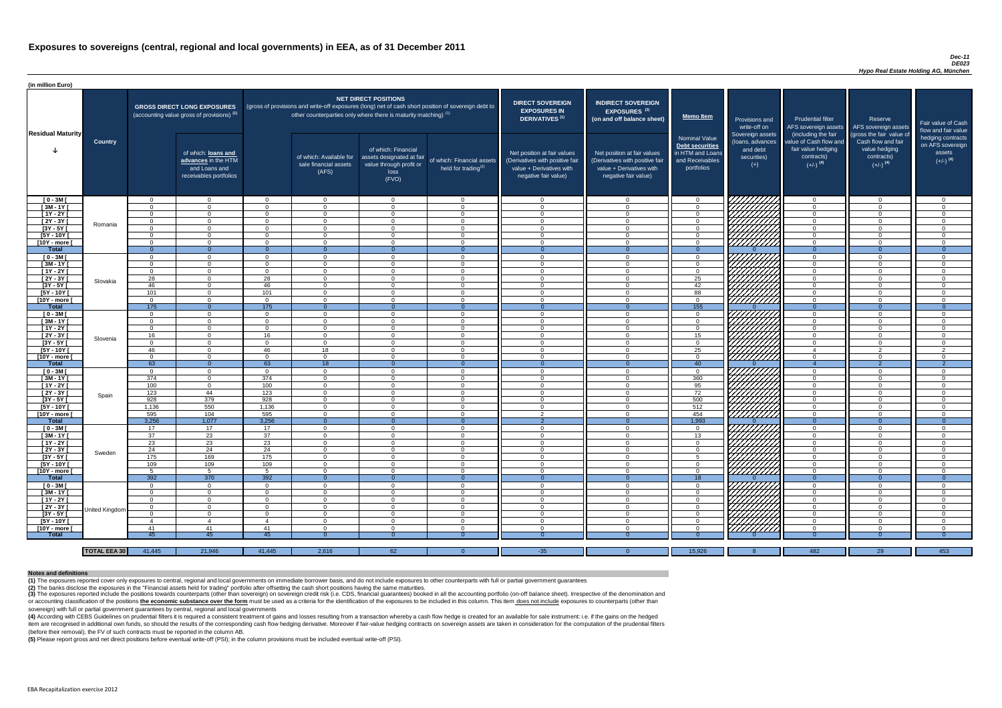#### *Dec-11 DE023 Hypo Real Estate Holding AG, München*

(4) According with CEBS Guidelines on prudential filters it is required a consistent treatment of gains and losses resulting from a transaction whereby a cash flow hedge is created for an available for sale instrument: i.e item are recognised in additional own funds, so should the results of the corresponding cash flow hedging derivative. Moreover if fair-value hedging contracts on sovereign assets are taken in consideration for the computat (before their removal), the FV of such contracts must be reported in the column AB.

| (in million Euro)             |                     |                            |                                                                                             |                      |                                                                                                                                                                                   |                                                                                              |                                                               |                                                                                                                    |                                                                                                                    |                                                                                              |                                                                                                       |                                                                                                             |                                                                                                         |                                                                           |
|-------------------------------|---------------------|----------------------------|---------------------------------------------------------------------------------------------|----------------------|-----------------------------------------------------------------------------------------------------------------------------------------------------------------------------------|----------------------------------------------------------------------------------------------|---------------------------------------------------------------|--------------------------------------------------------------------------------------------------------------------|--------------------------------------------------------------------------------------------------------------------|----------------------------------------------------------------------------------------------|-------------------------------------------------------------------------------------------------------|-------------------------------------------------------------------------------------------------------------|---------------------------------------------------------------------------------------------------------|---------------------------------------------------------------------------|
| <b>Residual Maturity</b>      |                     |                            | <b>GROSS DIRECT LONG EXPOSURES</b><br>(accounting value gross of provisions) <sup>(1)</sup> |                      | (gross of provisions and write-off exposures (long) net of cash short position of sovereign debt to<br>other counterparties only where there is maturity matching) <sup>(1)</sup> | <b>NET DIRECT POSITIONS</b>                                                                  |                                                               | <b>DIRECT SOVEREIGN</b><br><b>EXPOSURES IN</b><br>DERIVATIVES <sup>(1)</sup>                                       | <b>INDIRECT SOVEREIGN</b><br><b>EXPOSURES<sup>(3)</sup></b><br>(on and off balance sheet)                          | <b>Memo Item</b>                                                                             | Provisions and<br>write-off on                                                                        | <b>Prudential filter</b><br>AFS sovereign assets                                                            | Reserve<br>AFS sovereign assets                                                                         | Fair value of Cash<br>flow and fair value                                 |
|                               | <b>Country</b>      |                            | of which: loans and<br>advances in the HTM<br>and Loans and<br>receivables portfolios       |                      | of which: Available for<br>sale financial assets<br>(AFS)                                                                                                                         | of which: Financial<br>assets designated at fair<br>value through profit or<br>loss<br>(FVO) | of which: Financial assets<br>held for trading <sup>(2)</sup> | Net position at fair values<br>(Derivatives with positive fair<br>value + Derivatives with<br>negative fair value) | Net position at fair values<br>(Derivatives with positive fair<br>value + Derivatives with<br>negative fair value) | <b>Nominal Value</b><br>Debt securities<br>in HTM and Loans<br>and Receivables<br>portfolios | Sovereign assets<br>(loans, advances<br>and debt<br>securities)<br>$(+)$                              | (including the fair<br>value of Cash flow and<br>fair value hedging<br>contracts)<br>$(+/-)$ <sup>(4)</sup> | (gross the fair value of<br>Cash flow and fair<br>value hedging<br>contracts)<br>$(+/-)$ <sup>(4)</sup> | hedging contracts<br>on AFS sovereign<br>assets<br>$(+/-)$ <sup>(4)</sup> |
| $[0 - 3M]$                    |                     | $\Omega$                   | $\overline{0}$                                                                              | $\Omega$             | $\overline{0}$                                                                                                                                                                    | $\Omega$                                                                                     | $\overline{0}$                                                | - 0                                                                                                                | $\cap$                                                                                                             | $\Omega$                                                                                     | <i>ЧНННА</i>                                                                                          | $\overline{0}$                                                                                              | $\cap$                                                                                                  | $\overline{0}$                                                            |
| $[3M - 1Y]$                   |                     | $\Omega$                   | $\Omega$                                                                                    | $\Omega$             | $\Omega$                                                                                                                                                                          | $\Omega$                                                                                     | $\overline{0}$                                                | - 0                                                                                                                | $\cap$                                                                                                             | $\overline{0}$                                                                               |                                                                                                       | $\overline{0}$                                                                                              | $\cap$                                                                                                  | $\overline{0}$                                                            |
| $[1Y - 2Y]$                   |                     | $\Omega$                   | $\overline{0}$                                                                              | $\Omega$             | $\Omega$                                                                                                                                                                          | $\Omega$                                                                                     | $\overline{0}$                                                | $\Omega$                                                                                                           | $\sqrt{ }$                                                                                                         | $\overline{0}$                                                                               |                                                                                                       | $\overline{0}$                                                                                              | $\cap$                                                                                                  | $\overline{0}$                                                            |
| [2Y - 3Y [                    | Romania             | $\Omega$                   | $\Omega$                                                                                    | $\Omega$             | $\Omega$                                                                                                                                                                          | $\Omega$                                                                                     | $\overline{0}$                                                | $\Omega$                                                                                                           | $\cap$                                                                                                             | $\overline{0}$                                                                               | VIIIIIIA                                                                                              | $\overline{0}$                                                                                              | $\cap$                                                                                                  | $\overline{0}$                                                            |
| $[3Y - 5Y]$<br>$[5Y - 10Y]$   |                     | $\Omega$<br>$\Omega$       | $\Omega$<br>$\Omega$                                                                        | $\Omega$<br>$\Omega$ | $\Omega$<br>$\Omega$                                                                                                                                                              | $\Omega$<br>$\Omega$                                                                         | $\overline{0}$                                                | $\Omega$<br>$\Omega$                                                                                               | $\cap$<br>$\Omega$                                                                                                 | $\overline{0}$<br>$\Omega$                                                                   |                                                                                                       | $\overline{0}$                                                                                              | $\cap$<br>$\cap$                                                                                        | $\overline{0}$<br>$\Omega$                                                |
| [10Y - more [                 |                     | $\Omega$                   | $\Omega$                                                                                    | $\Omega$             | $\Omega$                                                                                                                                                                          | $\Omega$                                                                                     | $\overline{0}$<br>$\Omega$                                    | റ                                                                                                                  | $\cap$                                                                                                             | $\Omega$                                                                                     | HHHH                                                                                                  | $\overline{0}$<br>$\overline{0}$                                                                            | $\cap$                                                                                                  | $\Omega$                                                                  |
| <b>Total</b>                  |                     | $\Omega$                   | $\Omega$                                                                                    |                      | $\Omega$                                                                                                                                                                          |                                                                                              | $\Omega$                                                      | - 0                                                                                                                |                                                                                                                    |                                                                                              |                                                                                                       | $\Omega$                                                                                                    |                                                                                                         | $\Omega$                                                                  |
| $[0 - 3M]$                    |                     | $\Omega$                   | $\Omega$                                                                                    | $\Omega$             | $\Omega$                                                                                                                                                                          | $\Omega$                                                                                     | $\overline{0}$                                                | $\cap$                                                                                                             |                                                                                                                    | $\Omega$                                                                                     |                                                                                                       | $\overline{0}$                                                                                              |                                                                                                         | $\Omega$                                                                  |
| $[3M-1\overline{Y}]$          |                     | $\Omega$                   | $\Omega$                                                                                    | $\Omega$             | $\Omega$                                                                                                                                                                          | $\Omega$                                                                                     | $\overline{0}$                                                | $\Omega$                                                                                                           | $\cap$                                                                                                             | $\Omega$                                                                                     |                                                                                                       | $\overline{0}$                                                                                              | $\cap$                                                                                                  | $\Omega$                                                                  |
| $[1Y - 2Y]$                   |                     | $\Omega$                   | $\Omega$                                                                                    | $\Omega$             | $\Omega$                                                                                                                                                                          | $\Omega$                                                                                     | $\overline{0}$                                                | $\cap$                                                                                                             |                                                                                                                    | $\Omega$                                                                                     |                                                                                                       | $\overline{0}$                                                                                              | $\cap$                                                                                                  | $\Omega$                                                                  |
| $[2Y - 3Y]$                   | Slovakia            | 28                         | $\Omega$                                                                                    | 28                   | $\Omega$                                                                                                                                                                          | $\Omega$                                                                                     | $\Omega$                                                      | $\cap$                                                                                                             |                                                                                                                    | 25                                                                                           | HAAAA                                                                                                 | $\overline{0}$                                                                                              | $\cap$                                                                                                  | $\Omega$                                                                  |
| $[3Y - 5Y]$                   |                     | 46                         | $\Omega$                                                                                    | 46                   | $\Omega$                                                                                                                                                                          | $\Omega$                                                                                     | $\Omega$                                                      | $\cap$                                                                                                             | $\Omega$                                                                                                           | 42                                                                                           |                                                                                                       | $\overline{0}$                                                                                              | $\cap$                                                                                                  | $\Omega$                                                                  |
| $[5Y - 10Y]$                  |                     | 101                        | $\Omega$                                                                                    | 101                  | $\Omega$                                                                                                                                                                          | $\Omega$                                                                                     | $\Omega$                                                      | $\cap$                                                                                                             |                                                                                                                    | 88                                                                                           |                                                                                                       | $\overline{0}$                                                                                              | $\Omega$                                                                                                | $\Omega$                                                                  |
| [10Y - more [                 |                     | $\Omega$                   | $\Omega$                                                                                    | $\Omega$             | $\Omega$                                                                                                                                                                          | $\Omega$                                                                                     | $\Omega$                                                      | $\sqrt{ }$                                                                                                         | $\Omega$                                                                                                           | $\Omega$                                                                                     |                                                                                                       | $\overline{0}$                                                                                              | $\Omega$                                                                                                | $\overline{0}$                                                            |
| Total                         |                     | 175                        | $\overline{0}$                                                                              | 175                  | $\Omega$                                                                                                                                                                          |                                                                                              | $\Omega$                                                      | - 0<br>$\cap$                                                                                                      |                                                                                                                    | 155                                                                                          |                                                                                                       | $\Omega$                                                                                                    | $\Omega$<br>$\Omega$                                                                                    | $\Omega$                                                                  |
| $[0 - 3M]$                    |                     | $\Omega$<br>$\Omega$       | $\overline{0}$<br>$\Omega$                                                                  | $\Omega$<br>$\Omega$ | $\Omega$<br>$\Omega$                                                                                                                                                              | $\Omega$<br>$\Omega$                                                                         | $\overline{0}$<br>$\Omega$                                    | $\cap$                                                                                                             |                                                                                                                    | $\overline{0}$                                                                               |                                                                                                       | $\overline{0}$                                                                                              |                                                                                                         | $\overline{0}$<br>$\Omega$                                                |
| $[3M - 1Y]$<br>$[1Y - 2Y]$    |                     | $\Omega$                   | $\Omega$                                                                                    | $\Omega$             | $\Omega$                                                                                                                                                                          | $\Omega$                                                                                     | $\Omega$                                                      | $\cap$                                                                                                             |                                                                                                                    | $\Omega$<br>$\Omega$                                                                         |                                                                                                       | $\overline{0}$<br>$\overline{0}$                                                                            |                                                                                                         | $\Omega$                                                                  |
| $[2Y - 3Y]$                   |                     | 16                         |                                                                                             | 16                   | $\Omega$                                                                                                                                                                          | $\Omega$                                                                                     | $\Omega$                                                      |                                                                                                                    |                                                                                                                    | 15 <sub>15</sub>                                                                             |                                                                                                       | $\Omega$                                                                                                    |                                                                                                         | $\Omega$                                                                  |
| $[3Y - 5Y]$                   | Slovenia            | $\Omega$                   |                                                                                             |                      | <b>U</b>                                                                                                                                                                          | $\Omega$                                                                                     | 0                                                             |                                                                                                                    |                                                                                                                    | $\Omega$                                                                                     | $\left \frac{\mathscr{U}\mathscr{U}\mathscr{U}\mathscr{U}}{\mathscr{U}\mathscr{U}\mathscr{U}}\right $ | $\overline{0}$                                                                                              |                                                                                                         | - 0                                                                       |
| $[5Y - 10Y]$                  |                     | 46                         |                                                                                             | 46                   | 18                                                                                                                                                                                | $\Omega$                                                                                     | $\Omega$                                                      | - 0                                                                                                                |                                                                                                                    | 25                                                                                           |                                                                                                       | $\overline{4}$                                                                                              | റ                                                                                                       | 2                                                                         |
| [10Y - more [                 |                     | - റ                        | $\Omega$                                                                                    | $\Omega$             | $\Omega$                                                                                                                                                                          | $\Omega$                                                                                     | $\overline{0}$                                                | റ                                                                                                                  |                                                                                                                    | $\Omega$                                                                                     | 777777777 <b>77</b>                                                                                   | $\overline{0}$                                                                                              | $\cap$                                                                                                  | $\Omega$                                                                  |
| <b>Total</b>                  |                     | 63                         | $\overline{0}$                                                                              | 63                   | 18                                                                                                                                                                                |                                                                                              | $\theta$                                                      | - റ                                                                                                                |                                                                                                                    | 40                                                                                           |                                                                                                       | -4                                                                                                          |                                                                                                         | $\overline{2}$                                                            |
| $[0 - 3M]$                    |                     | $\Omega$                   | $\Omega$                                                                                    | $\Omega$             | $\Omega$                                                                                                                                                                          | $\Omega$                                                                                     | $\overline{0}$                                                | റ                                                                                                                  |                                                                                                                    | $\Omega$                                                                                     | 77777777777                                                                                           | $\overline{0}$                                                                                              | $\cap$                                                                                                  | $\overline{0}$                                                            |
| $[3M - 1Y]$                   |                     | 374                        | $\overline{0}$                                                                              | 374                  | $\overline{0}$                                                                                                                                                                    | $\Omega$                                                                                     | $\overline{0}$                                                | $\Omega$                                                                                                           | $\cap$                                                                                                             | 360                                                                                          |                                                                                                       | $\overline{0}$                                                                                              | $\cap$                                                                                                  | $\Omega$                                                                  |
| $[1Y - 2Y]$                   |                     | 100                        | $\overline{0}$                                                                              | 100                  | $\overline{0}$                                                                                                                                                                    | $\Omega$                                                                                     | $\overline{0}$                                                | - 0                                                                                                                | $\cap$                                                                                                             | 95                                                                                           |                                                                                                       | $\overline{0}$                                                                                              | $\Omega$                                                                                                | $\Omega$                                                                  |
| $[2Y - 3Y]$                   | Spain               | 123                        | 44                                                                                          | 123                  | $\overline{0}$                                                                                                                                                                    | $\Omega$                                                                                     | $\overline{0}$                                                | $\Omega$                                                                                                           |                                                                                                                    | 72                                                                                           |                                                                                                       | $\overline{0}$                                                                                              | $\Omega$                                                                                                | $\overline{0}$                                                            |
| $[3Y - 5Y]$                   |                     | 928                        | 379                                                                                         | 928                  | $\Omega$                                                                                                                                                                          | $\Omega$                                                                                     | $\overline{0}$                                                | $\Omega$                                                                                                           | $\cap$                                                                                                             | 500                                                                                          |                                                                                                       | $\overline{0}$                                                                                              | $\Omega$                                                                                                | $\Omega$                                                                  |
| $[5Y - 10Y]$                  |                     | 1,136                      | 550                                                                                         | 1,136                | $\overline{0}$                                                                                                                                                                    | $\overline{0}$                                                                               | $\overline{0}$                                                | - 0                                                                                                                | $\Omega$                                                                                                           | 512                                                                                          | HAAAA<br>HAAAA                                                                                        | $\overline{0}$                                                                                              | $\Omega$                                                                                                | $\overline{0}$                                                            |
| [10Y - more [<br><b>Total</b> |                     | 595<br>3,256               | 104<br>1,077                                                                                | 595<br>3,256         | $\Omega$<br>$\Omega$                                                                                                                                                              | $\Omega$                                                                                     | $\Omega$<br>$\theta$                                          | $\overline{2}$<br>$\overline{2}$                                                                                   | $\cap$                                                                                                             | 454<br>1,993                                                                                 |                                                                                                       | $\overline{0}$<br>$\overline{0}$                                                                            | $\cap$                                                                                                  | $\Omega$<br>$\Omega$                                                      |
| $[0 - 3M]$                    |                     | 17                         | 17                                                                                          | 17                   | $\Omega$                                                                                                                                                                          | $\Omega$                                                                                     | $\overline{0}$                                                | - 0                                                                                                                | റ                                                                                                                  | $\Omega$                                                                                     |                                                                                                       | $\overline{0}$                                                                                              | $\cap$                                                                                                  | $\Omega$                                                                  |
| $[3M-1Y]$                     |                     | 37                         | 23                                                                                          | 37                   | $\overline{0}$                                                                                                                                                                    | $\overline{0}$                                                                               | $\overline{0}$                                                | - 0                                                                                                                | റ                                                                                                                  | 13                                                                                           |                                                                                                       | $\Omega$                                                                                                    | - 0                                                                                                     | $\Omega$                                                                  |
| $[1Y - 2Y]$                   |                     | 23                         | 23                                                                                          | 23                   | $\Omega$                                                                                                                                                                          | $\Omega$                                                                                     | $\overline{0}$                                                | $\Omega$                                                                                                           | $\Omega$                                                                                                           | $\Omega$                                                                                     |                                                                                                       | $\overline{0}$                                                                                              | $\cap$                                                                                                  | $\Omega$                                                                  |
| [2Y - 3Y [                    |                     | 24                         | 24                                                                                          | 24                   | $\Omega$                                                                                                                                                                          | $\overline{0}$                                                                               | $\overline{0}$                                                | $\overline{0}$                                                                                                     | $\Omega$                                                                                                           | $\Omega$                                                                                     |                                                                                                       | $\Omega$                                                                                                    | - 0                                                                                                     | $\Omega$                                                                  |
| $[3Y - 5Y]$                   | Sweden              | 175                        | 169                                                                                         | 175                  | $\Omega$                                                                                                                                                                          | $\Omega$                                                                                     | $\overline{0}$                                                | - 0                                                                                                                | $\cap$                                                                                                             | 5                                                                                            |                                                                                                       | $\Omega$                                                                                                    | റ                                                                                                       | $\Omega$                                                                  |
| $[5Y - 10Y]$                  |                     | 109                        | 109                                                                                         | 109                  | $\Omega$                                                                                                                                                                          | $\Omega$                                                                                     | $\overline{0}$                                                | $\cap$                                                                                                             | $\cap$                                                                                                             | $\Omega$                                                                                     | <b>SANTAN</b><br>SANTAN                                                                               | $\Omega$                                                                                                    | $\cap$                                                                                                  | $\Omega$                                                                  |
| [10Y - more [                 |                     | -5                         | 5                                                                                           | -5                   | $\Omega$                                                                                                                                                                          | $\Omega$                                                                                     | $\overline{0}$                                                | റ                                                                                                                  | $\cap$                                                                                                             | $\Omega$                                                                                     |                                                                                                       | $\overline{0}$                                                                                              | $\cap$                                                                                                  | $\Omega$                                                                  |
| Total                         |                     | 392                        | 370                                                                                         | 392                  | $\Omega$                                                                                                                                                                          |                                                                                              | $\Omega$                                                      |                                                                                                                    |                                                                                                                    | 18                                                                                           |                                                                                                       | $\Omega$                                                                                                    |                                                                                                         | $\Omega$                                                                  |
| $[0 - 3M]$                    |                     | $\Omega$                   | $\Omega$                                                                                    | $\Omega$             | $\Omega$                                                                                                                                                                          | $\Omega$                                                                                     | $\overline{0}$                                                | $\Omega$                                                                                                           | $\cap$                                                                                                             | $\Omega$                                                                                     |                                                                                                       | $\overline{0}$                                                                                              | $\cap$                                                                                                  | $\Omega$                                                                  |
| $[3M - 1Y]$                   |                     | - റ                        | $\Omega$                                                                                    | $\Omega$             | $\Omega$                                                                                                                                                                          | $\Omega$                                                                                     | $\overline{0}$                                                | $\cap$                                                                                                             | $\cap$                                                                                                             | $\Omega$                                                                                     | ZHIJANA<br>SALIMAN                                                                                    | $\overline{0}$                                                                                              | $\Omega$                                                                                                | $\Omega$                                                                  |
| $[1Y - 2Y]$                   |                     | $\Omega$                   | $\Omega$                                                                                    | $\Omega$             | $\Omega$                                                                                                                                                                          | $\Omega$                                                                                     | $\Omega$                                                      | $\cap$                                                                                                             |                                                                                                                    | $\Omega$                                                                                     |                                                                                                       | $\Omega$                                                                                                    |                                                                                                         | $\Omega$                                                                  |
| $[2Y - 3Y]$                   | United Kingdom      | - റ                        | $\Omega$                                                                                    | $\Omega$             | $\Omega$                                                                                                                                                                          | $\Omega$                                                                                     | $\Omega$                                                      | $\cap$<br>- വ                                                                                                      |                                                                                                                    | $\Omega$                                                                                     |                                                                                                       | $\overline{0}$                                                                                              |                                                                                                         | $\Omega$                                                                  |
| $[3Y - 5Y]$<br>[5Y - 10Y [    |                     | $\Omega$<br>$\overline{4}$ | $\Omega$<br>$\overline{4}$                                                                  | $\Omega$             | $\Omega$<br>$\Omega$                                                                                                                                                              | $\Omega$<br>$\Omega$                                                                         | $\Omega$<br>$\Omega$                                          |                                                                                                                    |                                                                                                                    | $\Omega$<br>$\Omega$                                                                         | HAAAN<br>HAAAN                                                                                        | $\mathbf{0}$<br>$\overline{0}$                                                                              |                                                                                                         | $\Omega$<br>$\Omega$                                                      |
| [10Y - more [                 |                     | -41                        | 41                                                                                          | 41                   | $\Omega$                                                                                                                                                                          | $\Omega$                                                                                     | $\Omega$                                                      | - വ                                                                                                                |                                                                                                                    | $\Omega$                                                                                     |                                                                                                       | $\Omega$                                                                                                    |                                                                                                         | $\Omega$                                                                  |
| <b>Total</b>                  |                     | 45                         | 45                                                                                          | 45                   |                                                                                                                                                                                   |                                                                                              |                                                               |                                                                                                                    |                                                                                                                    |                                                                                              |                                                                                                       |                                                                                                             |                                                                                                         | - 0                                                                       |
|                               |                     |                            |                                                                                             |                      |                                                                                                                                                                                   |                                                                                              |                                                               |                                                                                                                    |                                                                                                                    |                                                                                              |                                                                                                       |                                                                                                             |                                                                                                         |                                                                           |
|                               | <b>TOTAL EEA 30</b> | 41,445                     | 21,946                                                                                      | 41,445               | 2,616                                                                                                                                                                             | 62                                                                                           |                                                               | $-35$                                                                                                              |                                                                                                                    | 15,926                                                                                       |                                                                                                       | 482                                                                                                         | 29                                                                                                      | 453                                                                       |

(3) The exposures reported include the positions towards counterparts (other than sovereign) on sovereign credit risk (i.e. CDS, financial guarantees) booked in all the accounting portfolio (on-off balance sheet). Irrespec or accounting classification of the positions the economic substance over the form must be used as a criteria for the identification of the exposures to be included in this column. This item does not include exposures to c sovereign) with full or partial government guarantees by central, regional and local governments

**(5)** Please report gross and net direct positions before eventual write-off (PSI); in the column provisions must be included eventual write-off (PSI).

#### **Notes and definitions**

**(1)** The exposures reported cover only exposures to central, regional and local governments on immediate borrower basis, and do not include exposures to other counterparts with full or partial government guarantees **(2)** The banks disclose the exposures in the "Financial assets held for trading" portfolio after offsetting the cash short positions having the same maturities.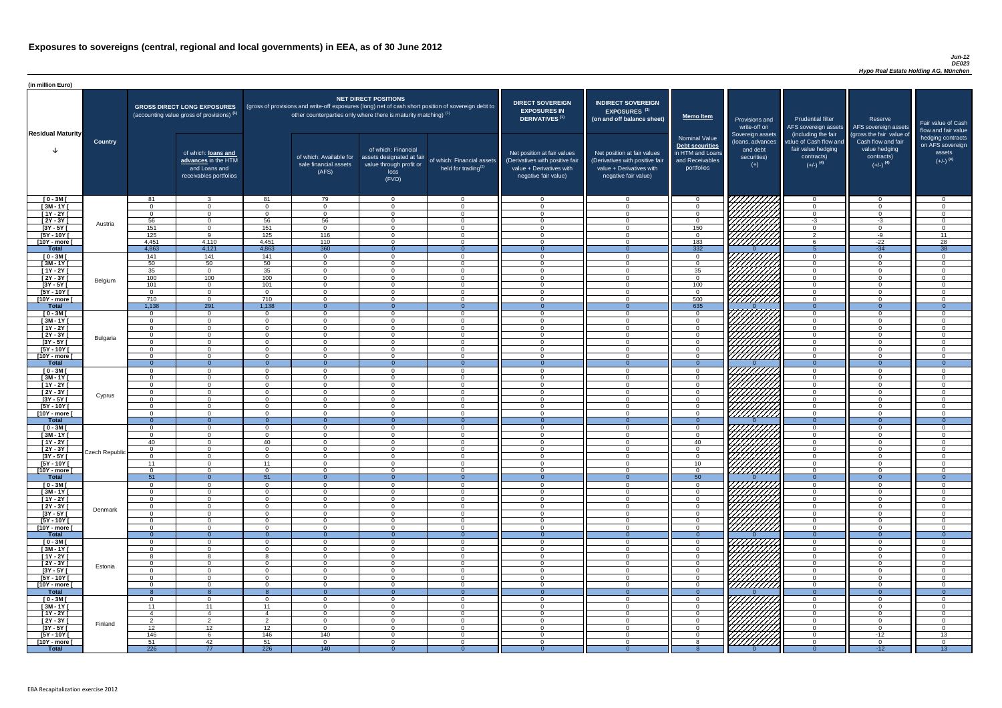### *Jun-12 DE023 Hypo Real Estate Holding AG, München*

| (in million Euro)             |                       |                      |                                                                                             |                      |                                                                                                                                                                                   |                                                                                              |                                                      |                                                                                                                    |                                                                                                                    |                                                                                                     |                                                                          |                                                                                                             |                                                                                                         |                                                                           |
|-------------------------------|-----------------------|----------------------|---------------------------------------------------------------------------------------------|----------------------|-----------------------------------------------------------------------------------------------------------------------------------------------------------------------------------|----------------------------------------------------------------------------------------------|------------------------------------------------------|--------------------------------------------------------------------------------------------------------------------|--------------------------------------------------------------------------------------------------------------------|-----------------------------------------------------------------------------------------------------|--------------------------------------------------------------------------|-------------------------------------------------------------------------------------------------------------|---------------------------------------------------------------------------------------------------------|---------------------------------------------------------------------------|
| <b>Residual Maturity</b>      |                       |                      | <b>GROSS DIRECT LONG EXPOSURES</b><br>(accounting value gross of provisions) <sup>(1)</sup> |                      | (gross of provisions and write-off exposures (long) net of cash short position of sovereign debt to<br>other counterparties only where there is maturity matching) <sup>(1)</sup> | <b>NET DIRECT POSITIONS</b>                                                                  |                                                      | <b>DIRECT SOVEREIGN</b><br><b>EXPOSURES IN</b><br>DERIVATIVES <sup>(1)</sup>                                       | <b>INDIRECT SOVEREIGN</b><br><b>EXPOSURES<sup>(3)</sup></b><br>(on and off balance sheet)                          | <b>Memo Item</b>                                                                                    | Provisions and<br>write-off on                                           | <b>Prudential filter</b>                                                                                    | Reserve<br>AFS sovereign assets AFS sovereign assets                                                    | Fair value of Cash<br>flow and fair value                                 |
|                               | <b>Country</b>        |                      | of which: loans and<br>advances in the HTM<br>and Loans and<br>receivables portfolios       |                      | of which: Available for<br>sale financial assets<br>(AFS)                                                                                                                         | of which: Financial<br>assets designated at fair<br>value through profit or<br>loss<br>(FVO) | of which: Financial assets<br>held for trading $(2)$ | Net position at fair values<br>(Derivatives with positive fair<br>value + Derivatives with<br>negative fair value) | Net position at fair values<br>(Derivatives with positive fair<br>value + Derivatives with<br>negative fair value) | <b>Nominal Value</b><br><b>Debt securities</b><br>in HTM and Loans<br>and Receivables<br>portfolios | Sovereign assets<br>(loans, advances<br>and debt<br>securities)<br>$(+)$ | (including the fair<br>value of Cash flow and<br>fair value hedging<br>contracts)<br>$(+/-)$ <sup>(4)</sup> | (gross the fair value of<br>Cash flow and fair<br>value hedging<br>contracts)<br>$(+/-)$ <sup>(4)</sup> | hedging contracts<br>on AFS sovereign<br>assets<br>$(+/-)$ <sup>(4)</sup> |
| $[0 - 3M]$                    |                       | -81                  | $\mathbf{3}$                                                                                | -81                  | 79                                                                                                                                                                                | $\Omega$                                                                                     | $\overline{0}$                                       | $\cap$                                                                                                             | $\cap$                                                                                                             | - റ                                                                                                 | 777777777                                                                | _റ                                                                                                          | $\overline{0}$                                                                                          | . വ                                                                       |
| $[3M - 1Y]$<br>$[1Y - 2Y]$    |                       | $\cap$<br>$\cap$     | $\Omega$<br>$\Omega$                                                                        | $\Omega$<br>$\cap$   | $\Omega$<br>$\Omega$                                                                                                                                                              | $\Omega$<br>$\Omega$                                                                         | $\overline{0}$<br>$\overline{0}$                     | $\Omega$<br>$\cap$                                                                                                 | $\Omega$<br>$\Omega$                                                                                               | $\Omega$<br>$\Omega$                                                                                | УНННІ.                                                                   | $\cap$<br>$\Omega$                                                                                          | $\overline{0}$<br>$\overline{0}$                                                                        | $\Omega$<br>$\Omega$                                                      |
| $[2Y - 3Y]$                   |                       | 56                   | $\Omega$                                                                                    | 56                   | 56                                                                                                                                                                                | $\Omega$                                                                                     | $\Omega$                                             | $\cap$                                                                                                             |                                                                                                                    | $\Omega$                                                                                            |                                                                          | $-3$                                                                                                        | $-3$                                                                                                    | $\Omega$                                                                  |
| $[3Y - 5Y]$                   | Austria               | 151                  | $\Omega$                                                                                    | 151                  | $\Omega$                                                                                                                                                                          | $\Omega$                                                                                     | $\Omega$                                             | $\cap$                                                                                                             |                                                                                                                    | 150                                                                                                 | HAAAA<br>HAAAAA                                                          | $\Omega$                                                                                                    | $\Omega$                                                                                                | $\Omega$                                                                  |
| $[5Y - 10Y]$                  |                       | 125                  | $\mathsf{q}$                                                                                | 125                  | 116                                                                                                                                                                               | $\Omega$                                                                                     | $\Omega$                                             | $\cap$                                                                                                             |                                                                                                                    | $\Omega$                                                                                            |                                                                          | $\sim$                                                                                                      | $-9$                                                                                                    | 11                                                                        |
| [10Y - more [<br><b>Total</b> |                       | 4,451<br>4,863       | 4,110<br>4,121                                                                              | 4,451<br>4,863       | 110<br>360                                                                                                                                                                        | $\Omega$<br>$\Omega$                                                                         | $\Omega$<br>$\Omega$                                 | $\cap$<br>- 0                                                                                                      | $\Omega$<br>$\Omega$                                                                                               | 183<br>332                                                                                          |                                                                          |                                                                                                             | $-22$<br>$-34$                                                                                          | 28<br>38                                                                  |
| $[0 - 3M]$                    |                       | 141                  | 141                                                                                         | 141                  | $\Omega$                                                                                                                                                                          | $\Omega$                                                                                     | $\Omega$                                             | $\cap$                                                                                                             | $\Omega$                                                                                                           | $\Omega$                                                                                            |                                                                          | $\cap$                                                                                                      | $\Omega$                                                                                                | $\Omega$                                                                  |
| $[3M - 1Y]$                   |                       | 50                   | 50                                                                                          | 50                   | $\Omega$                                                                                                                                                                          | $\Omega$                                                                                     | $\overline{0}$                                       | $\cap$                                                                                                             | $\Omega$                                                                                                           | $\Omega$                                                                                            |                                                                          | $\Omega$                                                                                                    | $\Omega$                                                                                                | $\Omega$                                                                  |
| $[1Y - 2Y]$                   |                       | 35                   | $\overline{0}$                                                                              | 35                   | $\Omega$                                                                                                                                                                          | $\Omega$                                                                                     | $\overline{0}$                                       | $\cap$                                                                                                             | $\Omega$                                                                                                           | 35                                                                                                  |                                                                          | $\Omega$                                                                                                    | $\Omega$                                                                                                | $\Omega$                                                                  |
| $[2Y - 3Y]$                   | Belgium               | 100                  | 100<br>$\overline{0}$                                                                       | 100                  | $\Omega$                                                                                                                                                                          | $\Omega$<br>$\Omega$                                                                         | $\overline{0}$<br>$\overline{0}$                     | $\cap$<br>$\cap$                                                                                                   | $\Omega$<br>$\Omega$                                                                                               | $\overline{0}$                                                                                      | HAHAHA<br>HAHAHA                                                         | $\Omega$<br>$\Omega$                                                                                        | $\Omega$<br>$\Omega$                                                                                    | $\Omega$<br>$\Omega$                                                      |
| $[3Y - 5Y]$<br>$[5Y - 10Y]$   |                       | 101<br>$\cap$        | $\overline{0}$                                                                              | 101<br>$\cap$        | $\Omega$<br>$\overline{0}$                                                                                                                                                        | $\Omega$                                                                                     | $\overline{0}$                                       | $\Omega$                                                                                                           | $\Omega$                                                                                                           | 100<br>$\overline{0}$                                                                               |                                                                          | $\Omega$                                                                                                    | $\Omega$                                                                                                | $\Omega$                                                                  |
| [10Y - more [                 |                       | 710                  | $\overline{0}$                                                                              | 710                  | $\overline{0}$                                                                                                                                                                    | $\Omega$                                                                                     | $\overline{0}$                                       | $\Omega$                                                                                                           | $\Omega$                                                                                                           | 500                                                                                                 |                                                                          | $\overline{0}$                                                                                              | $\overline{0}$                                                                                          | $\Omega$                                                                  |
| <b>Total</b>                  |                       | 1,138                | 291                                                                                         | 1,138                | $\Omega$                                                                                                                                                                          |                                                                                              | $\Omega$                                             | $\Omega$                                                                                                           |                                                                                                                    | 635                                                                                                 |                                                                          | $\Omega$                                                                                                    | $\Omega$                                                                                                | $\Omega$                                                                  |
| $[0 - 3M]$                    |                       | $\Omega$             | $\overline{0}$                                                                              | $\Omega$             | $\overline{0}$                                                                                                                                                                    | $\Omega$                                                                                     | $\overline{0}$                                       | $\Omega$                                                                                                           | $\Omega$                                                                                                           | $\overline{0}$                                                                                      | ZZZZZZZZZZ<br>CZZZZZZZZZZZZ                                              | $\overline{0}$                                                                                              | $\overline{0}$                                                                                          | $\Omega$                                                                  |
| $[3M - 1Y]$<br>$[1Y - 2Y]$    |                       | $\Omega$<br>$\Omega$ | $\overline{0}$<br>$\Omega$                                                                  |                      | $\Omega$<br>$\Omega$                                                                                                                                                              | $\Omega$<br>$\Omega$                                                                         | $\overline{0}$<br>$\overline{0}$                     | $\Omega$<br>- 0                                                                                                    | $\cap$                                                                                                             | $\Omega$<br>$\Omega$                                                                                |                                                                          | $\Omega$<br>$\Omega$                                                                                        | $\Omega$<br>$\Omega$                                                                                    | $\Omega$<br>$\Omega$                                                      |
| $[2Y - 3Y]$                   |                       | $\Omega$             | $\Omega$                                                                                    | $\Omega$             | $\Omega$                                                                                                                                                                          | $\Omega$                                                                                     | $\overline{0}$                                       | - 0                                                                                                                | $\Omega$                                                                                                           | $\Omega$                                                                                            |                                                                          | - 0                                                                                                         | $\overline{0}$                                                                                          | $\Omega$                                                                  |
| [3Y - 5Y]                     | Bulgaria              |                      | O                                                                                           |                      | - 0                                                                                                                                                                               | $\Omega$                                                                                     | 0                                                    |                                                                                                                    |                                                                                                                    |                                                                                                     | $\mathbb{Z}/\mathbb{Z}/\mathbb{Z}$                                       |                                                                                                             | 0                                                                                                       |                                                                           |
| $[5Y - 10Y]$                  |                       |                      | $\Omega$                                                                                    | $\cap$               | - റ                                                                                                                                                                               | $\Omega$                                                                                     | $\overline{0}$                                       | $\cap$                                                                                                             |                                                                                                                    | $\Omega$                                                                                            | <i>.HHHIII</i>                                                           | _റ                                                                                                          | $\Omega$                                                                                                | $\Omega$                                                                  |
| [10Y - more [<br><b>Total</b> |                       | $\cap$               | $\Omega$<br>$\Omega$                                                                        | $\cap$               | $\Omega$                                                                                                                                                                          | $\Omega$                                                                                     | $\Omega$<br>$\overline{0}$                           | $\cap$                                                                                                             | $\cap$                                                                                                             | $\Omega$<br>-0                                                                                      |                                                                          | $\overline{0}$<br>$\Omega$                                                                                  | $\Omega$                                                                                                | $\Omega$                                                                  |
| $[0 - 3M]$                    |                       | $\cap$               | $\Omega$                                                                                    | $\Omega$             | $\Omega$                                                                                                                                                                          | $\Omega$                                                                                     | $\overline{0}$                                       | $\Omega$                                                                                                           | $\Omega$                                                                                                           | $\cap$                                                                                              |                                                                          | $\Omega$                                                                                                    | $\overline{0}$                                                                                          | $\Omega$                                                                  |
| $[3M - 1Y]$                   |                       | $\cap$               | $\overline{0}$                                                                              | $\Omega$             | $\Omega$                                                                                                                                                                          | $\Omega$                                                                                     | $\overline{0}$                                       | $\Omega$                                                                                                           | $\Omega$                                                                                                           | $\Omega$                                                                                            |                                                                          | $\Omega$                                                                                                    | $\overline{0}$                                                                                          | $\Omega$                                                                  |
| $[1Y - 2Y]$                   |                       | $\cap$               | $\Omega$                                                                                    | $\Omega$             | $\Omega$                                                                                                                                                                          | $\Omega$                                                                                     | $\overline{0}$                                       | $\Omega$                                                                                                           | $\Omega$                                                                                                           | $\Omega$                                                                                            |                                                                          | $\Omega$                                                                                                    | $\overline{0}$                                                                                          | $\Omega$                                                                  |
| $[2Y - 3Y]$                   | Cyprus                | റ                    | $\overline{0}$                                                                              | $\Omega$<br>$\Omega$ | $\overline{0}$                                                                                                                                                                    | $\Omega$<br>$\Omega$                                                                         | $\overline{0}$<br>$\Omega$                           | $\Omega$<br>$\cap$                                                                                                 | $\Omega$<br>$\cap$                                                                                                 | $\Omega$<br>$\Omega$                                                                                |                                                                          | $\Omega$<br>$\Omega$                                                                                        | $\overline{0}$<br>$\Omega$                                                                              | $\Omega$<br>$\Omega$                                                      |
| $[3Y - 5Y]$<br>$[5Y - 10Y]$   |                       |                      | $\Omega$<br>$\Omega$                                                                        | ∩                    | $\Omega$<br>$\Omega$                                                                                                                                                              | $\Omega$                                                                                     | $\Omega$                                             |                                                                                                                    |                                                                                                                    | $\Omega$                                                                                            |                                                                          | $\cap$                                                                                                      | $\Omega$                                                                                                | ∩                                                                         |
| [10Y - more [                 |                       |                      | $\Omega$                                                                                    |                      | $\Omega$                                                                                                                                                                          | $\Omega$                                                                                     | $\Omega$                                             | $\cap$                                                                                                             | ∩                                                                                                                  | $\cap$                                                                                              | <u>//////////</u>                                                        | $\Omega$                                                                                                    | $\Omega$                                                                                                |                                                                           |
| <b>Total</b>                  |                       | $\Omega$             | $\Omega$                                                                                    | $\Omega$             | $\Omega$                                                                                                                                                                          | $\Omega$                                                                                     | $\Omega$                                             | $\Omega$                                                                                                           |                                                                                                                    | $\Omega$                                                                                            |                                                                          | $\Omega$                                                                                                    | $\Omega$                                                                                                | $\Omega$                                                                  |
| $[0 - 3M]$                    |                       |                      | $\Omega$<br>$\Omega$                                                                        | $\cap$<br>$\Omega$   | $\Omega$<br>$\Omega$                                                                                                                                                              | $\Omega$<br>$\Omega$                                                                         | $\Omega$<br>$\overline{0}$                           | റ<br>$\Omega$                                                                                                      | $\Omega$<br>$\Omega$                                                                                               | $\Omega$<br>$\Omega$                                                                                |                                                                          | $\Omega$<br>$\Omega$                                                                                        | $\Omega$<br>$\Omega$                                                                                    | $\Omega$                                                                  |
| $[3M - 1Y]$<br>$[1Y - 2Y]$    |                       | 40                   | $\Omega$                                                                                    | 40                   | $\Omega$                                                                                                                                                                          | $\Omega$                                                                                     | $\overline{0}$                                       | $\Omega$                                                                                                           | $\Omega$                                                                                                           | 40                                                                                                  |                                                                          | $\Omega$                                                                                                    | $\Omega$                                                                                                | $\Omega$                                                                  |
| $[2Y - 3Y]$                   |                       | $\cap$               | $\overline{0}$                                                                              | $\Omega$             | $\Omega$                                                                                                                                                                          | $\Omega$                                                                                     | $\Omega$                                             | $\Omega$                                                                                                           | $\Omega$                                                                                                           | $\Omega$                                                                                            | 777777777                                                                | $\Omega$                                                                                                    | $\Omega$                                                                                                | $\Omega$                                                                  |
| $[3Y - 5Y]$                   | <b>Czech Republic</b> |                      | $\overline{0}$                                                                              | $\Omega$             | $\Omega$                                                                                                                                                                          | $\Omega$                                                                                     | $\overline{0}$                                       | $\cap$                                                                                                             | $\Omega$                                                                                                           | $\Omega$                                                                                            | 777777777                                                                | $\Omega$                                                                                                    | $\Omega$                                                                                                | $\Omega$                                                                  |
| $[5Y - 10Y]$                  |                       | 11<br>$\cap$         | $\overline{0}$                                                                              | 11<br>$\Omega$       | $\Omega$<br>$\Omega$                                                                                                                                                              | $\Omega$<br>$\Omega$                                                                         | $\overline{0}$<br>$\Omega$                           | $\cap$<br>$\Omega$                                                                                                 | $\Omega$<br>$\Omega$                                                                                               | 10 <sup>°</sup>                                                                                     | 77777777                                                                 | $\Omega$<br>$\Omega$                                                                                        | $\Omega$<br>$\Omega$                                                                                    | $\Omega$<br>$\Omega$                                                      |
| [10Y - more ]<br><b>Total</b> |                       | 51                   | $\overline{0}$<br>$\overline{0}$                                                            | 51                   | $\Omega$                                                                                                                                                                          |                                                                                              | $\overline{0}$                                       | $\Omega$                                                                                                           |                                                                                                                    | $\overline{0}$<br>50                                                                                | ///////////                                                              | $\overline{0}$                                                                                              | $\Omega$                                                                                                |                                                                           |
| $[0 - 3M]$                    |                       |                      | $\overline{0}$                                                                              | $\Omega$             | $\Omega$                                                                                                                                                                          | $\Omega$                                                                                     | $\overline{0}$                                       | - 0                                                                                                                |                                                                                                                    | $\Omega$                                                                                            | ,,,,,,,,,,,                                                              | $\overline{0}$                                                                                              | $\overline{0}$                                                                                          | $\Omega$                                                                  |
| $[3M - 1Y]$                   |                       |                      | $\overline{0}$                                                                              |                      | $\Omega$                                                                                                                                                                          | $\Omega$                                                                                     | $\overline{0}$                                       | $\Omega$                                                                                                           |                                                                                                                    | $\Omega$                                                                                            |                                                                          | $\Omega$                                                                                                    | $\Omega$                                                                                                |                                                                           |
| $[1Y - 2Y]$<br>$[2Y - 3Y]$    |                       |                      | $\overline{0}$<br>$\Omega$                                                                  |                      | - 0<br>- ೧                                                                                                                                                                        | $\Omega$<br>$\Omega$                                                                         | $\mathbf 0$<br>$\Omega$                              | $\Omega$<br>- വ                                                                                                    |                                                                                                                    | $\Omega$<br>$\Omega$                                                                                | 777777777                                                                | $\overline{0}$<br>$\Omega$                                                                                  | $\overline{0}$<br>$\Omega$                                                                              |                                                                           |
| $[3Y - 5Y]$                   | Denmark               |                      | $\Omega$                                                                                    |                      | $\Omega$                                                                                                                                                                          | $\Omega$                                                                                     | $\Omega$                                             | - വ                                                                                                                |                                                                                                                    | $\Omega$                                                                                            | 777777777                                                                | $\Omega$                                                                                                    | $\overline{0}$                                                                                          |                                                                           |
| $[5Y - 10Y]$                  |                       | $\Omega$             | $\overline{0}$                                                                              | $\Omega$             | $\Omega$                                                                                                                                                                          | $\Omega$                                                                                     | $\overline{0}$                                       | - 0                                                                                                                | $\Omega$                                                                                                           | $\Omega$                                                                                            | 7777777777                                                               | $\overline{0}$                                                                                              | $\overline{0}$                                                                                          | $\Omega$                                                                  |
| [10Y - more [                 |                       | $\cap$               | $\overline{0}$                                                                              | $\cap$               | - റ                                                                                                                                                                               | $\Omega$                                                                                     | $\overline{0}$                                       | റ                                                                                                                  | $\cap$                                                                                                             | $\Omega$                                                                                            | ////////////                                                             | $\overline{0}$                                                                                              | $\Omega$                                                                                                | $\cap$                                                                    |
| <b>Total</b><br>$[0 - 3M]$    |                       | റ<br>$\cap$          | $\Omega$<br>$\overline{0}$                                                                  | $\cap$               | - വ<br>$\Omega$                                                                                                                                                                   | $\Omega$                                                                                     | $\Omega$<br>$\overline{0}$                           | - റ<br>- 0                                                                                                         | $\Omega$                                                                                                           | $\Omega$<br>$\overline{0}$                                                                          |                                                                          | $\overline{0}$<br>$\Omega$                                                                                  | $\Omega$<br>$\overline{0}$                                                                              | $\Omega$                                                                  |
| $[3M - 1Y]$                   |                       | $\cap$               | $\overline{0}$                                                                              | $\Omega$             | $\Omega$                                                                                                                                                                          | $\Omega$                                                                                     | $\overline{0}$                                       | $\Omega$                                                                                                           | $\Omega$                                                                                                           | $\overline{0}$                                                                                      |                                                                          | $\overline{0}$                                                                                              | $\overline{0}$                                                                                          | $\Omega$                                                                  |
| $[1Y - 2Y]$                   |                       |                      | 8                                                                                           | <sup>8</sup>         | $\Omega$                                                                                                                                                                          | $\Omega$                                                                                     | $\overline{0}$                                       | $\Omega$                                                                                                           | $\Omega$                                                                                                           | $\Omega$                                                                                            | <i>ЧННН</i> Н                                                            | $\Omega$                                                                                                    | $\overline{0}$                                                                                          | $\Omega$                                                                  |
| $[2Y - 3Y]$                   | Estonia               | റ                    | $\overline{0}$                                                                              | $\Omega$             | $\overline{0}$                                                                                                                                                                    | $\overline{0}$                                                                               | $\overline{0}$                                       | $\Omega$                                                                                                           | $\Omega$                                                                                                           | $\overline{0}$                                                                                      |                                                                          | $\Omega$                                                                                                    | $\overline{0}$                                                                                          | $\Omega$                                                                  |
| $[3Y - 5Y]$<br>$[5Y - 10Y]$   |                       |                      | $\Omega$<br>$\Omega$                                                                        | $\Omega$<br>$\cap$   | $\Omega$<br>$\Omega$                                                                                                                                                              | $\Omega$<br>$\Omega$                                                                         | $\Omega$<br>$\Omega$                                 | $\Omega$<br>$\cap$                                                                                                 | $\cap$<br>∩                                                                                                        | $\Omega$<br>$\Omega$                                                                                |                                                                          | $\Omega$<br>$\Omega$                                                                                        | $\Omega$<br>$\Omega$                                                                                    | $\Omega$<br>$\Omega$                                                      |
| [10Y - more ]                 |                       |                      | $\Omega$                                                                                    | $\cap$               | $\Omega$                                                                                                                                                                          | $\Omega$                                                                                     | $\Omega$                                             | $\Omega$                                                                                                           | $\cap$                                                                                                             | $\Omega$                                                                                            | /////////                                                                | $\Omega$                                                                                                    | $\Omega$                                                                                                | $\Omega$                                                                  |
| <b>Total</b>                  |                       |                      |                                                                                             |                      |                                                                                                                                                                                   |                                                                                              | $\Omega$                                             |                                                                                                                    |                                                                                                                    |                                                                                                     |                                                                          |                                                                                                             | $\overline{0}$                                                                                          | $\theta$                                                                  |
| $[0 - 3M]$                    |                       |                      | $\Omega$                                                                                    |                      | $\cap$                                                                                                                                                                            | $\Omega$                                                                                     | $\Omega$                                             |                                                                                                                    |                                                                                                                    |                                                                                                     | 777777777                                                                |                                                                                                             | $\Omega$                                                                                                |                                                                           |
| $[3M - 1Y]$<br>$[1Y - 2Y]$    |                       | 11<br>4              | 11<br>$\overline{4}$                                                                        | 11<br>$\overline{4}$ | $\overline{0}$<br>$\Omega$                                                                                                                                                        | $\Omega$<br>$\overline{0}$                                                                   | $\overline{0}$<br>$\overline{0}$                     | $\Omega$<br>$\Omega$                                                                                               | $\Omega$<br>$\Omega$                                                                                               | $\Omega$<br>$\Omega$                                                                                |                                                                          | $\Omega$<br>$\Omega$                                                                                        | $\overline{0}$<br>$\overline{0}$                                                                        | $\Omega$                                                                  |
| $[2Y - 3Y]$                   |                       | ົດ                   | 2                                                                                           | 2                    | $\Omega$                                                                                                                                                                          | $\overline{0}$                                                                               | $\overline{0}$                                       | $\Omega$                                                                                                           | $\Omega$                                                                                                           | $\Omega$                                                                                            |                                                                          | $\Omega$                                                                                                    | $\overline{0}$                                                                                          | $\Omega$                                                                  |
| $[3Y - 5Y]$                   | Finland               | 12                   | 12                                                                                          | 12                   | $\overline{0}$                                                                                                                                                                    | $\overline{0}$                                                                               | $\overline{0}$                                       | $\Omega$                                                                                                           | $\Omega$                                                                                                           | $\overline{0}$                                                                                      |                                                                          | $\Omega$                                                                                                    | $\overline{0}$                                                                                          | $\overline{0}$                                                            |
| $[5Y - 10Y]$                  |                       | 146                  | 6                                                                                           | 146                  | 140                                                                                                                                                                               | $\overline{0}$                                                                               | $\overline{0}$                                       | $\Omega$                                                                                                           | $\Omega$                                                                                                           | $\overline{0}$                                                                                      | William                                                                  | $\Omega$                                                                                                    | $-12$                                                                                                   | 13                                                                        |
| [10Y - more [<br><b>Total</b> |                       | 51<br>226            | 42<br>77                                                                                    | 51<br>226            | $\overline{0}$<br>140                                                                                                                                                             | $\overline{0}$<br>$\Omega$                                                                   | $\overline{0}$<br>$\Omega$                           | $\Omega$                                                                                                           | $\Omega$                                                                                                           | -8                                                                                                  |                                                                          | $\Omega$<br>$\Omega$                                                                                        | $\overline{0}$<br>$-12$                                                                                 | $\overline{0}$<br>13                                                      |
|                               |                       |                      |                                                                                             |                      |                                                                                                                                                                                   |                                                                                              |                                                      |                                                                                                                    |                                                                                                                    |                                                                                                     |                                                                          |                                                                                                             |                                                                                                         |                                                                           |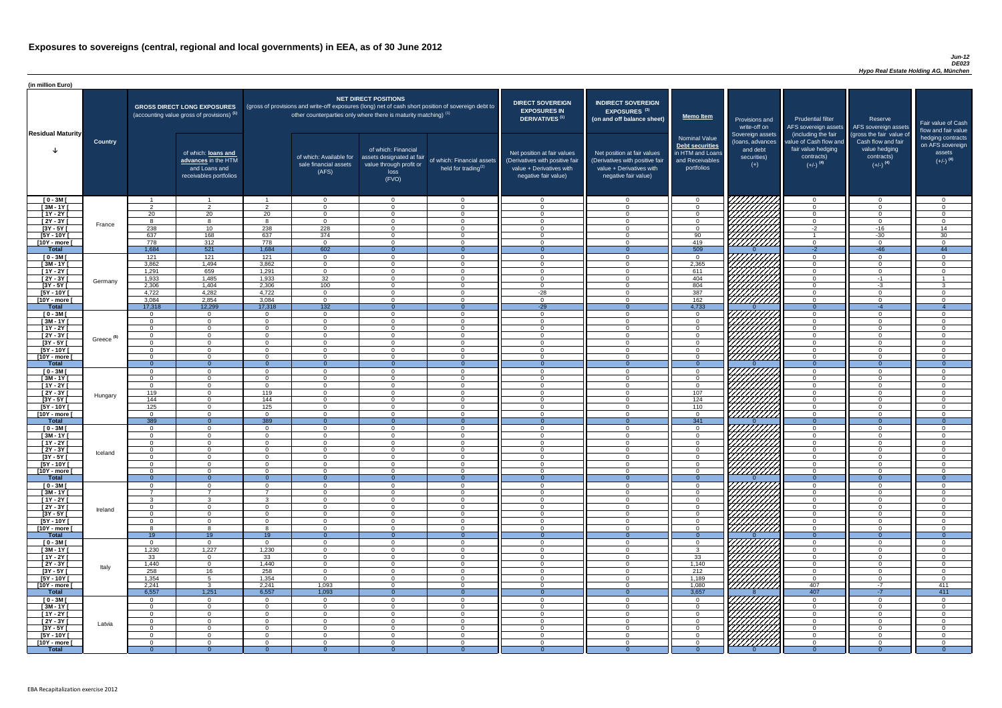### *Jun-12 DE023 Hypo Real Estate Holding AG, München*

| (in million Euro)             |                       |                      |                                                                                             |                      |                                                                                                                                                                                   |                                                                                              |                                                      |                                                                                                                    |                                                                                                                    |                                                                                              |                                                                          |                                                                                                             |                                                                                                         |                                                                           |
|-------------------------------|-----------------------|----------------------|---------------------------------------------------------------------------------------------|----------------------|-----------------------------------------------------------------------------------------------------------------------------------------------------------------------------------|----------------------------------------------------------------------------------------------|------------------------------------------------------|--------------------------------------------------------------------------------------------------------------------|--------------------------------------------------------------------------------------------------------------------|----------------------------------------------------------------------------------------------|--------------------------------------------------------------------------|-------------------------------------------------------------------------------------------------------------|---------------------------------------------------------------------------------------------------------|---------------------------------------------------------------------------|
| <b>Residual Maturity</b>      |                       |                      | <b>GROSS DIRECT LONG EXPOSURES</b><br>(accounting value gross of provisions) <sup>(1)</sup> |                      | (gross of provisions and write-off exposures (long) net of cash short position of sovereign debt to<br>other counterparties only where there is maturity matching) <sup>(1)</sup> | <b>NET DIRECT POSITIONS</b>                                                                  |                                                      | <b>DIRECT SOVEREIGN</b><br><b>EXPOSURES IN</b><br><b>DERIVATIVES (1)</b>                                           | <b>INDIRECT SOVEREIGN</b><br>EXPOSURES <sup>(3)</sup><br>(on and off balance sheet)                                | <b>Memo Item</b>                                                                             | Provisions and<br>write-off on                                           | <b>Prudential filter</b>                                                                                    | Reserve<br>AFS sovereign assets AFS sovereign assets                                                    | Fair value of Cash<br>flow and fair value                                 |
|                               | <b>Country</b>        |                      | of which: loans and<br>advances in the HTM<br>and Loans and<br>receivables portfolios       |                      | of which: Available for<br>sale financial assets<br>(AFS)                                                                                                                         | of which: Financial<br>assets designated at fair<br>value through profit or<br>loss<br>(FVO) | of which: Financial assets<br>held for trading $(2)$ | Net position at fair values<br>(Derivatives with positive fair<br>value + Derivatives with<br>negative fair value) | Net position at fair values<br>(Derivatives with positive fair<br>value + Derivatives with<br>negative fair value) | <b>Nominal Value</b><br>Debt securities<br>in HTM and Loans<br>and Receivables<br>portfolios | Sovereign assets<br>(Ioans, advances<br>and debt<br>securities)<br>$(+)$ | (including the fair<br>value of Cash flow and<br>fair value hedging<br>contracts)<br>$(+/-)$ <sup>(4)</sup> | (gross the fair value of<br>Cash flow and fair<br>value hedging<br>contracts)<br>$(+/-)$ <sup>(4)</sup> | hedging contracts<br>on AFS sovereign<br>assets<br>$(+/-)$ <sup>(4)</sup> |
| $[0 - 3M]$                    |                       |                      | $\overline{\mathbf{1}}$                                                                     |                      | $\overline{0}$                                                                                                                                                                    | $\Omega$                                                                                     | $\overline{0}$                                       | - 0                                                                                                                | $\cap$                                                                                                             | $\Omega$                                                                                     |                                                                          | $\Omega$                                                                                                    | $\Omega$                                                                                                | - റ                                                                       |
| $[3M - 1Y]$<br>$[1Y - 2Y]$    |                       | ົດ<br>20             | $\overline{2}$<br>20                                                                        | ົ<br>20              | $\Omega$<br>$\Omega$                                                                                                                                                              | $\Omega$<br>$\Omega$                                                                         | $\overline{0}$<br>$\overline{0}$                     | - 0<br>$\cap$                                                                                                      |                                                                                                                    | $\Omega$<br>$\Omega$                                                                         |                                                                          | $\Omega$<br>$\Omega$                                                                                        | $\Omega$<br>$\Omega$                                                                                    | $\cap$<br>- 0                                                             |
| [2Y - 3Y [                    |                       |                      | 8                                                                                           | $\circ$              | $\Omega$                                                                                                                                                                          | $\Omega$                                                                                     | $\overline{0}$                                       | $\cap$                                                                                                             | $\Omega$                                                                                                           | $\Omega$                                                                                     |                                                                          | $\Omega$                                                                                                    | $\Omega$                                                                                                | $\Omega$                                                                  |
| $[3Y - 5Y]$                   | France                | 238                  | 10 <sup>1</sup>                                                                             | 238                  | 228                                                                                                                                                                               | $\Omega$                                                                                     | $\overline{0}$                                       | $\sqrt{ }$                                                                                                         |                                                                                                                    | $\Omega$                                                                                     |                                                                          | $-2$                                                                                                        | $-16$                                                                                                   | 14                                                                        |
| $[5Y - 10Y]$                  |                       | 637                  | 168                                                                                         | 637                  | 374                                                                                                                                                                               | $\Omega$                                                                                     | $\overline{0}$                                       | $\sqrt{ }$                                                                                                         |                                                                                                                    | 90                                                                                           | Hillitti                                                                 |                                                                                                             | $-30$                                                                                                   | 30                                                                        |
| [10Y - more [<br><b>Total</b> |                       | 778<br>1,684         | 312<br>521                                                                                  | 778<br>1,684         | $\overline{0}$<br>602                                                                                                                                                             | $\Omega$<br>$\Omega$                                                                         | $\overline{0}$<br>$\Omega$                           | $\sqrt{ }$<br>$\overline{0}$                                                                                       | $\Omega$<br>- 0                                                                                                    | 419<br>$\overline{509}$                                                                      |                                                                          | $\overline{0}$<br>$-2$                                                                                      | $\Omega$<br>$-46$                                                                                       | $\Omega$<br>44                                                            |
| $[0 - 3M]$                    |                       | 121                  | 121                                                                                         | 121                  | $\overline{0}$                                                                                                                                                                    | $\Omega$                                                                                     | $\overline{0}$                                       | $\cap$                                                                                                             |                                                                                                                    | $\mathbf{0}$                                                                                 |                                                                          | $\overline{0}$                                                                                              | $\Omega$                                                                                                | $\cap$                                                                    |
| $[3M - 1Y]$                   |                       | 3,862                | 1,494                                                                                       | 3,862                | $\overline{0}$                                                                                                                                                                    | $\Omega$                                                                                     | $\overline{0}$                                       | $\Omega$                                                                                                           |                                                                                                                    | 2,365                                                                                        |                                                                          | $\overline{0}$                                                                                              | $\Omega$                                                                                                | $\Omega$                                                                  |
| $[1Y - 2Y]$                   |                       | 1,291                | 659                                                                                         | 1,291                | $\overline{0}$                                                                                                                                                                    | $\Omega$                                                                                     | $\Omega$                                             | $\cap$                                                                                                             |                                                                                                                    | 611                                                                                          |                                                                          | $\overline{0}$                                                                                              | $\Omega$                                                                                                | $\cap$                                                                    |
| $[2Y - 3Y]$                   | Germany               | 1,933                | 1,485                                                                                       | 1,933                | $\overline{32}$                                                                                                                                                                   | $\Omega$                                                                                     | $\overline{0}$                                       | $\Omega$                                                                                                           |                                                                                                                    | 404                                                                                          | ШША<br>ШШША                                                              | $\overline{0}$                                                                                              | $-1$                                                                                                    |                                                                           |
| $[3Y - 5Y]$<br>$[5Y - 10Y]$   |                       | 2,306<br>4,722       | 1,404<br>4,282                                                                              | 2,306<br>4,722       | 100<br>$\Omega$                                                                                                                                                                   | $\Omega$<br>$\Omega$                                                                         | $\Omega$<br>$\Omega$                                 | $\cap$<br>$-28$                                                                                                    |                                                                                                                    | 804<br>387                                                                                   |                                                                          | $\overline{0}$<br>$\overline{0}$                                                                            | $-3$                                                                                                    | -3                                                                        |
| [10Y - more [                 |                       | 3,084                | 2,854                                                                                       | 3,084                | $\Omega$                                                                                                                                                                          | $\cap$                                                                                       | $\Omega$                                             | $\cap$                                                                                                             |                                                                                                                    | 162                                                                                          | 7777777777                                                               | $\overline{0}$                                                                                              | $\Omega$                                                                                                | $\cap$                                                                    |
| <b>Total</b>                  |                       | 17,318               | 12,299                                                                                      | 17,318               | $\overline{132}$                                                                                                                                                                  |                                                                                              | $\Omega$                                             | $-29$                                                                                                              |                                                                                                                    | 4,733                                                                                        |                                                                          | $\overline{0}$                                                                                              | $-4$                                                                                                    | $\overline{4}$                                                            |
| $[0 - 3M]$                    |                       | റ                    | $\overline{0}$                                                                              | $\Omega$             | $\Omega$                                                                                                                                                                          | $\cap$                                                                                       | $\Omega$                                             | $\cap$                                                                                                             |                                                                                                                    | $\Omega$                                                                                     |                                                                          | $\overline{0}$                                                                                              | $\Omega$                                                                                                | $\cap$                                                                    |
| $[3M - 1Y]$                   |                       | $\cap$               | $\overline{0}$                                                                              | $\Omega$<br>$\cap$   | $\Omega$                                                                                                                                                                          | $\cap$                                                                                       | $\overline{0}$                                       | $\bigcap$                                                                                                          | $\cap$<br>$\cap$                                                                                                   | $\Omega$                                                                                     |                                                                          | $\overline{0}$                                                                                              | $\Omega$                                                                                                | $\Omega$                                                                  |
| $[1Y - 2Y]$<br>$[2Y - 3Y]$    |                       | $\cap$<br>$\Omega$   | $\Omega$<br>$\Omega$                                                                        | $\Omega$             | $\Omega$<br>$\Omega$                                                                                                                                                              | $\Omega$<br>$\Omega$                                                                         | $\overline{0}$<br>$\overline{0}$                     | $\Omega$<br>$\cap$                                                                                                 | $\cap$                                                                                                             | $\overline{0}$<br>$\overline{0}$                                                             | <i>ШША</i>                                                               | $\overline{0}$<br>$\Omega$                                                                                  | $\Omega$<br>$\Omega$                                                                                    | $\Omega$<br>- റ                                                           |
| $[3Y - 5Y]$                   | Greece <sup>(5)</sup> |                      |                                                                                             |                      |                                                                                                                                                                                   |                                                                                              |                                                      |                                                                                                                    |                                                                                                                    |                                                                                              |                                                                          |                                                                                                             |                                                                                                         |                                                                           |
| $[5Y - 10Y]$                  |                       | $\Omega$             | $\Omega$                                                                                    | $\Omega$             | $\Omega$                                                                                                                                                                          | $\Omega$                                                                                     | $\Omega$                                             | - 0                                                                                                                |                                                                                                                    | $\Omega$                                                                                     | VIIIIIII                                                                 | $\overline{0}$                                                                                              | $\Omega$                                                                                                | ി                                                                         |
| [10Y - more [                 |                       | $\Omega$             | $\Omega$                                                                                    | $\cap$               | $\Omega$                                                                                                                                                                          | $\Omega$                                                                                     | $\Omega$                                             | $\cap$                                                                                                             |                                                                                                                    | $\Omega$                                                                                     | <u> 777777777</u>                                                        | $\Omega$                                                                                                    | $\Omega$                                                                                                | ി                                                                         |
| <b>Total</b><br>$[0 - 3M]$    |                       | $\Omega$             | $\Omega$<br>$\Omega$                                                                        | $\Omega$             | $\Omega$                                                                                                                                                                          | $\Omega$                                                                                     | $\Omega$<br>$\Omega$                                 | - 0                                                                                                                | ∩                                                                                                                  | $\Omega$                                                                                     |                                                                          | $\Omega$<br>$\overline{0}$                                                                                  | $\Omega$                                                                                                | ി                                                                         |
| $[3M - 1Y]$                   |                       | $\Omega$             | $\overline{0}$                                                                              | $\Omega$             | $\Omega$                                                                                                                                                                          | $\Omega$                                                                                     | $\overline{0}$                                       | - 0                                                                                                                |                                                                                                                    | $\Omega$                                                                                     |                                                                          | $\overline{0}$                                                                                              | $\Omega$                                                                                                | $\cap$                                                                    |
| $[1Y - 2Y]$                   |                       | $\overline{0}$       | $\overline{0}$                                                                              | $\Omega$             | $\Omega$                                                                                                                                                                          | $\Omega$                                                                                     | $\overline{0}$                                       | - 0                                                                                                                | $\cap$                                                                                                             | $\Omega$                                                                                     |                                                                          | $\overline{0}$                                                                                              | $\Omega$                                                                                                | $\Omega$                                                                  |
| $[2Y - 3Y]$                   | Hungary               | 119                  | $\overline{0}$                                                                              | 119                  | $\Omega$                                                                                                                                                                          | $\Omega$                                                                                     | $\overline{0}$                                       | $\cap$                                                                                                             | $\cap$                                                                                                             | 107                                                                                          |                                                                          | $\overline{0}$                                                                                              | $\Omega$                                                                                                | $\cap$                                                                    |
| $[3Y - 5Y]$<br>$[5Y - 10Y]$   |                       | 144<br>125           | $\Omega$<br>$\overline{0}$                                                                  | 144<br>125           | $\Omega$<br>$\Omega$                                                                                                                                                              | $\Omega$<br>$\Omega$                                                                         | $\Omega$<br>$\Omega$                                 | $\Omega$<br>$\cap$                                                                                                 | $\cap$                                                                                                             | 124<br>110                                                                                   |                                                                          | $\Omega$<br>$\Omega$                                                                                        | $\Omega$<br>$\Omega$                                                                                    | ി<br>$\Omega$                                                             |
| [10Y - more [                 |                       | $\cap$               | $\overline{0}$                                                                              | $\Omega$             | $\Omega$                                                                                                                                                                          | $\Omega$                                                                                     | $\Omega$                                             | $\bigcap$                                                                                                          | $\Omega$                                                                                                           | $\Omega$                                                                                     | HHHH                                                                     | $\Omega$                                                                                                    | $\Omega$                                                                                                | $\cap$                                                                    |
| <b>Total</b>                  |                       | 389                  | $\Omega$                                                                                    | 389                  | $\Omega$                                                                                                                                                                          | $\Omega$                                                                                     | $\Omega$                                             | $\Omega$                                                                                                           |                                                                                                                    | 341                                                                                          |                                                                          | $\Omega$                                                                                                    | $\Omega$                                                                                                | $\Omega$                                                                  |
| $[0 - 3M]$                    |                       | $\Omega$             | $\overline{0}$                                                                              | $\Omega$             | $\overline{0}$                                                                                                                                                                    | $\Omega$                                                                                     | $\Omega$                                             | $\cap$                                                                                                             | $\cap$                                                                                                             | $\Omega$                                                                                     |                                                                          | $\overline{0}$                                                                                              | $\Omega$                                                                                                | $\Omega$                                                                  |
| $[3M - 1Y]$<br>$[1Y - 2Y]$    |                       |                      | $\Omega$<br>$\Omega$                                                                        | $\Omega$             | $\Omega$<br>$\Omega$                                                                                                                                                              | $\Omega$<br>$\Omega$                                                                         | $\Omega$<br>$\Omega$                                 | - 0<br>$\cap$                                                                                                      |                                                                                                                    | $\Omega$<br>$\Omega$                                                                         |                                                                          | $\Omega$<br>$\Omega$                                                                                        | $\Omega$<br>$\Omega$                                                                                    | $\Omega$<br>$\cap$                                                        |
| [2Y - 3Y [                    |                       |                      | $\Omega$                                                                                    |                      | $\Omega$                                                                                                                                                                          | $\Omega$                                                                                     | $\Omega$                                             | - വ                                                                                                                |                                                                                                                    | $\Omega$                                                                                     |                                                                          | $\Omega$                                                                                                    | ∩                                                                                                       | $\cap$                                                                    |
| $[3Y - 5Y]$                   | Iceland               |                      | $\Omega$                                                                                    |                      | $\cap$                                                                                                                                                                            | $\Omega$                                                                                     | $\Omega$                                             |                                                                                                                    |                                                                                                                    | $\Omega$                                                                                     |                                                                          | $\Omega$                                                                                                    |                                                                                                         |                                                                           |
| $[5Y - 10Y]$                  |                       |                      | $\Omega$                                                                                    |                      | $\Omega$                                                                                                                                                                          | $\Omega$                                                                                     | $\Omega$                                             |                                                                                                                    |                                                                                                                    | $\Omega$                                                                                     |                                                                          | $\Omega$                                                                                                    |                                                                                                         |                                                                           |
| [10Y - more [<br><b>Total</b> |                       | $\Omega$<br>- റ      | $\Omega$<br>$\Omega$                                                                        |                      | $\Omega$<br>- 0                                                                                                                                                                   | $\Omega$                                                                                     | $\Omega$<br>$\Omega$                                 | - വ                                                                                                                |                                                                                                                    | $\Omega$<br>$\Omega$                                                                         | //////////                                                               | $\overline{0}$<br>$\Omega$                                                                                  | $\Omega$                                                                                                | - 0                                                                       |
| $[0 - 3M]$                    |                       |                      | $\Omega$                                                                                    |                      | $\Omega$                                                                                                                                                                          | $\Omega$                                                                                     | $\Omega$                                             | $\cap$                                                                                                             |                                                                                                                    | $\Omega$                                                                                     |                                                                          | $\overline{0}$                                                                                              | $\Omega$                                                                                                | $\cap$                                                                    |
| $\sqrt{3M-1Y}$                |                       |                      | $\overline{ }$                                                                              |                      | $\Omega$                                                                                                                                                                          | $\Omega$                                                                                     | $\overline{0}$                                       | $\cap$                                                                                                             |                                                                                                                    | $\Omega$                                                                                     |                                                                          | $\overline{0}$                                                                                              | $\Omega$                                                                                                | $\Omega$                                                                  |
| $[1Y - 2Y]$                   |                       |                      | $\mathbf{3}$                                                                                | $\Omega$             | $\Omega$                                                                                                                                                                          | $\Omega$                                                                                     | $\Omega$                                             | $\cap$<br>$\cap$                                                                                                   |                                                                                                                    | $\Omega$                                                                                     | VIIIIIIII                                                                | $\overline{0}$                                                                                              | $\Omega$                                                                                                | $\Omega$<br>$\Omega$                                                      |
| $[2Y - 3Y]$<br>$[3Y - 5Y]$    | Ireland               | $\Omega$<br>$\cap$   | $\Omega$<br>$\Omega$                                                                        | $\Omega$             | $\Omega$<br>$\Omega$                                                                                                                                                              | $\Omega$<br>$\Omega$                                                                         | $\Omega$<br>$\Omega$                                 | $\Omega$                                                                                                           | $\cap$                                                                                                             | $\Omega$<br>$\overline{0}$                                                                   |                                                                          | $\overline{0}$<br>$\overline{0}$                                                                            | $\Omega$<br>$\Omega$                                                                                    | $\Omega$                                                                  |
| $[5Y - 10Y]$                  |                       | $\Omega$             | $\Omega$                                                                                    | $\Omega$             | $\Omega$                                                                                                                                                                          | $\Omega$                                                                                     | $\Omega$                                             | $\cap$                                                                                                             | $\cap$                                                                                                             | $\overline{0}$                                                                               | 777777777                                                                | $\overline{0}$                                                                                              | $\Omega$                                                                                                | $\Omega$                                                                  |
| [10Y - more [                 |                       |                      | $\mathcal{B}$                                                                               |                      | $\Omega$                                                                                                                                                                          | $\Omega$                                                                                     | $\Omega$                                             | $\cap$                                                                                                             |                                                                                                                    | $\Omega$                                                                                     | 777777777                                                                | $\overline{0}$                                                                                              | $\Omega$                                                                                                | $\Omega$                                                                  |
| <b>Total</b>                  |                       | 19                   | 19                                                                                          | 19<br>$\Omega$       |                                                                                                                                                                                   |                                                                                              |                                                      | - വ                                                                                                                |                                                                                                                    |                                                                                              | 7777,                                                                    | $\Omega$                                                                                                    | $\Omega$                                                                                                | ∩                                                                         |
| $[0 - 3M]$<br>$[3M - 1Y]$     |                       | 1,230                | $\overline{0}$<br>1,227                                                                     | 1,230                | $\Omega$<br>$\Omega$                                                                                                                                                              | $\Omega$<br>$\Omega$                                                                         | $\Omega$<br>$\Omega$                                 | $\Omega$                                                                                                           |                                                                                                                    | $\Omega$<br>$\mathbf{3}$                                                                     |                                                                          | $\overline{0}$<br>$\overline{0}$                                                                            | $\Omega$                                                                                                | $\cap$                                                                    |
| $[1Y - 2Y]$                   |                       | 33                   | $\overline{0}$                                                                              | 33                   | $\Omega$                                                                                                                                                                          | $\Omega$                                                                                     | $\Omega$                                             | - 0                                                                                                                | $\cap$                                                                                                             | 33                                                                                           |                                                                          | $\overline{0}$                                                                                              | $\Omega$                                                                                                | $\Omega$                                                                  |
| $[2Y - 3Y]$                   | Italy                 | 1,440                | $\overline{0}$                                                                              | 1,440                | $\Omega$                                                                                                                                                                          | $\Omega$                                                                                     | $\overline{0}$                                       | - 0                                                                                                                | റ                                                                                                                  | 1,140                                                                                        |                                                                          | $\overline{0}$                                                                                              | $\Omega$                                                                                                | - 0                                                                       |
| $[3Y - 5Y]$                   |                       | 258                  | 16                                                                                          | 258                  | $\Omega$                                                                                                                                                                          | $\Omega$<br>$\Omega$                                                                         | $\Omega$<br>$\Omega$                                 | റ<br>$\cap$                                                                                                        | $\cap$<br>$\cap$                                                                                                   | 212                                                                                          |                                                                          | $\Omega$                                                                                                    | $\Omega$<br>$\Omega$                                                                                    | $\cap$<br>- 0                                                             |
| $[5Y - 10Y]$<br>[10Y - more [ |                       | 1,354<br>2,241       | $5\overline{)}$<br>$\mathbf{3}$                                                             | 1,354<br>2,241       | $\Omega$<br>1,093                                                                                                                                                                 | $\Omega$                                                                                     | $\Omega$                                             | $\cap$                                                                                                             |                                                                                                                    | 1,189<br>1,080                                                                               | , Hittitli                                                               | $\overline{0}$<br>407                                                                                       | -7                                                                                                      | 411                                                                       |
| <b>Total</b>                  |                       | 6,557                | 1,251                                                                                       | 6,557                | 1,093                                                                                                                                                                             |                                                                                              | $\Omega$                                             |                                                                                                                    |                                                                                                                    | 3,657                                                                                        |                                                                          | 407                                                                                                         | $-7$                                                                                                    | 411                                                                       |
| $[0 - 3M]$                    |                       | $\Omega$             | $\Omega$                                                                                    | $\Omega$             | $\Omega$                                                                                                                                                                          | $\Omega$                                                                                     | $\Omega$                                             | $\cap$                                                                                                             |                                                                                                                    | $\Omega$                                                                                     | VIIIIIIII                                                                | $\Omega$                                                                                                    |                                                                                                         |                                                                           |
| $[3M - 1Y]$                   |                       | $\Omega$             | $\overline{0}$                                                                              | $\Omega$             | $\overline{0}$                                                                                                                                                                    | $\overline{0}$                                                                               | $\overline{0}$                                       | - 0<br>- 0                                                                                                         |                                                                                                                    | $\Omega$                                                                                     |                                                                          | $\overline{0}$                                                                                              | $\Omega$                                                                                                | - 0<br>$\Omega$                                                           |
| $[1Y - 2Y]$<br>[2Y - 3Y [     |                       | $\Omega$<br>$\Omega$ | $\overline{0}$<br>$\overline{0}$                                                            | $\Omega$<br>$\Omega$ | $\Omega$<br>$\Omega$                                                                                                                                                              | $\Omega$<br>$\Omega$                                                                         | $\overline{0}$<br>$\overline{0}$                     | - വ                                                                                                                |                                                                                                                    | $\Omega$<br>$\Omega$                                                                         |                                                                          | $\Omega$<br>$\Omega$                                                                                        | $\Omega$<br>$\Omega$                                                                                    | $\Omega$                                                                  |
| $[3Y - 5Y]$                   | Latvia                |                      | $\Omega$                                                                                    |                      | $\Omega$                                                                                                                                                                          | $\Omega$                                                                                     | $\Omega$                                             | $\cap$                                                                                                             |                                                                                                                    | $\Omega$                                                                                     |                                                                          | $\Omega$                                                                                                    |                                                                                                         | $\cap$                                                                    |
| [5Y - 10Y [                   |                       | $\Omega$             | $\overline{0}$                                                                              | $\Omega$             | $\Omega$                                                                                                                                                                          | $\Omega$                                                                                     | $\Omega$                                             | - വ                                                                                                                |                                                                                                                    | $\Omega$                                                                                     | <b>SANARIA</b>                                                           | $\Omega$                                                                                                    |                                                                                                         | $\Omega$                                                                  |
| [10Y - more [                 |                       | $\Omega$             | $\Omega$                                                                                    | $\Omega$             | $\Omega$                                                                                                                                                                          | $\Omega$                                                                                     | $\Omega$                                             |                                                                                                                    |                                                                                                                    | $\Omega$                                                                                     |                                                                          | $\Omega$                                                                                                    |                                                                                                         | $\Omega$<br>$\Omega$                                                      |
| <b>Total</b>                  |                       |                      |                                                                                             |                      |                                                                                                                                                                                   |                                                                                              |                                                      |                                                                                                                    |                                                                                                                    |                                                                                              |                                                                          |                                                                                                             |                                                                                                         |                                                                           |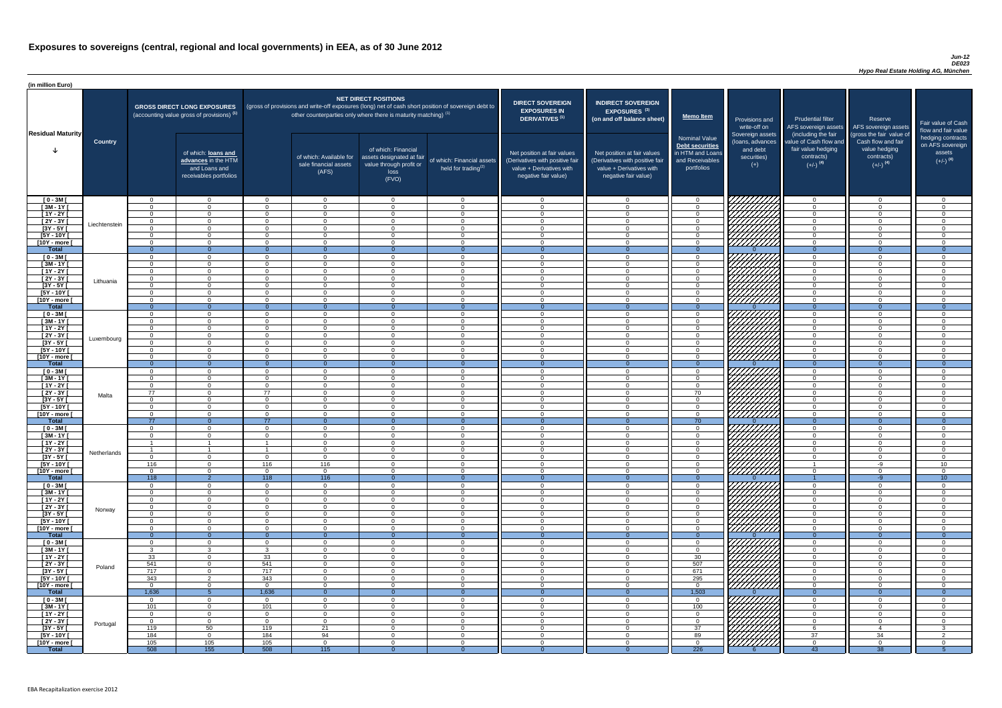### *Jun-12 DE023 Hypo Real Estate Holding AG, München*

| <b>DIRECT SOVEREIGN</b><br><b>EXPOSURES IN</b><br><b>DERIVATIVES<sup>(1)</sup></b><br>Net position at fair values<br>(Derivatives with positive fair<br>value + Derivatives with<br>negative fair value) | <b>INDIRECT SOVEREIGN</b><br>EXPOSURES <sup>(3)</sup><br>(on and off balance sheet)<br>Net position at fair values<br>(Derivatives with positive fair<br>value + Derivatives with<br>negative fair value) | <b>Memo Item</b><br><b>Nominal Value</b><br><b>Debt securities</b><br>in HTM and Loans<br>and Receivables<br>portfolios | Provisions and<br>write-off on<br>Sovereign assets<br>(loans, advances<br>and debt<br>securities)<br>$(+)$ | <b>Prudential filter</b><br>AFS sovereign assets<br>(including the fair<br>value of Cash flow and<br>fair value hedging<br>contracts)<br>$(+/-)$ <sup>(4)</sup> | Reserve<br>AFS sovereign assets<br>(gross the fair value of<br>Cash flow and fair<br>value hedging<br>contracts)<br>$(+/-)$ <sup>(4)</sup> | Fair value of Cash<br>flow and fair value<br>hedging contracts<br>on AFS sovereign<br>assets<br>$(+/-)$ <sup>(4)</sup> |
|----------------------------------------------------------------------------------------------------------------------------------------------------------------------------------------------------------|-----------------------------------------------------------------------------------------------------------------------------------------------------------------------------------------------------------|-------------------------------------------------------------------------------------------------------------------------|------------------------------------------------------------------------------------------------------------|-----------------------------------------------------------------------------------------------------------------------------------------------------------------|--------------------------------------------------------------------------------------------------------------------------------------------|------------------------------------------------------------------------------------------------------------------------|
| 0                                                                                                                                                                                                        | $\mathbf 0$                                                                                                                                                                                               | $\mathbf 0$                                                                                                             |                                                                                                            | $\overline{0}$                                                                                                                                                  | $\overline{0}$                                                                                                                             | 0                                                                                                                      |
| $\mathbf 0$                                                                                                                                                                                              | $\mathbf 0$                                                                                                                                                                                               | $\mathbf 0$                                                                                                             |                                                                                                            | $\mathbf 0$                                                                                                                                                     | $\mathbf 0$                                                                                                                                | 0                                                                                                                      |
| $\mathbf 0$                                                                                                                                                                                              | $\mathbf 0$                                                                                                                                                                                               | $\mathbf 0$                                                                                                             |                                                                                                            | $\mathbf 0$                                                                                                                                                     | $\mathbf 0$                                                                                                                                | 0                                                                                                                      |
| $\mathbf 0$                                                                                                                                                                                              | $\mathbf 0$                                                                                                                                                                                               | $\mathbf 0$                                                                                                             |                                                                                                            | $\mathbf 0$                                                                                                                                                     | 0                                                                                                                                          | 0                                                                                                                      |
| $\mathbf 0$                                                                                                                                                                                              | $\mathbf 0$                                                                                                                                                                                               | $\mathsf 0$                                                                                                             |                                                                                                            | $\pmb{0}$                                                                                                                                                       | $\mathbf 0$                                                                                                                                | 0                                                                                                                      |
| $\mathbf 0$                                                                                                                                                                                              | $\mathbf 0$                                                                                                                                                                                               | $\mathbf 0$                                                                                                             |                                                                                                            | $\mathbf 0$                                                                                                                                                     | $\mathbf 0$                                                                                                                                | 0                                                                                                                      |
| $\mathbf 0$                                                                                                                                                                                              | $\mathbf 0$                                                                                                                                                                                               | $\mathbf 0$<br>$\overline{0}$                                                                                           |                                                                                                            | $\pmb{0}$                                                                                                                                                       | $\mathbf 0$                                                                                                                                | 0                                                                                                                      |
| $\overline{0}$                                                                                                                                                                                           | $\overline{0}$                                                                                                                                                                                            |                                                                                                                         | $\Omega$                                                                                                   | $\overline{0}$                                                                                                                                                  | $\overline{0}$                                                                                                                             | $\overline{0}$                                                                                                         |
| $\mathbf 0$<br>$\mathbf 0$                                                                                                                                                                               | $\mathbf 0$<br>$\mathbf 0$                                                                                                                                                                                | $\mathsf 0$<br>$\mathbf 0$                                                                                              |                                                                                                            | $\mathbf 0$<br>$\mathbf 0$                                                                                                                                      | $\mathbf 0$<br>$\mathbf 0$                                                                                                                 | $\mathbf 0$<br>0                                                                                                       |
| $\mathbf 0$                                                                                                                                                                                              | $\mathbf 0$                                                                                                                                                                                               | $\mathbf 0$                                                                                                             |                                                                                                            | $\mathbf 0$                                                                                                                                                     | $\mathbf 0$                                                                                                                                | 0                                                                                                                      |
| $\mathbf 0$                                                                                                                                                                                              | $\mathbf 0$                                                                                                                                                                                               | $\mathbf 0$                                                                                                             |                                                                                                            | $\mathbf 0$                                                                                                                                                     | $\mathbf 0$                                                                                                                                | 0                                                                                                                      |
| $\mathbf 0$                                                                                                                                                                                              | $\mathbf 0$                                                                                                                                                                                               | $\mathbf 0$                                                                                                             |                                                                                                            | $\mathbf 0$                                                                                                                                                     | $\mathbf 0$                                                                                                                                | 0                                                                                                                      |
| $\mathbf 0$                                                                                                                                                                                              | $\mathbf 0$                                                                                                                                                                                               | $\mathbf 0$                                                                                                             |                                                                                                            | $\mathbf 0$                                                                                                                                                     | $\mathbf 0$                                                                                                                                | 0                                                                                                                      |
| $\mathbf 0$                                                                                                                                                                                              | $\mathbf 0$                                                                                                                                                                                               | $\mathbf 0$                                                                                                             |                                                                                                            | 0                                                                                                                                                               | $\mathbf 0$                                                                                                                                | 0                                                                                                                      |
| $\mathbf{0}$                                                                                                                                                                                             | $\overline{0}$                                                                                                                                                                                            | $\overline{0}$                                                                                                          | $\Omega$                                                                                                   | $\overline{0}$                                                                                                                                                  | $\overline{0}$                                                                                                                             | $\overline{0}$                                                                                                         |
| $\mathbf 0$                                                                                                                                                                                              | $\mathbf 0$                                                                                                                                                                                               | $\mathbf 0$                                                                                                             |                                                                                                            | $\mathbf 0$                                                                                                                                                     | $\mathbf 0$                                                                                                                                | 0                                                                                                                      |
| $\pmb{0}$                                                                                                                                                                                                | $\mathbf 0$                                                                                                                                                                                               | $\mathbf 0$                                                                                                             |                                                                                                            | $\mathbf 0$                                                                                                                                                     | $\mathbf 0$                                                                                                                                | 0                                                                                                                      |
| $\pmb{0}$                                                                                                                                                                                                | $\mathbf 0$                                                                                                                                                                                               | $\mathbf 0$                                                                                                             |                                                                                                            | $\mathbf 0$                                                                                                                                                     | $\mathbf 0$                                                                                                                                | 0                                                                                                                      |
| $\mathbf 0$                                                                                                                                                                                              | $\mathbf 0$                                                                                                                                                                                               | $\mathbf 0$                                                                                                             |                                                                                                            | $\mathbf 0$                                                                                                                                                     | $\mathbf 0$                                                                                                                                | 0                                                                                                                      |
| $\mathbf 0$<br>0                                                                                                                                                                                         | $\mathbf 0$<br>0                                                                                                                                                                                          | $\mathbf 0$<br>0                                                                                                        |                                                                                                            | $\mathbf 0$<br>0                                                                                                                                                | $\overline{0}$<br>0                                                                                                                        | 0<br>0                                                                                                                 |
| $\mathbf 0$                                                                                                                                                                                              | $\mathbf 0$                                                                                                                                                                                               | $\mathbf 0$                                                                                                             |                                                                                                            | $\mathbf 0$                                                                                                                                                     | $\mathbf 0$                                                                                                                                | 0                                                                                                                      |
| $\mathbf{0}$                                                                                                                                                                                             | $\overline{0}$                                                                                                                                                                                            | $\overline{0}$                                                                                                          | $\overline{0}$                                                                                             | $\overline{0}$                                                                                                                                                  | $\overline{0}$                                                                                                                             | $\overline{0}$                                                                                                         |
| $\mathbf 0$                                                                                                                                                                                              | $\mathbf 0$                                                                                                                                                                                               | $\mathbf 0$                                                                                                             |                                                                                                            | $\mathbf 0$                                                                                                                                                     | $\mathbf 0$                                                                                                                                | 0                                                                                                                      |
| $\mathbf 0$                                                                                                                                                                                              | $\mathbf 0$                                                                                                                                                                                               | $\mathbf 0$                                                                                                             |                                                                                                            | $\mathbf 0$                                                                                                                                                     | $\mathbf 0$                                                                                                                                | 0                                                                                                                      |
| $\mathbf 0$                                                                                                                                                                                              | 0                                                                                                                                                                                                         | $\mathbf 0$                                                                                                             |                                                                                                            | $\mathbf 0$                                                                                                                                                     | $\mathbf 0$                                                                                                                                | 0                                                                                                                      |
| $\mathbf 0$                                                                                                                                                                                              | 0                                                                                                                                                                                                         | $\overline{70}$                                                                                                         |                                                                                                            | 0                                                                                                                                                               | $\Omega$                                                                                                                                   | 0                                                                                                                      |
| $\mathbf 0$                                                                                                                                                                                              | $\mathbf 0$                                                                                                                                                                                               | $\pmb{0}$                                                                                                               |                                                                                                            | 0                                                                                                                                                               | $\pmb{0}$                                                                                                                                  | 0                                                                                                                      |
| $\mathbf 0$                                                                                                                                                                                              | $\mathbf 0$                                                                                                                                                                                               | $\pmb{0}$                                                                                                               |                                                                                                            | $\mathbf 0$                                                                                                                                                     | $\mathbf 0$                                                                                                                                | 0                                                                                                                      |
| $\mathbf 0$<br>$\overline{0}$                                                                                                                                                                            | $\mathbf 0$<br>$\overline{0}$                                                                                                                                                                             | $\mathbf 0$<br>$\overline{70}$                                                                                          | $\overline{0}$                                                                                             | $\mathbf 0$<br>$\overline{0}$                                                                                                                                   | $\pmb{0}$<br>$\overline{0}$                                                                                                                | 0<br>$\mathbf 0$                                                                                                       |
| $\mathbf 0$                                                                                                                                                                                              | $\mathbf 0$                                                                                                                                                                                               | $\mathbf 0$                                                                                                             |                                                                                                            | $\mathbf 0$                                                                                                                                                     | 0                                                                                                                                          | 0                                                                                                                      |
| $\mathbf 0$                                                                                                                                                                                              | 0                                                                                                                                                                                                         | $\mathbf 0$                                                                                                             |                                                                                                            | $\mathbf 0$                                                                                                                                                     | 0                                                                                                                                          | 0                                                                                                                      |
| $\mathbf 0$                                                                                                                                                                                              | $\mathbf 0$                                                                                                                                                                                               | $\pmb{0}$                                                                                                               |                                                                                                            | $\mathbf 0$                                                                                                                                                     | 0                                                                                                                                          | 0                                                                                                                      |
| $\mathbf 0$                                                                                                                                                                                              | $\mathbf 0$                                                                                                                                                                                               | $\mathbf 0$                                                                                                             |                                                                                                            | $\mathbf 0$                                                                                                                                                     | $\mathbf 0$                                                                                                                                | 0                                                                                                                      |
| $\mathbf 0$                                                                                                                                                                                              | 0                                                                                                                                                                                                         | $\mathbf 0$                                                                                                             |                                                                                                            | $\mathbf 0$                                                                                                                                                     | $\mathbf 0$                                                                                                                                | 0                                                                                                                      |
| $\mathbf 0$                                                                                                                                                                                              | 0                                                                                                                                                                                                         | $\mathbf 0$                                                                                                             |                                                                                                            | $\mathbf 1$                                                                                                                                                     | $-9$                                                                                                                                       | 10                                                                                                                     |
| $\mathbf 0$                                                                                                                                                                                              | 0                                                                                                                                                                                                         | $\mathbf 0$                                                                                                             |                                                                                                            | 0                                                                                                                                                               | $\mathbf 0$                                                                                                                                | 0                                                                                                                      |
| $\mathbf{0}$                                                                                                                                                                                             | $\overline{0}$                                                                                                                                                                                            | $\mathbf{0}$                                                                                                            | $\overline{0}$                                                                                             | 1                                                                                                                                                               | $-9$                                                                                                                                       | 10                                                                                                                     |
| $\mathbf 0$<br>$\boldsymbol{0}$                                                                                                                                                                          | 0<br>$\boldsymbol{0}$                                                                                                                                                                                     | $\mathbf 0$<br>$\boldsymbol{0}$                                                                                         |                                                                                                            | 0<br>$\mathbf 0$                                                                                                                                                | 0<br>$\mathbf 0$                                                                                                                           | 0<br>0                                                                                                                 |
| $\pmb{0}$                                                                                                                                                                                                | $\mathbf 0$                                                                                                                                                                                               | $\boldsymbol{0}$                                                                                                        |                                                                                                            | $\mathbf 0$                                                                                                                                                     | $\mathbf 0$                                                                                                                                | 0                                                                                                                      |
| $\boldsymbol{0}$                                                                                                                                                                                         | $\mathbf 0$                                                                                                                                                                                               | $\mathbf 0$                                                                                                             |                                                                                                            | 0                                                                                                                                                               | $\mathbf 0$                                                                                                                                | 0                                                                                                                      |
| $\boldsymbol{0}$                                                                                                                                                                                         | $\mathbf 0$                                                                                                                                                                                               | $\mathbf 0$                                                                                                             |                                                                                                            | $\mathbf 0$                                                                                                                                                     | $\mathbf 0$                                                                                                                                | 0                                                                                                                      |
| $\mathbf 0$                                                                                                                                                                                              | 0                                                                                                                                                                                                         | $\mathbf 0$                                                                                                             |                                                                                                            | $\mathbf 0$                                                                                                                                                     | $\mathbf 0$                                                                                                                                | 0                                                                                                                      |
| $\mathbf 0$                                                                                                                                                                                              | $\mathbf 0$                                                                                                                                                                                               | $\pmb{0}$                                                                                                               |                                                                                                            | $\mathbf 0$                                                                                                                                                     | $\mathbf 0$                                                                                                                                | 0                                                                                                                      |
| $\mathbf{0}$                                                                                                                                                                                             | $\overline{0}$                                                                                                                                                                                            | $\overline{0}$                                                                                                          | $\overline{0}$                                                                                             | $\overline{0}$                                                                                                                                                  | $\overline{0}$                                                                                                                             | $\overline{0}$                                                                                                         |
| $\mathbf 0$                                                                                                                                                                                              | $\mathbf 0$                                                                                                                                                                                               | $\mathbf 0$                                                                                                             |                                                                                                            | $\mathbf 0$                                                                                                                                                     | $\mathbf 0$                                                                                                                                | 0                                                                                                                      |
| $\mathbf 0$<br>$\mathbf 0$                                                                                                                                                                               | $\mathbf 0$<br>$\mathbf 0$                                                                                                                                                                                | $\mathbf 0$<br>30                                                                                                       |                                                                                                            | $\mathbf 0$<br>$\mathbf 0$                                                                                                                                      | $\mathbf 0$<br>$\mathbf 0$                                                                                                                 | 0<br>0                                                                                                                 |
| $\mathbf 0$                                                                                                                                                                                              | $\mathbf 0$                                                                                                                                                                                               | 507                                                                                                                     |                                                                                                            | 0                                                                                                                                                               | 0                                                                                                                                          | 0                                                                                                                      |
| $\mathbf 0$                                                                                                                                                                                              | $\mathbf 0$                                                                                                                                                                                               | 671                                                                                                                     |                                                                                                            | 0                                                                                                                                                               | $\pmb{0}$                                                                                                                                  | 0                                                                                                                      |
| $\mathbf 0$                                                                                                                                                                                              | $\mathbf 0$                                                                                                                                                                                               | 295                                                                                                                     |                                                                                                            | $\mathbf 0$                                                                                                                                                     | $\mathbf 0$                                                                                                                                | 0                                                                                                                      |
| $\mathbf 0$                                                                                                                                                                                              | $\mathbf 0$                                                                                                                                                                                               | $\mathbf 0$                                                                                                             |                                                                                                            | 0                                                                                                                                                               | $\mathbf 0$                                                                                                                                | 0                                                                                                                      |
| $\boldsymbol{0}$                                                                                                                                                                                         | $\overline{0}$                                                                                                                                                                                            | 1,503                                                                                                                   | $\overline{0}$                                                                                             | $\overline{0}$                                                                                                                                                  | $\overline{0}$                                                                                                                             | $\overline{0}$                                                                                                         |
| 0                                                                                                                                                                                                        | $\mathbf 0$                                                                                                                                                                                               | $\mathbf 0$                                                                                                             |                                                                                                            | 0                                                                                                                                                               | $\mathbf 0$                                                                                                                                | 0                                                                                                                      |
| 0                                                                                                                                                                                                        | $\mathbf 0$                                                                                                                                                                                               | 100                                                                                                                     | ----                                                                                                       | $\boldsymbol{0}$                                                                                                                                                | $\Omega$                                                                                                                                   | $\Omega$                                                                                                               |
| $\mathbf 0$                                                                                                                                                                                              | $\mathbf 0$                                                                                                                                                                                               | $\mathbf 0$                                                                                                             |                                                                                                            | $\mathbf 0$                                                                                                                                                     | $\mathbf 0$                                                                                                                                | 0                                                                                                                      |
| $\mathbf 0$                                                                                                                                                                                              | $\overline{0}$                                                                                                                                                                                            | $\mathbf 0$                                                                                                             |                                                                                                            | $\overline{0}$                                                                                                                                                  | $\overline{0}$                                                                                                                             | $\overline{0}$                                                                                                         |
| $\mathbf 0$                                                                                                                                                                                              | $\mathbf 0$                                                                                                                                                                                               | 37                                                                                                                      |                                                                                                            | 6                                                                                                                                                               | $\overline{4}$                                                                                                                             | 3                                                                                                                      |
| $\mathbf 0$<br>$\mathbf 0$                                                                                                                                                                               | $\mathbf 0$<br>$\mathbf 0$                                                                                                                                                                                | 89<br>$\overline{0}$                                                                                                    |                                                                                                            | 37<br>$\overline{0}$                                                                                                                                            | 34<br>$\overline{0}$                                                                                                                       | $\overline{2}$<br>0                                                                                                    |
| $\overline{0}$                                                                                                                                                                                           | $\overline{0}$                                                                                                                                                                                            | 226                                                                                                                     | 6                                                                                                          | 43                                                                                                                                                              | 38                                                                                                                                         | $\overline{5}$                                                                                                         |
|                                                                                                                                                                                                          |                                                                                                                                                                                                           |                                                                                                                         |                                                                                                            |                                                                                                                                                                 |                                                                                                                                            |                                                                                                                        |

| (in million Euro)             |                |                           |                                                                                             |                      |                                                           |                                                                                                           |                                                                                                     |                                                                                                                    |                                                                                                                    |                                                                                                     |                                                                                                                                                                                                                                          |                                                                                                             |                                                                                                         |                                           |
|-------------------------------|----------------|---------------------------|---------------------------------------------------------------------------------------------|----------------------|-----------------------------------------------------------|-----------------------------------------------------------------------------------------------------------|-----------------------------------------------------------------------------------------------------|--------------------------------------------------------------------------------------------------------------------|--------------------------------------------------------------------------------------------------------------------|-----------------------------------------------------------------------------------------------------|------------------------------------------------------------------------------------------------------------------------------------------------------------------------------------------------------------------------------------------|-------------------------------------------------------------------------------------------------------------|---------------------------------------------------------------------------------------------------------|-------------------------------------------|
| <b>Residual Maturity</b>      |                |                           | <b>GROSS DIRECT LONG EXPOSURES</b><br>(accounting value gross of provisions) <sup>(1)</sup> |                      |                                                           | <b>NET DIRECT POSITIONS</b><br>other counterparties only where there is maturity matching) <sup>(1)</sup> | (gross of provisions and write-off exposures (long) net of cash short position of sovereign debt to | <b>DIRECT SOVEREIGN</b><br><b>EXPOSURES IN</b><br>DERIVATIVES <sup>(1)</sup>                                       | <b>INDIRECT SOVEREIGN</b><br>EXPOSURES <sup>(3)</sup><br>(on and off balance sheet)                                | <b>Memo Item</b>                                                                                    | Provisions and<br>write-off on                                                                                                                                                                                                           | Prudential filter<br>AFS sovereign assets                                                                   | Reserve<br>AFS sovereign assets                                                                         | Fair value<br>flow and f                  |
|                               | <b>Country</b> |                           | of which: loans and<br>advances in the HTM<br>and Loans and<br>receivables portfolios       |                      | of which: Available for<br>sale financial assets<br>(AFS) | of which: Financial<br>assets designated at fair<br>value through profit or<br>loss<br>(FVO)              | of which: Financial assets<br>held for trading $(2)$                                                | Net position at fair values<br>(Derivatives with positive fair<br>value + Derivatives with<br>negative fair value) | Net position at fair values<br>(Derivatives with positive fair<br>value + Derivatives with<br>negative fair value) | <b>Nominal Value</b><br><b>Debt securities</b><br>in HTM and Loans<br>and Receivables<br>portfolios | Sovereign assets<br>(loans, advances<br>and debt<br>securities)<br>$(+)$                                                                                                                                                                 | (including the fair<br>value of Cash flow and<br>fair value hedging<br>contracts)<br>$(+/-)$ <sup>(4)</sup> | (gross the fair value of<br>Cash flow and fair<br>value hedging<br>contracts)<br>$(+/-)$ <sup>(4)</sup> | hedging c<br>on AFS so<br>asse<br>$(+/-)$ |
| $[0 - 3M]$                    |                | . വ                       | $\overline{0}$                                                                              | $\overline{0}$       | $\overline{0}$                                            | $\overline{0}$                                                                                            | $\overline{0}$                                                                                      | $\overline{0}$                                                                                                     |                                                                                                                    | $\overline{0}$                                                                                      | THUR SHIPPI                                                                                                                                                                                                                              | $\overline{0}$                                                                                              | $\overline{0}$                                                                                          |                                           |
| $[3M-1Y]$                     |                | $\cap$                    | $\Omega$                                                                                    | $\Omega$             | $\Omega$<br>$\Omega$                                      | $\Omega$                                                                                                  | $\Omega$                                                                                            | ∩                                                                                                                  |                                                                                                                    | $\overline{0}$                                                                                      |                                                                                                                                                                                                                                          | $\Omega$                                                                                                    | $\Omega$                                                                                                |                                           |
| $[1Y - 2Y]$<br>$[2Y - 3Y]$    |                | $\Omega$                  | $\Omega$<br>$\overline{0}$                                                                  | $\Omega$<br>$\Omega$ | $\Omega$                                                  | $\Omega$<br>$\Omega$                                                                                      | $\Omega$<br>$\Omega$                                                                                | $\Omega$<br>$\Omega$                                                                                               | $\cap$                                                                                                             | $\overline{0}$<br>$\overline{0}$                                                                    |                                                                                                                                                                                                                                          | $\Omega$<br>$\Omega$                                                                                        | $\Omega$<br>$\Omega$                                                                                    | $\Omega$<br>$\Omega$                      |
| $[3Y - 5Y]$                   | Liechtenstein  | $\cap$                    | $\Omega$                                                                                    | $\Omega$             | $\Omega$                                                  | $\Omega$                                                                                                  | $\Omega$                                                                                            | $\Omega$                                                                                                           |                                                                                                                    | $\overline{0}$                                                                                      |                                                                                                                                                                                                                                          | $\Omega$                                                                                                    | $\Omega$                                                                                                |                                           |
| $[5Y - 10Y]$                  |                | $\cap$                    | $\Omega$                                                                                    | $\Omega$             | $\Omega$                                                  | $\Omega$                                                                                                  | $\Omega$                                                                                            | $\Omega$                                                                                                           | $\cap$                                                                                                             | $\Omega$                                                                                            |                                                                                                                                                                                                                                          | $\Omega$                                                                                                    | $\Omega$                                                                                                |                                           |
| [10Y - more [                 |                | $\cap$                    | $\Omega$                                                                                    | $\Omega$             | $\Omega$                                                  | $\Omega$                                                                                                  | $\Omega$                                                                                            | $\Omega$                                                                                                           | $\cap$                                                                                                             | $\overline{0}$                                                                                      |                                                                                                                                                                                                                                          | $\Omega$                                                                                                    | $\Omega$                                                                                                |                                           |
| <b>Total</b><br>$[0 - 3M]$    |                | $\Omega$<br>$\Omega$      | $\cap$<br>$\Omega$                                                                          | $\Omega$<br>$\Omega$ | $\Omega$<br>$\Omega$                                      | $\cap$<br>$\Omega$                                                                                        | $\Omega$                                                                                            | $\Omega$                                                                                                           | $\cap$                                                                                                             | $\overline{0}$<br>$\overline{0}$                                                                    |                                                                                                                                                                                                                                          | $\cap$<br>$\Omega$                                                                                          | $\Omega$                                                                                                |                                           |
| $[3M - 1Y]$                   |                | $\Omega$                  | $\Omega$                                                                                    | $\Omega$             | $\Omega$                                                  | $\Omega$                                                                                                  | $\overline{0}$                                                                                      | $\Omega$                                                                                                           | $\Omega$                                                                                                           | $\overline{0}$                                                                                      |                                                                                                                                                                                                                                          | $\Omega$                                                                                                    | $\overline{0}$                                                                                          |                                           |
| $[1Y - 2Y]$                   |                | $\Omega$                  | $\Omega$                                                                                    | $\Omega$             | $\Omega$                                                  | $\Omega$                                                                                                  | $\Omega$                                                                                            | $\Omega$                                                                                                           | $\cap$                                                                                                             | $\overline{0}$                                                                                      |                                                                                                                                                                                                                                          | $\overline{0}$                                                                                              | $\Omega$                                                                                                |                                           |
| $[2Y - 3Y]$                   | Lithuania      | $\Omega$                  | $\Omega$                                                                                    | $\Omega$             | $\Omega$<br>$\Omega$                                      | $\Omega$                                                                                                  | $\overline{0}$                                                                                      | $\Omega$                                                                                                           | $\cap$                                                                                                             | $\overline{0}$                                                                                      |                                                                                                                                                                                                                                          | $\Omega$                                                                                                    | $\overline{0}$                                                                                          |                                           |
| [3Y - 5Y [<br>$[5Y - 10Y]$    |                | $\Omega$                  | $\Omega$<br>$\Omega$                                                                        | $\Omega$<br>$\Omega$ | $\cap$                                                    | $\Omega$<br>$\Omega$                                                                                      | $\Omega$<br>$\Omega$                                                                                | $\Omega$<br>∩                                                                                                      | റ                                                                                                                  | $\overline{0}$<br>$\overline{0}$                                                                    |                                                                                                                                                                                                                                          | $\Omega$<br>$\Omega$                                                                                        | $\Omega$<br>$\Omega$                                                                                    |                                           |
| [10Y - more [                 |                | $\cap$                    | $\Omega$                                                                                    | $\Omega$             | $\Omega$                                                  | $\Omega$                                                                                                  | $\Omega$                                                                                            | $\Omega$                                                                                                           |                                                                                                                    | $\overline{0}$                                                                                      | THATHA<br>THATHA                                                                                                                                                                                                                         | $\Omega$                                                                                                    | $\Omega$                                                                                                |                                           |
| <b>Total</b>                  |                | $\overline{0}$            | $\Omega$                                                                                    | - 0                  | $\Omega$                                                  | $\Omega$                                                                                                  | $\Omega$                                                                                            |                                                                                                                    |                                                                                                                    | $\overline{0}$                                                                                      | $\Omega$                                                                                                                                                                                                                                 | $\Omega$                                                                                                    | $\Omega$                                                                                                |                                           |
| $[0 - 3M]$<br>$[3M - 1Y]$     |                | $\cap$<br>$\cap$          | $\Omega$<br>$\Omega$                                                                        | $\Omega$<br>$\Omega$ | $\Omega$<br>$\Omega$                                      | $\Omega$<br>$\Omega$                                                                                      | $\Omega$<br>$\Omega$                                                                                | $\cap$<br>$\Omega$                                                                                                 | റ                                                                                                                  | $\Omega$<br>$\overline{0}$                                                                          | WATER WATER                                                                                                                                                                                                                              | $\Omega$<br>$\Omega$                                                                                        | $\Omega$<br>$\Omega$                                                                                    |                                           |
| $[1Y - 2Y]$                   |                | $\cap$                    | $\Omega$                                                                                    | $\cap$               | $\cap$                                                    | $\Omega$                                                                                                  | $\Omega$                                                                                            | $\Omega$                                                                                                           | റ                                                                                                                  | $\overline{0}$                                                                                      |                                                                                                                                                                                                                                          | $\Omega$                                                                                                    | $\Omega$                                                                                                |                                           |
| $[2Y - 3Y]$                   | Luxembourg     | $\Omega$                  | $\Omega$                                                                                    | $\Omega$             | $\cap$                                                    | $\Omega$                                                                                                  | $\Omega$                                                                                            | $\Omega$                                                                                                           | $\cap$                                                                                                             | $\overline{0}$                                                                                      |                                                                                                                                                                                                                                          | $\Omega$                                                                                                    | $\Omega$                                                                                                |                                           |
| $[3Y - 5Y]$                   |                |                           |                                                                                             |                      |                                                           |                                                                                                           |                                                                                                     |                                                                                                                    |                                                                                                                    |                                                                                                     |                                                                                                                                                                                                                                          |                                                                                                             |                                                                                                         |                                           |
| $[5Y - 10Y]$<br>[10Y - more [ |                | $\Omega$<br>$\Omega$      | $\Omega$<br>$\Omega$                                                                        | $\Omega$<br>$\Omega$ | $\Omega$<br>$\Omega$                                      | $\Omega$<br>$\Omega$                                                                                      | $\Omega$<br>$\Omega$                                                                                | $\Omega$<br>$\Omega$                                                                                               | റ                                                                                                                  | $\Omega$<br>$\overline{0}$                                                                          | ШША.                                                                                                                                                                                                                                     | $\Omega$<br>$\Omega$                                                                                        | $\Omega$<br>$\Omega$                                                                                    |                                           |
| <b>Total</b>                  |                | $\Omega$                  | $\Omega$                                                                                    | $\Omega$             | $\Omega$                                                  | $\Omega$                                                                                                  | $\Omega$                                                                                            |                                                                                                                    |                                                                                                                    | $\Omega$                                                                                            | <u>/////////</u>                                                                                                                                                                                                                         |                                                                                                             | $\Omega$                                                                                                |                                           |
| $[0 - 3M]$                    |                | $\cap$                    | $\Omega$                                                                                    | $\Omega$             | $\Omega$                                                  | $\Omega$                                                                                                  | $\Omega$                                                                                            | $\Omega$                                                                                                           |                                                                                                                    | $\overline{0}$                                                                                      |                                                                                                                                                                                                                                          | $\Omega$                                                                                                    | $\Omega$                                                                                                |                                           |
| $[3M - 1Y]$                   |                | $\Omega$                  | $\Omega$                                                                                    | $\Omega$             | $\cap$                                                    | $\Omega$                                                                                                  | $\Omega$                                                                                            | $\Omega$                                                                                                           |                                                                                                                    | $\Omega$                                                                                            |                                                                                                                                                                                                                                          | $\Omega$                                                                                                    | $\Omega$                                                                                                |                                           |
| $[1Y - 2Y]$<br>$[2Y - 3Y]$    |                | $\Omega$<br>77            | $\overline{0}$<br>$\overline{0}$                                                            | $\Omega$<br>77       | $\Omega$<br>$\Omega$                                      | $\Omega$<br>$\Omega$                                                                                      | $\overline{0}$<br>$\Omega$                                                                          |                                                                                                                    |                                                                                                                    | $\overline{0}$<br>70                                                                                |                                                                                                                                                                                                                                          | $\Omega$<br>$\Omega$                                                                                        | $\Omega$<br>$\Omega$                                                                                    |                                           |
| $[3Y - 5Y]$                   | Malta          |                           | $\Omega$                                                                                    | $\Omega$             | $\Omega$                                                  | $\Omega$                                                                                                  | $\Omega$                                                                                            | $\Omega$                                                                                                           |                                                                                                                    | $\Omega$                                                                                            |                                                                                                                                                                                                                                          | $\Omega$                                                                                                    | $\Omega$                                                                                                |                                           |
| $[5Y - 10Y]$                  |                | $\cap$                    | $\Omega$                                                                                    | $\Omega$             | $\Omega$                                                  | $\Omega$                                                                                                  | $\Omega$                                                                                            | $\Omega$                                                                                                           |                                                                                                                    | $\overline{0}$                                                                                      |                                                                                                                                                                                                                                          | $\Omega$                                                                                                    | $\Omega$                                                                                                |                                           |
| [10Y - more [                 |                | $\cap$                    | $\Omega$                                                                                    | $\Omega$             | $\Omega$                                                  | $\Omega$                                                                                                  | $\Omega$                                                                                            | $\Omega$                                                                                                           |                                                                                                                    | $\overline{0}$                                                                                      |                                                                                                                                                                                                                                          | $\Omega$                                                                                                    | $\Omega$                                                                                                |                                           |
| <b>Total</b><br>$[0 - 3M]$    |                | $\overline{77}$<br>$\cap$ | . വ<br>$\Omega$                                                                             | 77<br>$\Omega$       | $\Omega$<br>$\Omega$                                      | $\Omega$<br>$\Omega$                                                                                      | $\Omega$<br>$\Omega$                                                                                | $\Omega$                                                                                                           |                                                                                                                    | $\overline{70}$<br>$\overline{0}$                                                                   |                                                                                                                                                                                                                                          | $\cap$<br>$\Omega$                                                                                          | $\Omega$<br>$\Omega$                                                                                    |                                           |
| $[3M - 1Y]$                   |                | $\Omega$                  | $\Omega$                                                                                    | $\Omega$             | $\Omega$                                                  | $\Omega$                                                                                                  | $\Omega$                                                                                            | $\Omega$                                                                                                           |                                                                                                                    | $\overline{0}$                                                                                      | ШНА<br>ШНА                                                                                                                                                                                                                               | $\Omega$                                                                                                    | $\Omega$                                                                                                |                                           |
| $[1Y - 2Y]$                   |                |                           |                                                                                             |                      | $\Omega$                                                  | $\Omega$                                                                                                  | $\overline{0}$                                                                                      | $\Omega$                                                                                                           |                                                                                                                    | $\overline{0}$                                                                                      |                                                                                                                                                                                                                                          | $\Omega$                                                                                                    | $\Omega$                                                                                                |                                           |
| $[2Y - 3Y]$                   | Netherlands    |                           |                                                                                             |                      | $\Omega$                                                  | $\Omega$                                                                                                  | $\overline{0}$                                                                                      | $\Omega$                                                                                                           |                                                                                                                    | $\overline{0}$                                                                                      | UHT<br>AHT                                                                                                                                                                                                                               | $\Omega$                                                                                                    | $\overline{0}$                                                                                          |                                           |
| $[3Y - 5Y]$<br>$[5Y - 10Y]$   |                | 116                       | $\Omega$<br>$\overline{0}$                                                                  | $\Omega$<br>116      | $\Omega$<br>116                                           | $\Omega$<br>$\Omega$                                                                                      | $\overline{0}$<br>$\Omega$                                                                          | $\Omega$                                                                                                           |                                                                                                                    | $\overline{0}$<br>$\overline{0}$                                                                    |                                                                                                                                                                                                                                          | $\Omega$                                                                                                    | $\mathbf 0$<br>-9                                                                                       |                                           |
| [10Y - more [                 |                | $\Omega$                  | $\Omega$                                                                                    | $\Omega$             | $\Omega$                                                  | $\Omega$                                                                                                  | $\Omega$                                                                                            | ∩                                                                                                                  |                                                                                                                    | $\Omega$                                                                                            |                                                                                                                                                                                                                                          | $\Omega$                                                                                                    | $\Omega$                                                                                                |                                           |
| <b>Total</b>                  |                | 118                       | -2                                                                                          | 118                  | 116                                                       | -0                                                                                                        | $\Omega$                                                                                            | $\Omega$                                                                                                           |                                                                                                                    | $\Omega$                                                                                            |                                                                                                                                                                                                                                          |                                                                                                             | $-9$                                                                                                    | $\overline{10}$                           |
| $[0 - 3M]$<br>$[3M - 1Y]$     |                | $\Omega$<br>$\Omega$      | $\overline{0}$<br>$\Omega$                                                                  | $\Omega$<br>- റ      | $\Omega$<br>$\Omega$                                      | $\Omega$<br>$\Omega$                                                                                      | $\overline{0}$<br>$\overline{0}$                                                                    | $\Omega$<br>$\Omega$                                                                                               | റ                                                                                                                  | $\Omega$<br>$\overline{0}$                                                                          |                                                                                                                                                                                                                                          | $\Omega$<br>$\Omega$                                                                                        | $\Omega$<br>$\overline{0}$                                                                              |                                           |
| $[1Y - 2Y]$                   |                | $\cap$                    | $\Omega$                                                                                    | $\Omega$             | $\cap$                                                    | $\Omega$                                                                                                  | $\overline{0}$                                                                                      | $\Omega$                                                                                                           | $\cap$                                                                                                             | $\Omega$                                                                                            | VIIII<br>VIIIII                                                                                                                                                                                                                          | $\Omega$                                                                                                    | $\Omega$                                                                                                |                                           |
| $[2Y - 3Y]$                   | Norway         | $\cap$                    | $\Omega$                                                                                    | $\Omega$             | $\Omega$                                                  | $\Omega$                                                                                                  | $\overline{0}$                                                                                      | $\Omega$                                                                                                           | $\cap$                                                                                                             | $\overline{0}$                                                                                      |                                                                                                                                                                                                                                          | $\Omega$                                                                                                    | $\overline{0}$                                                                                          |                                           |
| $[3Y - 5Y]$                   |                | $\Omega$                  | $\Omega$                                                                                    | - റ                  | $\Omega$                                                  | $\Omega$                                                                                                  | $\overline{0}$                                                                                      | $\Omega$                                                                                                           | $\cap$                                                                                                             | $\overline{0}$                                                                                      |                                                                                                                                                                                                                                          | $\Omega$                                                                                                    | $\overline{0}$                                                                                          |                                           |
| $[5Y - 10Y]$<br>[10Y - more [ |                | $\Omega$<br>$\Omega$      | $\Omega$<br>$\Omega$                                                                        | $\Omega$<br>$\Omega$ | $\Omega$<br>$\Omega$                                      | $\Omega$<br>$\Omega$                                                                                      | $\Omega$<br>$\Omega$                                                                                | $\Omega$<br>$\Omega$                                                                                               | $\cap$<br>$\cap$                                                                                                   | $\overline{0}$<br>$\overline{0}$                                                                    | 7777777                                                                                                                                                                                                                                  | $\Omega$<br>$\Omega$                                                                                        | $\Omega$<br>$\Omega$                                                                                    |                                           |
| <b>Total</b>                  |                | $\overline{0}$            | $\Omega$                                                                                    | $\Omega$             | $\Omega$                                                  | $\Omega$                                                                                                  | $\Omega$                                                                                            |                                                                                                                    |                                                                                                                    | $\Omega$                                                                                            |                                                                                                                                                                                                                                          |                                                                                                             | $\Omega$                                                                                                |                                           |
| $[0 - 3M]$                    |                | റ                         | $\Omega$                                                                                    | $\Omega$             | $\cap$                                                    | $\Omega$                                                                                                  | $\Omega$                                                                                            | $\Omega$                                                                                                           |                                                                                                                    | $\Omega$                                                                                            | <b>SANTA LA CALLADAD DE CONTECTO DE CONTECTO DE CONTECTO DE CONTECTO DE CONTECTO DE CONTECTO DE CONTECTO DE CONTE<br/>CONTECTO DE CONTECTO DE CONTECTO DE CONTECTO DE CONTECTO DE CONTECTO DE CONTECTO DE CONTECTO DE CONTECTO DE CO</b> | $\Omega$                                                                                                    | $\Omega$                                                                                                |                                           |
| $[3M - 1Y]$                   |                | $\mathbf{R}$              | 3                                                                                           | - 3                  | $\Omega$                                                  | $\Omega$                                                                                                  | $\Omega$                                                                                            | ∩                                                                                                                  |                                                                                                                    | $\overline{0}$                                                                                      |                                                                                                                                                                                                                                          | $\Omega$                                                                                                    | $\Omega$                                                                                                |                                           |
| $[1Y - 2Y]$<br>$[2Y - 3Y]$    |                | 33<br>541                 | $\overline{0}$<br>$\Omega$                                                                  | 33<br>541            | $\Omega$<br>$\Omega$                                      | $\Omega$<br>$\Omega$                                                                                      | $\Omega$<br>$\Omega$                                                                                | $\Omega$<br>$\Omega$                                                                                               |                                                                                                                    | 30<br>507                                                                                           |                                                                                                                                                                                                                                          | $\Omega$<br>$\Omega$                                                                                        | $\Omega$<br>$\Omega$                                                                                    |                                           |
| $[3Y - 5Y]$                   | Poland         | 717                       | $\overline{0}$                                                                              | 717                  | $\Omega$                                                  | $\Omega$                                                                                                  | $\Omega$                                                                                            | $\Omega$                                                                                                           |                                                                                                                    | 671                                                                                                 |                                                                                                                                                                                                                                          | $\Omega$                                                                                                    | $\Omega$                                                                                                |                                           |
| $[5Y - 10Y]$                  |                | 343                       | $\overline{2}$                                                                              | 343                  | $\Omega$                                                  | $\Omega$                                                                                                  | $\Omega$                                                                                            | $\Omega$                                                                                                           |                                                                                                                    | 295                                                                                                 |                                                                                                                                                                                                                                          | $\Omega$                                                                                                    | $\Omega$                                                                                                |                                           |
| [10Y - more [                 |                | $\cap$                    | റ                                                                                           | $\cap$               | $\cap$                                                    | $\Omega$                                                                                                  | $\Omega$                                                                                            | $\cap$                                                                                                             |                                                                                                                    | $\Omega$                                                                                            |                                                                                                                                                                                                                                          | $\cap$                                                                                                      | $\Omega$                                                                                                |                                           |
| <b>Total</b><br>$[0 - 3M]$    |                | 1,636                     | $\Omega$                                                                                    | 1,636<br>$\Omega$    | $\Omega$<br>$\cap$                                        | $\Omega$<br>$\Omega$                                                                                      | $\Omega$<br>$\Omega$                                                                                | ∩                                                                                                                  |                                                                                                                    | 1,503<br>$\Omega$                                                                                   | 777777777                                                                                                                                                                                                                                |                                                                                                             | $\Omega$                                                                                                |                                           |
| $[3M - 1Y]$                   |                | 101                       | $\Omega$                                                                                    | 101                  | $\Omega$                                                  | $\Omega$                                                                                                  | $\overline{0}$                                                                                      | $\Omega$                                                                                                           | $\cap$                                                                                                             | 100                                                                                                 |                                                                                                                                                                                                                                          | $\Omega$                                                                                                    | $\overline{0}$                                                                                          |                                           |
| $[1Y - 2Y]$                   |                | $\Omega$                  | $\overline{0}$                                                                              | $\overline{0}$       | $\overline{0}$                                            | $\overline{0}$                                                                                            | $\overline{0}$                                                                                      | $\Omega$                                                                                                           | $\Omega$                                                                                                           | $\overline{0}$                                                                                      |                                                                                                                                                                                                                                          | $\overline{0}$                                                                                              | $\overline{0}$                                                                                          |                                           |
| $[2Y - 3Y]$                   | Portugal       | $\overline{0}$            | $\overline{0}$                                                                              | $\overline{0}$       | $\overline{0}$                                            | $\Omega$                                                                                                  | $\overline{0}$                                                                                      | $\Omega$                                                                                                           | $\Omega$                                                                                                           | $\overline{0}$                                                                                      | HANG SANG                                                                                                                                                                                                                                | $\overline{0}$                                                                                              | $\overline{0}$                                                                                          |                                           |
| $[3Y - 5Y]$<br>[5Y - 10Y [    |                | 119<br>184                | 50<br>$\overline{0}$                                                                        | 119<br>184           | 21<br>94                                                  | $\Omega$<br>$\Omega$                                                                                      | $\overline{0}$<br>$\overline{0}$                                                                    | $\Omega$<br>$\Omega$                                                                                               | $\Omega$<br>$\cap$                                                                                                 | 37<br>89                                                                                            |                                                                                                                                                                                                                                          | 6<br>37                                                                                                     | $\overline{4}$<br>34                                                                                    | $\mathcal{P}$                             |
| [10Y - more [                 |                | 105                       | 105                                                                                         | 105                  | $\overline{0}$                                            | $\Omega$                                                                                                  | $\Omega$                                                                                            | $\Omega$                                                                                                           |                                                                                                                    | $\overline{0}$                                                                                      |                                                                                                                                                                                                                                          | $\Omega$                                                                                                    | $\Omega$                                                                                                |                                           |
| <b>Total</b>                  |                | 508                       | 155                                                                                         | 508                  | 115                                                       | $\Omega$                                                                                                  |                                                                                                     |                                                                                                                    |                                                                                                                    | 226                                                                                                 |                                                                                                                                                                                                                                          | 43                                                                                                          | $\overline{38}$                                                                                         |                                           |